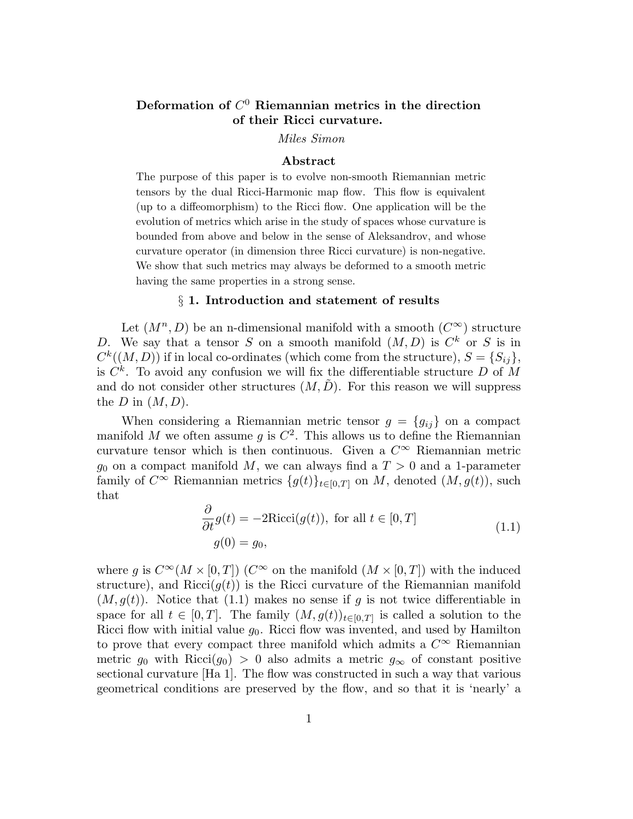## Deformation of  $C^0$  Riemannian metrics in the direction of their Ricci curvature.

Miles Simon

#### Abstract

The purpose of this paper is to evolve non-smooth Riemannian metric tensors by the dual Ricci-Harmonic map flow. This flow is equivalent (up to a diffeomorphism) to the Ricci flow. One application will be the evolution of metrics which arise in the study of spaces whose curvature is bounded from above and below in the sense of Aleksandrov, and whose curvature operator (in dimension three Ricci curvature) is non-negative. We show that such metrics may always be deformed to a smooth metric having the same properties in a strong sense.

## § 1. Introduction and statement of results

Let  $(M^n, D)$  be an n-dimensional manifold with a smooth  $(C^{\infty})$  structure D. We say that a tensor S on a smooth manifold  $(M, D)$  is  $C<sup>k</sup>$  or S is in  $C^k((M, D))$  if in local co-ordinates (which come from the structure),  $S = \{S_{ij}\},\$ is  $C^k$ . To avoid any confusion we will fix the differentiable structure D of M and do not consider other structures  $(M, \tilde{D})$ . For this reason we will suppress the D in  $(M, D)$ .

When considering a Riemannian metric tensor  $g = \{g_{ij}\}\$  on a compact manifold M we often assume g is  $C^2$ . This allows us to define the Riemannian curvature tensor which is then continuous. Given a  $C^{\infty}$  Riemannian metric  $g_0$  on a compact manifold M, we can always find a  $T > 0$  and a 1-parameter family of  $C^{\infty}$  Riemannian metrics  $\{g(t)\}_{t\in[0,T]}$  on M, denoted  $(M,g(t))$ , such that

$$
\frac{\partial}{\partial t}g(t) = -2Ricci(g(t)), \text{ for all } t \in [0, T]
$$
  
 
$$
g(0) = g_0,
$$
 (1.1)

where g is  $C^{\infty}(M \times [0,T])$  ( $C^{\infty}$  on the manifold  $(M \times [0,T])$  with the induced structure), and Ricci( $q(t)$ ) is the Ricci curvature of the Riemannian manifold  $(M, g(t))$ . Notice that (1.1) makes no sense if g is not twice differentiable in space for all  $t \in [0, T]$ . The family  $(M, g(t))_{t \in [0, T]}$  is called a solution to the Ricci flow with initial value  $g_0$ . Ricci flow was invented, and used by Hamilton to prove that every compact three manifold which admits a  $C^{\infty}$  Riemannian metric  $g_0$  with Ricci( $g_0$ ) > 0 also admits a metric  $g_\infty$  of constant positive sectional curvature [Ha 1]. The flow was constructed in such a way that various geometrical conditions are preserved by the flow, and so that it is 'nearly' a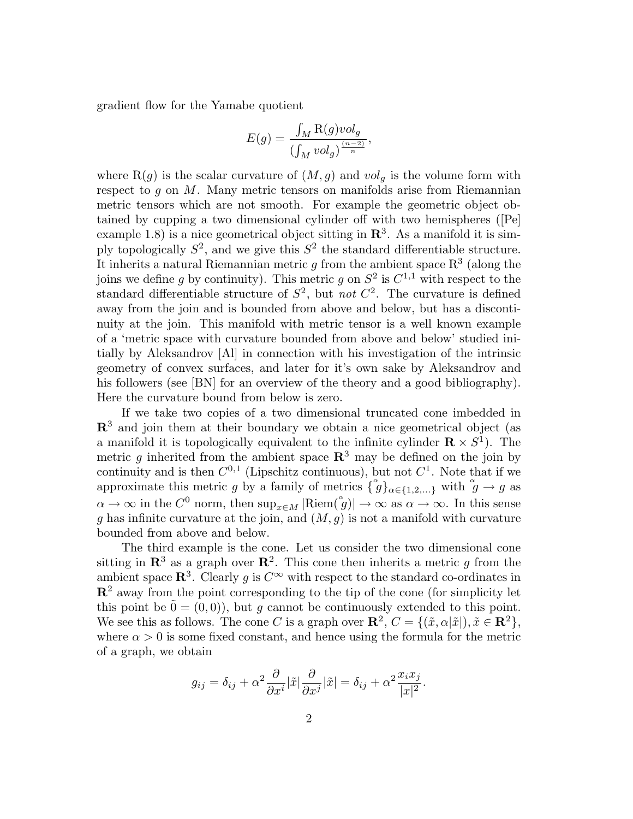gradient flow for the Yamabe quotient

$$
E(g) = \frac{\int_M \mathcal{R}(g) \nu o l_g}{\left(\int_M \nu o l_g\right)^{\frac{(n-2)}{n}}},
$$

where  $R(g)$  is the scalar curvature of  $(M,g)$  and  $vol<sub>q</sub>$  is the volume form with respect to q on  $M$ . Many metric tensors on manifolds arise from Riemannian metric tensors which are not smooth. For example the geometric object obtained by cupping a two dimensional cylinder off with two hemispheres ([Pe] example 1.8) is a nice geometrical object sitting in  $\mathbb{R}^3$ . As a manifold it is simply topologically  $S^2$ , and we give this  $S^2$  the standard differentiable structure. It inherits a natural Riemannian metric g from the ambient space  $\mathbb{R}^3$  (along the joins we define g by continuity). This metric g on  $S^2$  is  $C^{1,1}$  with respect to the standard differentiable structure of  $S^2$ , but *not*  $C^2$ . The curvature is defined away from the join and is bounded from above and below, but has a discontinuity at the join. This manifold with metric tensor is a well known example of a 'metric space with curvature bounded from above and below' studied initially by Aleksandrov [Al] in connection with his investigation of the intrinsic geometry of convex surfaces, and later for it's own sake by Aleksandrov and his followers (see [BN] for an overview of the theory and a good bibliography). Here the curvature bound from below is zero.

If we take two copies of a two dimensional truncated cone imbedded in  $\mathbb{R}^3$  and join them at their boundary we obtain a nice geometrical object (as a manifold it is topologically equivalent to the infinite cylinder  $\mathbf{R} \times S^1$ ). The metric g inherited from the ambient space  $\mathbb{R}^3$  may be defined on the join by continuity and is then  $C^{0,1}$  (Lipschitz continuous), but not  $C^1$ . Note that if we approximate this metric g by a family of metrics  $\{\hat{g}\}_{{\alpha \in \{1,2,\ldots\}}}$  with  $\hat{g} \to g$  as  $\alpha \to \infty$  in the  $C^0$  norm, then  $\sup_{x \in M} |\text{Riem}(\overset{\circ}{g})| \to \infty$  as  $\alpha \to \infty$ . In this sense g has infinite curvature at the join, and  $(M, g)$  is not a manifold with curvature bounded from above and below.

The third example is the cone. Let us consider the two dimensional cone sitting in  $\mathbb{R}^3$  as a graph over  $\mathbb{R}^2$ . This cone then inherits a metric g from the ambient space  $\mathbb{R}^3$ . Clearly g is  $C^{\infty}$  with respect to the standard co-ordinates in  $\mathbb{R}^2$  away from the point corresponding to the tip of the cone (for simplicity let this point be  $\hat{0} = (0, 0)$ , but g cannot be continuously extended to this point. We see this as follows. The cone C is a graph over  $\mathbb{R}^2$ ,  $C = \{(\tilde{x}, \alpha | \tilde{x}|), \tilde{x} \in \mathbb{R}^2\}$ , where  $\alpha > 0$  is some fixed constant, and hence using the formula for the metric of a graph, we obtain

$$
g_{ij} = \delta_{ij} + \alpha^2 \frac{\partial}{\partial x^i} |\tilde{x}| \frac{\partial}{\partial x^j} |\tilde{x}| = \delta_{ij} + \alpha^2 \frac{x_i x_j}{|x|^2}.
$$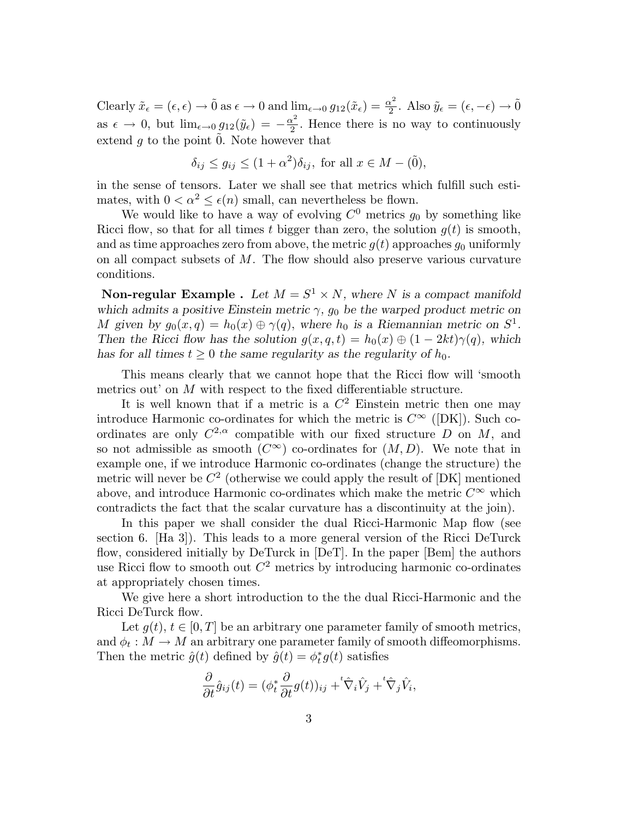Clearly  $\tilde{x}_{\epsilon} = (\epsilon, \epsilon) \rightarrow 0$  as  $\epsilon \rightarrow 0$  and  $\lim_{\epsilon \rightarrow 0} g_{12}(\tilde{x}_{\epsilon}) = \frac{\alpha^2}{2}$  $\frac{\tilde{x}^2}{2}$ . Also  $\tilde{y}_{\epsilon} = (\epsilon, -\epsilon) \rightarrow 0$ as  $\epsilon \to 0$ , but  $\lim_{\epsilon \to 0} g_{12}(\tilde{y}_\epsilon) = -\frac{\alpha^2}{2}$  $\frac{\alpha^2}{2}$ . Hence there is no way to continuously extend  $g$  to the point  $\ddot{0}$ . Note however that

$$
\delta_{ij} \le g_{ij} \le (1+\alpha^2)\delta_{ij}
$$
, for all  $x \in M - (\tilde{0})$ ,

in the sense of tensors. Later we shall see that metrics which fulfill such estimates, with  $0 < \alpha^2 \leq \epsilon(n)$  small, can nevertheless be flown.

We would like to have a way of evolving  $C^0$  metrics  $g_0$  by something like Ricci flow, so that for all times t bigger than zero, the solution  $g(t)$  is smooth, and as time approaches zero from above, the metric  $g(t)$  approaches  $g_0$  uniformly on all compact subsets of  $M$ . The flow should also preserve various curvature conditions.

**Non-regular Example** . Let  $M = S^1 \times N$ , where N is a compact manifold which admits a positive Einstein metric  $\gamma$ ,  $g_0$  be the warped product metric on M given by  $g_0(x,q) = h_0(x) \oplus \gamma(q)$ , where  $h_0$  is a Riemannian metric on  $S^1$ . Then the Ricci flow has the solution  $g(x,q,t) = h_0(x) \oplus (1 - 2kt)\gamma(q)$ , which has for all times  $t \geq 0$  the same regularity as the regularity of  $h_0$ .

This means clearly that we cannot hope that the Ricci flow will 'smooth metrics out' on M with respect to the fixed differentiable structure.

It is well known that if a metric is a  $C^2$  Einstein metric then one may introduce Harmonic co-ordinates for which the metric is  $C^{\infty}$  ([DK]). Such coordinates are only  $C^{2,\alpha}$  compatible with our fixed structure D on M, and so not admissible as smooth  $(C^{\infty})$  co-ordinates for  $(M, D)$ . We note that in example one, if we introduce Harmonic co-ordinates (change the structure) the metric will never be  $C^2$  (otherwise we could apply the result of  $[DK]$  mentioned above, and introduce Harmonic co-ordinates which make the metric  $C^{\infty}$  which contradicts the fact that the scalar curvature has a discontinuity at the join).

In this paper we shall consider the dual Ricci-Harmonic Map flow (see section 6. [Ha 3]). This leads to a more general version of the Ricci DeTurck flow, considered initially by DeTurck in [DeT]. In the paper [Bem] the authors use Ricci flow to smooth out  $C^2$  metrics by introducing harmonic co-ordinates at appropriately chosen times.

We give here a short introduction to the the dual Ricci-Harmonic and the Ricci DeTurck flow.

Let  $q(t)$ ,  $t \in [0, T]$  be an arbitrary one parameter family of smooth metrics, and  $\phi_t : M \to M$  an arbitrary one parameter family of smooth diffeomorphisms. Then the metric  $\hat{g}(t)$  defined by  $\hat{g}(t) = \phi_t^* g(t)$  satisfies

$$
\frac{\partial}{\partial t}\hat{g}_{ij}(t) = (\phi_t^* \frac{\partial}{\partial t}g(t))_{ij} + {}^t \hat{\nabla}_i \hat{V}_j + {}^t \hat{\nabla}_j \hat{V}_i,
$$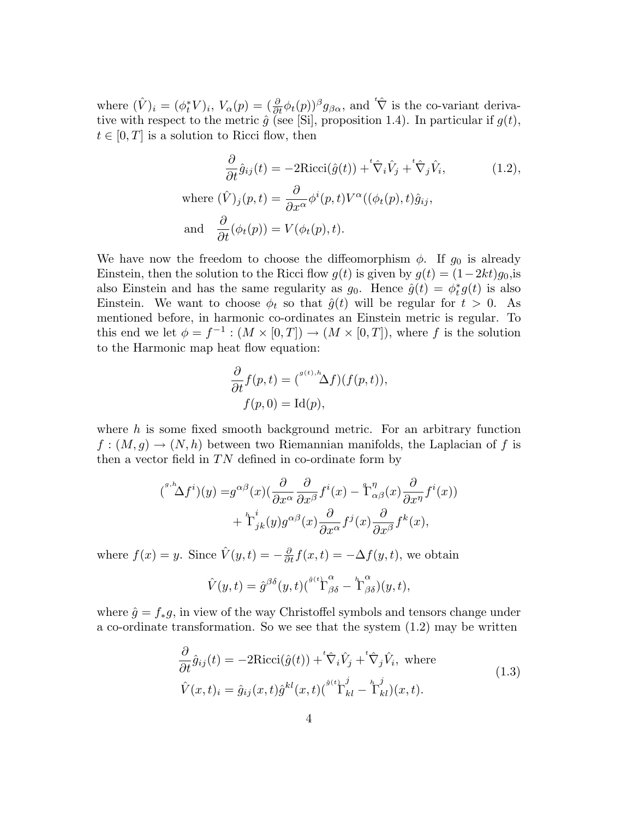where  $(\hat{V})_i = (\phi_t^* V)_i$ ,  $V_\alpha(p) = (\frac{\partial}{\partial t} \phi_t(p))^{\beta} g_{\beta\alpha}$ , and  ${}^t \hat{\nabla}$  is the co-variant derivative with respect to the metric  $\hat{g}$  (see [Si], proposition 1.4). In particular if  $g(t)$ ,  $t \in [0, T]$  is a solution to Ricci flow, then

$$
\frac{\partial}{\partial t}\hat{g}_{ij}(t) = -2\text{Ricci}(\hat{g}(t)) + {}^{t}\hat{\nabla}_{i}\hat{V}_{j} + {}^{t}\hat{\nabla}_{j}\hat{V}_{i},
$$
\nwhere  $(\hat{V})_{j}(p, t) = \frac{\partial}{\partial x^{\alpha}}\phi^{i}(p, t)V^{\alpha}((\phi_{t}(p), t)\hat{g}_{ij},)$   
\nand  $\frac{\partial}{\partial t}(\phi_{t}(p)) = V(\phi_{t}(p), t).$  (1.2)

We have now the freedom to choose the diffeomorphism  $\phi$ . If  $g_0$  is already Einstein, then the solution to the Ricci flow  $g(t)$  is given by  $g(t) = (1-2kt)g_0$ , is also Einstein and has the same regularity as  $g_0$ . Hence  $\hat{g}(t) = \phi_t^* g(t)$  is also Einstein. We want to choose  $\phi_t$  so that  $\hat{g}(t)$  will be regular for  $t > 0$ . As mentioned before, in harmonic co-ordinates an Einstein metric is regular. To this end we let  $\phi = f^{-1} : (M \times [0,T]) \to (M \times [0,T])$ , where f is the solution to the Harmonic map heat flow equation:

$$
\frac{\partial}{\partial t} f(p, t) = {^{g(t), h}\Delta f}(f(p, t)),
$$
  

$$
f(p, 0) = \text{Id}(p),
$$

where  $h$  is some fixed smooth background metric. For an arbitrary function  $f:(M,g)\to (N,h)$  between two Riemannian manifolds, the Laplacian of f is then a vector field in  $TN$  defined in co-ordinate form by

$$
(s^{n,h}\Delta f^i)(y) = g^{\alpha\beta}(x)\left(\frac{\partial}{\partial x^{\alpha}}\frac{\partial}{\partial x^{\beta}}f^i(x) - \mathring{T}^{\eta}_{\alpha\beta}(x)\frac{\partial}{\partial x^{\eta}}f^i(x)\right) + \mathring{T}^i_{jk}(y)g^{\alpha\beta}(x)\frac{\partial}{\partial x^{\alpha}}f^j(x)\frac{\partial}{\partial x^{\beta}}f^k(x),
$$

where  $f(x) = y$ . Since  $\hat{V}(y, t) = -\frac{\partial}{\partial t}f(x, t) = -\Delta f(y, t)$ , we obtain

$$
\hat{V}(y,t) = \hat{g}^{\beta\delta}(y,t) \left(\int^{\hat{g}(t)} \Gamma^{\alpha}_{\beta\delta} - \Gamma^{\alpha}_{\beta\delta}\right)(y,t),
$$

where  $\hat{g} = f_*g$ , in view of the way Christoffel symbols and tensors change under a co-ordinate transformation. So we see that the system  $(1.2)$  may be written

$$
\frac{\partial}{\partial t}\hat{g}_{ij}(t) = -2\text{Ricci}(\hat{g}(t)) + \mathring{\nabla}_i \hat{V}_j + \mathring{\nabla}_j \hat{V}_i, \text{ where}
$$
\n
$$
\hat{V}(x,t)_i = \hat{g}_{ij}(x,t)\hat{g}^{kl}(x,t)\left(\mathring{\nabla}_k^{\hat{g}(t)} - \mathring{\nabla}_k^j(x,t)\right). \tag{1.3}
$$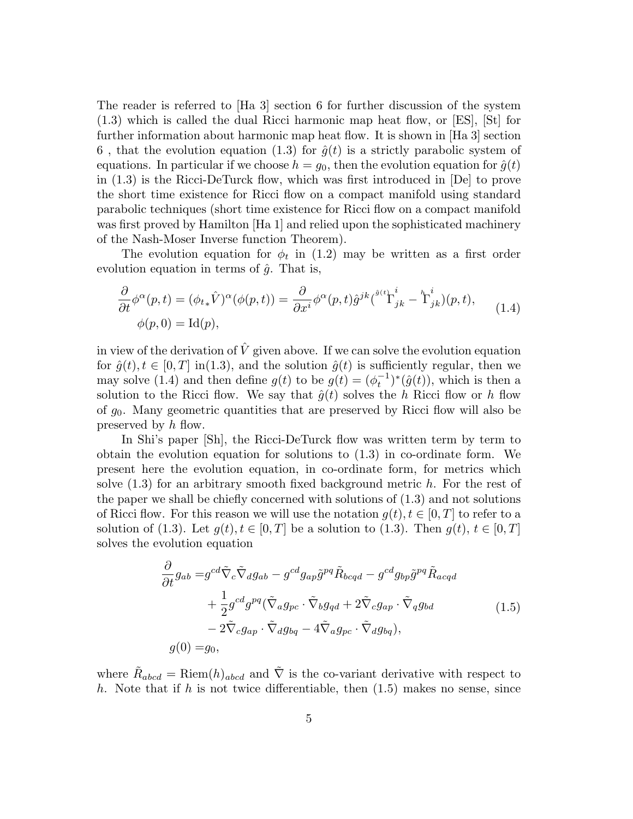The reader is referred to [Ha 3] section 6 for further discussion of the system (1.3) which is called the dual Ricci harmonic map heat flow, or [ES], [St] for further information about harmonic map heat flow. It is shown in [Ha 3] section 6, that the evolution equation (1.3) for  $\hat{g}(t)$  is a strictly parabolic system of equations. In particular if we choose  $h = g_0$ , then the evolution equation for  $\hat{g}(t)$ in (1.3) is the Ricci-DeTurck flow, which was first introduced in [De] to prove the short time existence for Ricci flow on a compact manifold using standard parabolic techniques (short time existence for Ricci flow on a compact manifold was first proved by Hamilton [Ha 1] and relied upon the sophisticated machinery of the Nash-Moser Inverse function Theorem).

The evolution equation for  $\phi_t$  in (1.2) may be written as a first order evolution equation in terms of  $\hat{g}$ . That is,

$$
\frac{\partial}{\partial t} \phi^{\alpha}(p,t) = (\phi_{t*} \hat{V})^{\alpha}(\phi(p,t)) = \frac{\partial}{\partial x^{i}} \phi^{\alpha}(p,t) \hat{g}^{jk} {\hat{V}}^{i}_{jk} - \overset{h}{\Gamma}^{i}_{jk} (p,t),
$$
\n
$$
\phi(p,0) = \text{Id}(p),
$$
\n(1.4)

in view of the derivation of  $\hat{V}$  given above. If we can solve the evolution equation for  $\hat{g}(t), t \in [0, T]$  in(1.3), and the solution  $\hat{g}(t)$  is sufficiently regular, then we may solve (1.4) and then define  $g(t)$  to be  $g(t) = (\phi_t^{-1})^*(\hat{g}(t))$ , which is then a solution to the Ricci flow. We say that  $\hat{g}(t)$  solves the h Ricci flow or h flow of g0. Many geometric quantities that are preserved by Ricci flow will also be preserved by h flow.

In Shi's paper [Sh], the Ricci-DeTurck flow was written term by term to obtain the evolution equation for solutions to (1.3) in co-ordinate form. We present here the evolution equation, in co-ordinate form, for metrics which solve  $(1.3)$  for an arbitrary smooth fixed background metric h. For the rest of the paper we shall be chiefly concerned with solutions of (1.3) and not solutions of Ricci flow. For this reason we will use the notation  $g(t), t \in [0, T]$  to refer to a solution of (1.3). Let  $g(t), t \in [0,T]$  be a solution to (1.3). Then  $g(t), t \in [0,T]$ solves the evolution equation

$$
\frac{\partial}{\partial t}g_{ab} = g^{cd}\tilde{\nabla}_c\tilde{\nabla}_d g_{ab} - g^{cd}g_{ap}\tilde{g}^{pq}\tilde{R}_{bcqd} - g^{cd}g_{bp}\tilde{g}^{pq}\tilde{R}_{acqd} \n+ \frac{1}{2}g^{cd}g^{pq}(\tilde{\nabla}_a g_{pc} \cdot \tilde{\nabla}_b g_{qd} + 2\tilde{\nabla}_c g_{ap} \cdot \tilde{\nabla}_q g_{bd} \n- 2\tilde{\nabla}_c g_{ap} \cdot \tilde{\nabla}_d g_{bq} - 4\tilde{\nabla}_a g_{pc} \cdot \tilde{\nabla}_d g_{bq}), \ng(0) = g_0,
$$
\n(1.5)

where  $\tilde{R}_{abcd} = \text{Riem}(h)_{abcd}$  and  $\tilde{\nabla}$  is the co-variant derivative with respect to h. Note that if h is not twice differentiable, then  $(1.5)$  makes no sense, since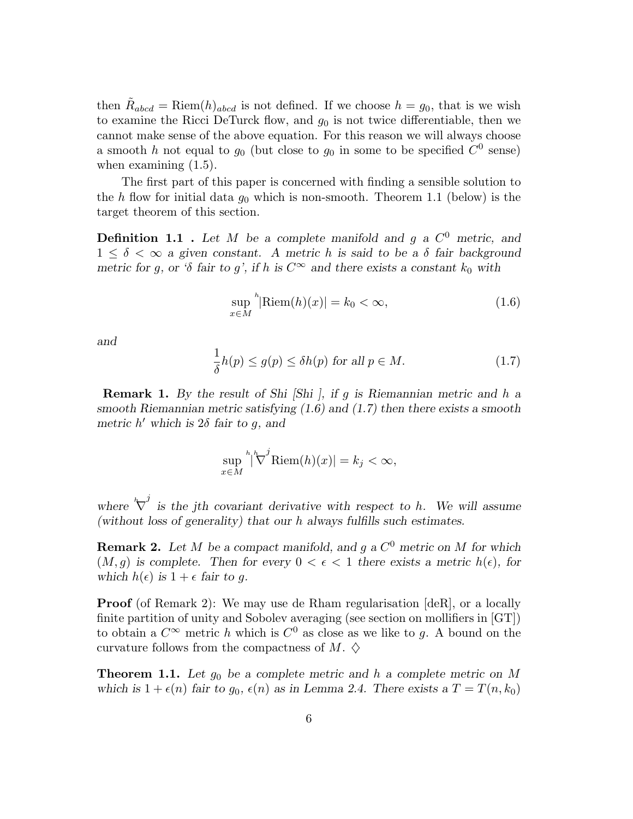then  $\tilde{R}_{abcd} = \text{Riem}(h)_{abcd}$  is not defined. If we choose  $h = g_0$ , that is we wish to examine the Ricci DeTurck flow, and  $g_0$  is not twice differentiable, then we cannot make sense of the above equation. For this reason we will always choose a smooth h not equal to  $g_0$  (but close to  $g_0$  in some to be specified  $C^0$  sense) when examining  $(1.5)$ .

The first part of this paper is concerned with finding a sensible solution to the h flow for initial data  $g_0$  which is non-smooth. Theorem 1.1 (below) is the target theorem of this section.

**Definition 1.1** . Let M be a complete manifold and g a  $C^0$  metric, and  $1 \leq \delta \leq \infty$  a given constant. A metric h is said to be a  $\delta$  fair background metric for q, or 'δ fair to q', if h is  $C^{\infty}$  and there exists a constant  $k_0$  with

$$
\sup_{x \in M} {}^{h}|\text{Riem}(h)(x)| = k_0 < \infty,\tag{1.6}
$$

and

$$
\frac{1}{\delta}h(p) \le g(p) \le \delta h(p) \text{ for all } p \in M. \tag{1.7}
$$

**Remark 1.** By the result of Shi [Shi ], if g is Riemannian metric and h a smooth Riemannian metric satisfying  $(1.6)$  and  $(1.7)$  then there exists a smooth metric  $h'$  which is  $2\delta$  fair to g, and

$$
\sup_{x \in M} \sqrt[h]{\nabla^j \text{Riem}(h)(x)} = k_j < \infty,
$$

where  $\sqrt[k]{\nabla}$ is the jth covariant derivative with respect to h. We will assume (without loss of generality) that our h always fulfills such estimates.

**Remark 2.** Let M be a compact manifold, and g a  $C^0$  metric on M for which  $(M, g)$  is complete. Then for every  $0 < \epsilon < 1$  there exists a metric  $h(\epsilon)$ , for which  $h(\epsilon)$  is  $1 + \epsilon$  fair to g.

**Proof** (of Remark 2): We may use de Rham regularisation [deR], or a locally finite partition of unity and Sobolev averaging (see section on mollifiers in [GT]) to obtain a  $C^{\infty}$  metric h which is  $C^0$  as close as we like to g. A bound on the curvature follows from the compactness of M.  $\diamondsuit$ 

**Theorem 1.1.** Let  $g_0$  be a complete metric and h a complete metric on M which is  $1 + \epsilon(n)$  fair to  $g_0, \epsilon(n)$  as in Lemma 2.4. There exists a  $T = T(n, k_0)$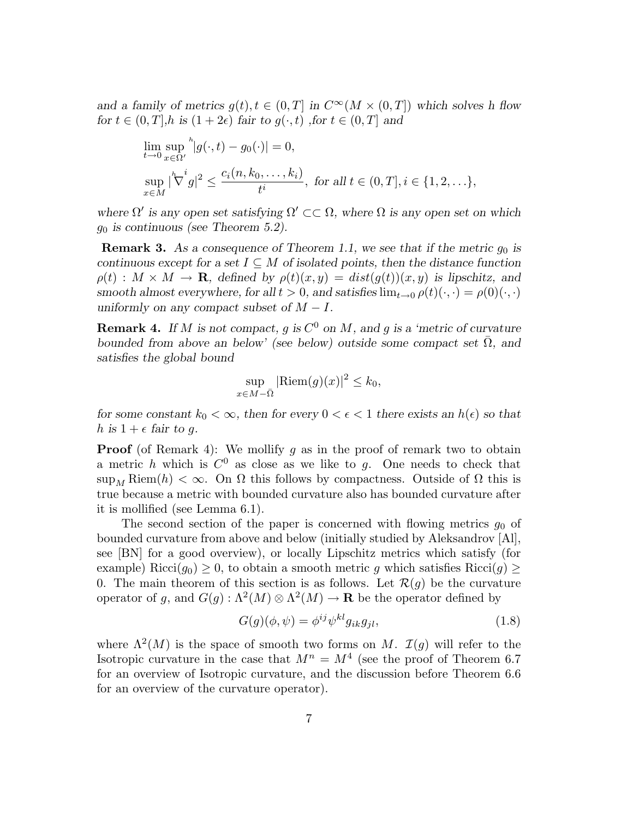and a family of metrics  $q(t), t \in (0,T]$  in  $C^{\infty}(M \times (0,T])$  which solves h flow for  $t \in (0,T], h$  is  $(1+2\epsilon)$  fair to  $q(\cdot,t)$ , for  $t \in (0,T]$  and

$$
\lim_{t \to 0} \sup_{x \in \Omega'} \frac{h}{|g(\cdot, t) - g_0(\cdot)|} = 0,
$$
\n
$$
\sup_{x \in M} |\nabla^i g|^2 \le \frac{c_i(n, k_0, \dots, k_i)}{t^i}, \text{ for all } t \in (0, T], i \in \{1, 2, \dots\},\
$$

where  $\Omega'$  is any open set satisfying  $\Omega' \subset\subset \Omega$ , where  $\Omega$  is any open set on which  $g_0$  is continuous (see Theorem 5.2).

**Remark 3.** As a consequence of Theorem 1.1, we see that if the metric  $g_0$  is continuous except for a set  $I \subseteq M$  of isolated points, then the distance function  $\rho(t): M \times M \to \mathbf{R}$ , defined by  $\rho(t)(x,y) = dist(g(t))(x,y)$  is lipschitz, and smooth almost everywhere, for all  $t > 0$ , and satisfies  $\lim_{t \to 0} \rho(t)(\cdot, \cdot) = \rho(0)(\cdot, \cdot)$ uniformly on any compact subset of  $M - I$ .

**Remark 4.** If M is not compact, g is  $C^0$  on M, and g is a 'metric of curvature bounded from above an below' (see below) outside some compact set  $\overline{\Omega}$ , and satisfies the global bound

$$
\sup_{x \in M - \bar{\Omega}} |\text{Riem}(g)(x)|^2 \le k_0,
$$

for some constant  $k_0 < \infty$ , then for every  $0 < \epsilon < 1$  there exists an  $h(\epsilon)$  so that h is  $1 + \epsilon$  fair to q.

**Proof** (of Remark 4): We mollify q as in the proof of remark two to obtain a metric h which is  $C^0$  as close as we like to g. One needs to check that sup<sub>M</sub> Riem(h) <  $\infty$ . On  $\Omega$  this follows by compactness. Outside of  $\Omega$  this is true because a metric with bounded curvature also has bounded curvature after it is mollified (see Lemma 6.1).

The second section of the paper is concerned with flowing metrics  $g_0$  of bounded curvature from above and below (initially studied by Aleksandrov [Al], see [BN] for a good overview), or locally Lipschitz metrics which satisfy (for example) Ricci( $g_0$ )  $\geq$  0, to obtain a smooth metric g which satisfies Ricci(g)  $\geq$ 0. The main theorem of this section is as follows. Let  $\mathcal{R}(q)$  be the curvature operator of g, and  $G(g) : \Lambda^2(M) \otimes \Lambda^2(M) \to \mathbf{R}$  be the operator defined by

$$
G(g)(\phi, \psi) = \phi^{ij} \psi^{kl} g_{ik} g_{jl}, \qquad (1.8)
$$

where  $\Lambda^2(M)$  is the space of smooth two forms on M.  $\mathcal{I}(g)$  will refer to the Isotropic curvature in the case that  $M^n = M^4$  (see the proof of Theorem 6.7) for an overview of Isotropic curvature, and the discussion before Theorem 6.6 for an overview of the curvature operator).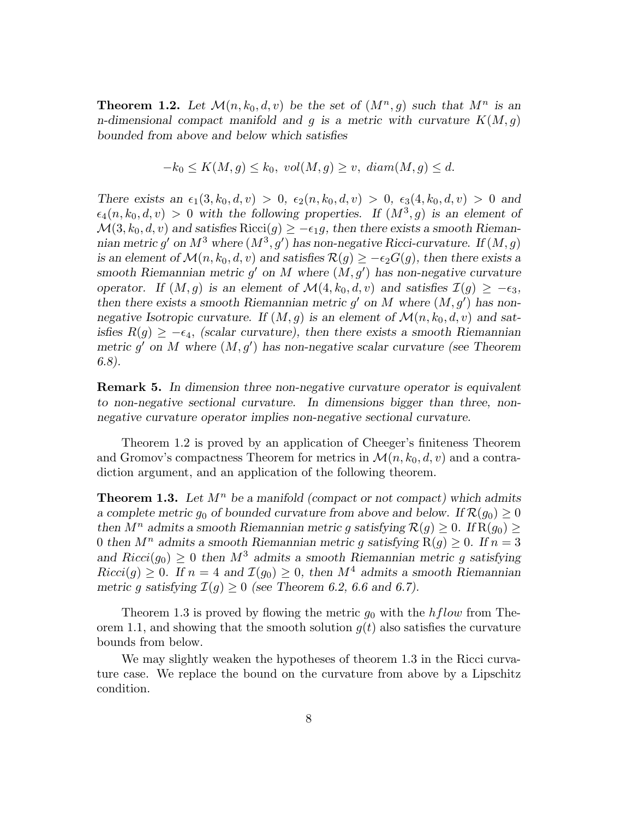**Theorem 1.2.** Let  $\mathcal{M}(n,k_0,d,v)$  be the set of  $(M^n,g)$  such that  $M^n$  is an n-dimensional compact manifold and q is a metric with curvature  $K(M, q)$ bounded from above and below which satisfies

$$
-k_0 \le K(M,g) \le k_0, vol(M,g) \ge v, diam(M,g) \le d.
$$

There exists an  $\epsilon_1(3,k_0,d,v) > 0$ ,  $\epsilon_2(n,k_0,d,v) > 0$ ,  $\epsilon_3(4,k_0,d,v) > 0$  and  $\epsilon_4(n, k_0, d, v) > 0$  with the following properties. If  $(M^3, g)$  is an element of  $\mathcal{M}(3,k_0,d,v)$  and satisfies Ricci(g)  $\geq -\epsilon_1g$ , then there exists a smooth Riemannian metric g' on  $M^3$  where  $(M^3, g')$  has non-negative Ricci-curvature. If  $(M, g)$ is an element of  $\mathcal{M}(n,k_0,d,v)$  and satisfies  $\mathcal{R}(q) \ge -\epsilon_2 G(q)$ , then there exists a smooth Riemannian metric  $g'$  on M where  $(M, g')$  has non-negative curvature operator. If  $(M,g)$  is an element of  $\mathcal{M}(4,k_0,d,v)$  and satisfies  $\mathcal{I}(g) \geq -\epsilon_3$ , then there exists a smooth Riemannian metric  $g'$  on M where  $(M, g')$  has nonnegative Isotropic curvature. If  $(M, g)$  is an element of  $\mathcal{M}(n, k_0, d, v)$  and satisfies  $R(g) \geq -\epsilon_4$ , (scalar curvature), then there exists a smooth Riemannian metric  $g'$  on M where  $(M, g')$  has non-negative scalar curvature (see Theorem 6.8).

Remark 5. In dimension three non-negative curvature operator is equivalent to non-negative sectional curvature. In dimensions bigger than three, nonnegative curvature operator implies non-negative sectional curvature.

Theorem 1.2 is proved by an application of Cheeger's finiteness Theorem and Gromov's compactness Theorem for metrics in  $\mathcal{M}(n,k_0,d,v)$  and a contradiction argument, and an application of the following theorem.

**Theorem 1.3.** Let  $M^n$  be a manifold (compact or not compact) which admits a complete metric  $g_0$  of bounded curvature from above and below. If  $\mathcal{R}(g_0) \geq 0$ then  $M^n$  admits a smooth Riemannian metric g satisfying  $\mathcal{R}(g) \geq 0$ . If  $R(g_0) \geq$ 0 then  $M^n$  admits a smooth Riemannian metric q satisfying  $R(q) \geq 0$ . If  $n = 3$ and  $Ricci(q_0) \geq 0$  then  $M^3$  admits a smooth Riemannian metric g satisfying  $Ricci(g) \geq 0$ . If  $n = 4$  and  $\mathcal{I}(g_0) \geq 0$ , then  $M^4$  admits a smooth Riemannian metric g satisfying  $\mathcal{I}(q) \geq 0$  (see Theorem 6.2, 6.6 and 6.7).

Theorem 1.3 is proved by flowing the metric  $g_0$  with the *hflow* from Theorem 1.1, and showing that the smooth solution  $g(t)$  also satisfies the curvature bounds from below.

We may slightly weaken the hypotheses of theorem 1.3 in the Ricci curvature case. We replace the bound on the curvature from above by a Lipschitz condition.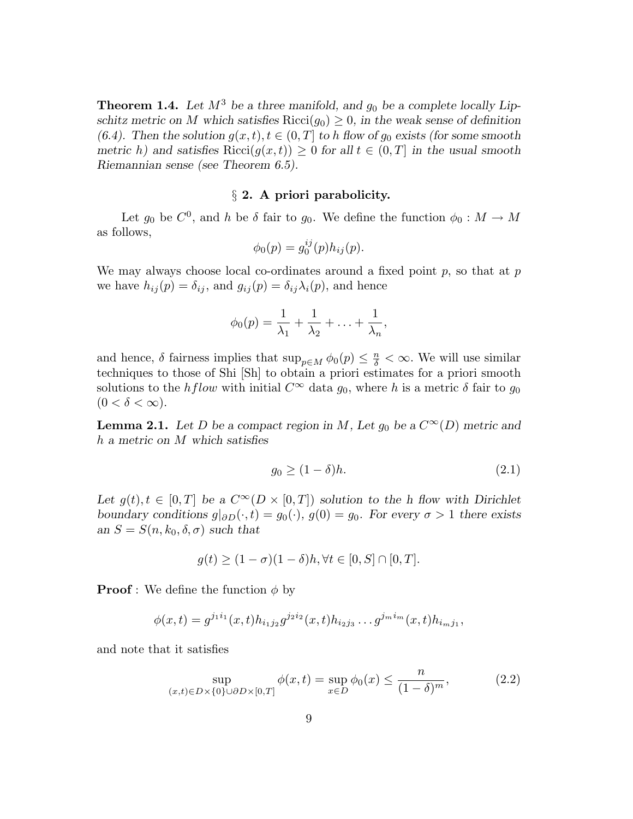**Theorem 1.4.** Let  $M^3$  be a three manifold, and  $g_0$  be a complete locally Lipschitz metric on M which satisfies Ricci( $g_0$ )  $\geq$  0, in the weak sense of definition (6.4). Then the solution  $g(x,t)$ ,  $t \in (0,T]$  to h flow of  $g_0$  exists (for some smooth metric h) and satisfies  $Ricci(g(x,t)) \geq 0$  for all  $t \in (0,T]$  in the usual smooth Riemannian sense (see Theorem 6.5).

## § 2. A priori parabolicity.

Let  $g_0$  be  $C^0$ , and h be  $\delta$  fair to  $g_0$ . We define the function  $\phi_0 : M \to M$ as follows,

$$
\phi_0(p) = g_0^{ij}(p)h_{ij}(p).
$$

We may always choose local co-ordinates around a fixed point  $p$ , so that at  $p$ we have  $h_{ij}(p) = \delta_{ij}$ , and  $g_{ij}(p) = \delta_{ij}\lambda_i(p)$ , and hence

$$
\phi_0(p) = \frac{1}{\lambda_1} + \frac{1}{\lambda_2} + \ldots + \frac{1}{\lambda_n},
$$

and hence,  $\delta$  fairness implies that  $\sup_{p \in M} \phi_0(p) \leq \frac{n}{\delta} < \infty$ . We will use similar techniques to those of Shi [Sh] to obtain a priori estimates for a priori smooth solutions to the hflow with initial  $C^{\infty}$  data  $g_0$ , where h is a metric δ fair to  $g_0$  $(0 < \delta < \infty).$ 

**Lemma 2.1.** Let D be a compact region in M, Let  $g_0$  be a  $C^{\infty}(D)$  metric and h a metric on M which satisfies

$$
g_0 \ge (1 - \delta)h. \tag{2.1}
$$

Let  $g(t), t \in [0,T]$  be a  $C^{\infty}(D \times [0,T])$  solution to the h flow with Dirichlet boundary conditions  $g|_{\partial D}(\cdot,t) = g_0(\cdot), g(0) = g_0$ . For every  $\sigma > 1$  there exists an  $S = S(n, k_0, \delta, \sigma)$  such that

$$
g(t) \ge (1 - \sigma)(1 - \delta)h, \forall t \in [0, S] \cap [0, T].
$$

**Proof**: We define the function  $\phi$  by

$$
\phi(x,t) = g^{j_1 i_1}(x,t) h_{i_1 j_2} g^{j_2 i_2}(x,t) h_{i_2 j_3} \dots g^{j_m i_m}(x,t) h_{i_m j_1},
$$

and note that it satisfies

$$
\sup_{(x,t)\in D\times\{0\}\cup\partial D\times[0,T]} \phi(x,t) = \sup_{x\in D} \phi_0(x) \le \frac{n}{(1-\delta)^m},
$$
\n(2.2)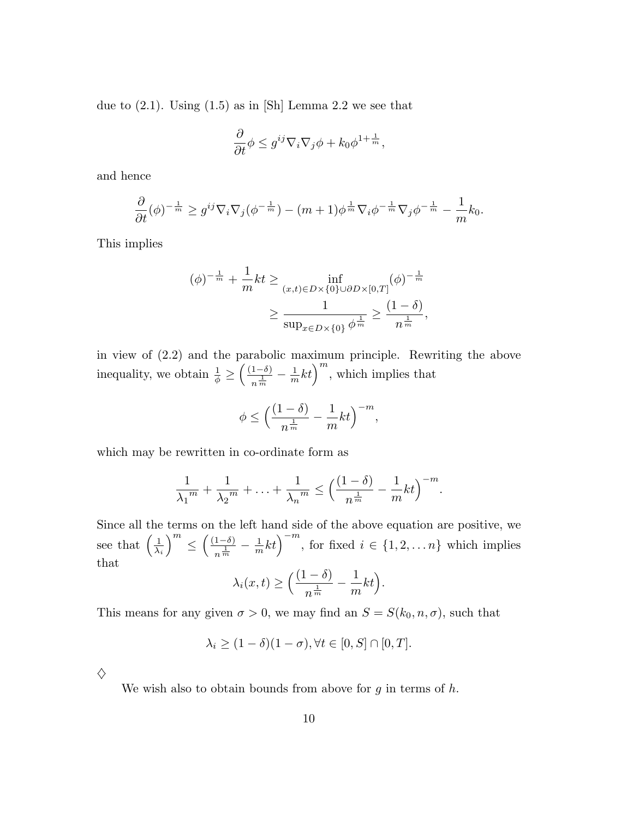due to  $(2.1)$ . Using  $(1.5)$  as in [Sh] Lemma 2.2 we see that

$$
\frac{\partial}{\partial t}\phi \leq g^{ij}\nabla_i\nabla_j\phi + k_0\phi^{1+\frac{1}{m}},
$$

and hence

$$
\frac{\partial}{\partial t}(\phi)^{-\frac{1}{m}} \geq g^{ij}\nabla_i\nabla_j(\phi^{-\frac{1}{m}}) - (m+1)\phi^{\frac{1}{m}}\nabla_i\phi^{-\frac{1}{m}}\nabla_j\phi^{-\frac{1}{m}} - \frac{1}{m}k_0.
$$

This implies

$$
(\phi)^{-\frac{1}{m}} + \frac{1}{m}kt \ge \inf_{(x,t)\in D\times\{0\}\cup\partial D\times[0,T]} (\phi)^{-\frac{1}{m}}
$$

$$
\ge \frac{1}{\sup_{x\in D\times\{0\}} \phi^{\frac{1}{m}}} \ge \frac{(1-\delta)}{n^{\frac{1}{m}}},
$$

in view of (2.2) and the parabolic maximum principle. Rewriting the above inequality, we obtain  $\frac{1}{\phi} \geq$  $\left( \frac{(1-\delta)}{2} \right)$  $\frac{1-\delta}{n^{\frac{1}{m}}} - \frac{1}{m}kt\bigg)^m$ , which implies that

$$
\phi \le \Bigl( \frac{(1-\delta)}{n^{\frac{1}{m}}} - \frac{1}{m}kt \Bigr)^{-m},
$$

which may be rewritten in co-ordinate form as

$$
\frac{1}{\lambda_1^m} + \frac{1}{\lambda_2^m} + \ldots + \frac{1}{\lambda_n^m} \le \left(\frac{(1-\delta)}{n^{\frac{1}{m}}} - \frac{1}{m}kt\right)^{-m}.
$$

Since all the terms on the left hand side of the above equation are positive, we see that  $\left(\frac{1}{\lambda}\right)$  $\lambda_i$  $\binom{m}{m}$ ≤  $\left( \frac{(1-\delta)}{2} \right)$  $\frac{1-\delta}{n^{\frac{1}{m}}} - \frac{1}{m}kt\right)^{-m}$ , for fixed  $i \in \{1, 2, ..., n\}$  which implies that 1

$$
\lambda_i(x,t) \ge \Big(\frac{(1-\delta)}{n^{\frac{1}{m}}} - \frac{1}{m}kt\Big).
$$

This means for any given  $\sigma > 0$ , we may find an  $S = S(k_0, n, \sigma)$ , such that

$$
\lambda_i \ge (1 - \delta)(1 - \sigma), \forall t \in [0, S] \cap [0, T].
$$

 $\diamondsuit$ 

We wish also to obtain bounds from above for  $g$  in terms of  $h$ .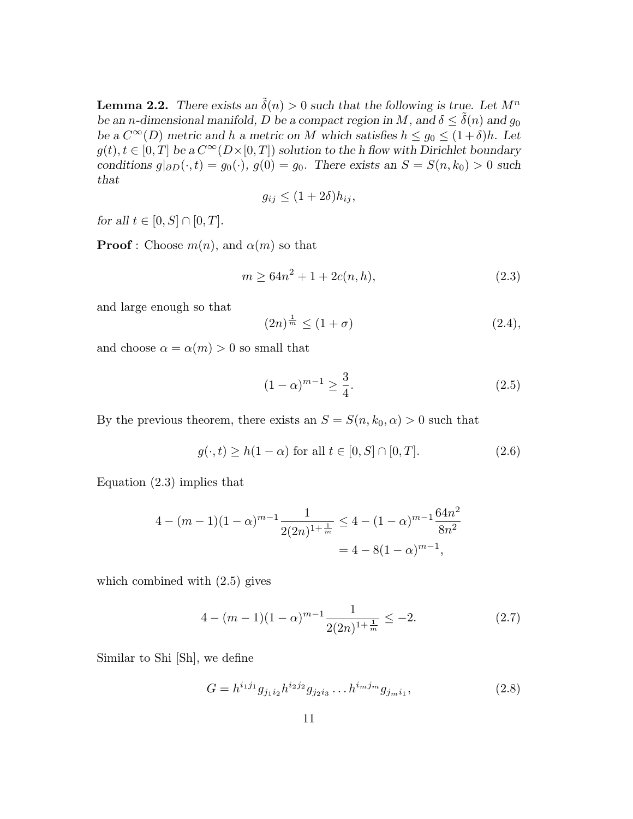**Lemma 2.2.** There exists an  $\tilde{\delta}(n) > 0$  such that the following is true. Let  $M^n$ be an n-dimensional manifold, D be a compact region in M, and  $\delta \leq \tilde{\delta}(n)$  and  $g_0$ be a  $C^{\infty}(D)$  metric and h a metric on M which satisfies  $h \leq g_0 \leq (1+\delta)h$ . Let  $g(t), t \in [0,T]$  be a  $C^{\infty}(D\times[0,T])$  solution to the h flow with Dirichlet boundary conditions  $g|_{\partial D}(\cdot,t) = g_0(\cdot), g(0) = g_0$ . There exists an  $S = S(n,k_0) > 0$  such that

$$
g_{ij} \le (1+2\delta)h_{ij},
$$

for all  $t \in [0, S] \cap [0, T]$ .

**Proof**: Choose  $m(n)$ , and  $\alpha(m)$  so that

$$
m \ge 64n^2 + 1 + 2c(n, h),\tag{2.3}
$$

and large enough so that

$$
(2n)^{\frac{1}{m}} \le (1+\sigma) \tag{2.4},
$$

and choose  $\alpha = \alpha(m) > 0$  so small that

$$
(1 - \alpha)^{m-1} \ge \frac{3}{4}.\tag{2.5}
$$

By the previous theorem, there exists an  $S = S(n, k_0, \alpha) > 0$  such that

$$
g(\cdot, t) \ge h(1 - \alpha) \text{ for all } t \in [0, S] \cap [0, T]. \tag{2.6}
$$

Equation (2.3) implies that

$$
4 - (m - 1)(1 - \alpha)^{m-1} \frac{1}{2(2n)^{1 + \frac{1}{m}}} \le 4 - (1 - \alpha)^{m-1} \frac{64n^2}{8n^2}
$$
  
= 4 - 8(1 - \alpha)^{m-1},

which combined with (2.5) gives

$$
4 - (m - 1)(1 - \alpha)^{m - 1} \frac{1}{2(2n)^{1 + \frac{1}{m}}} \le -2.
$$
 (2.7)

Similar to Shi [Sh], we define

$$
G = h^{i_1 j_1} g_{j_1 i_2} h^{i_2 j_2} g_{j_2 i_3} \dots h^{i_m j_m} g_{j_m i_1},
$$
\n(2.8)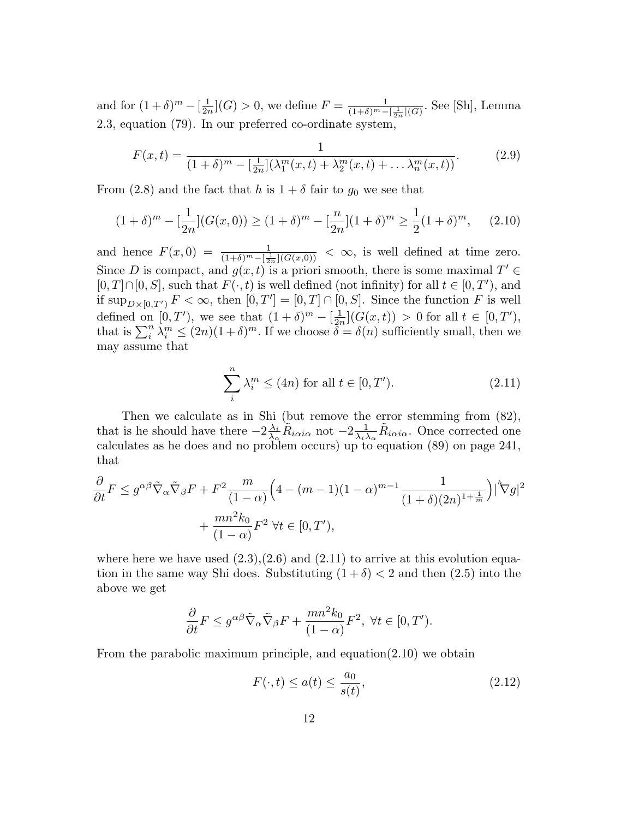and for  $(1+\delta)^m - \left[\frac{1}{2n}\right]$  $\frac{1}{2n}$ ](*G*) > 0, we define  $F = \frac{1}{(1+\delta)^m - 1}$  $\frac{1}{(1+\delta)^m - \left[\frac{1}{2n}\right](G)}$ . See [Sh], Lemma 2.3, equation (79). In our preferred co-ordinate system,

$$
F(x,t) = \frac{1}{(1+\delta)^m - \left[\frac{1}{2n}\right](\lambda_1^m(x,t) + \lambda_2^m(x,t) + \dots \lambda_n^m(x,t))}.
$$
 (2.9)

From (2.8) and the fact that h is  $1 + \delta$  fair to  $g_0$  we see that

$$
(1+\delta)^m - \left[\frac{1}{2n}\right](G(x,0)) \ge (1+\delta)^m - \left[\frac{n}{2n}\right](1+\delta)^m \ge \frac{1}{2}(1+\delta)^m,\tag{2.10}
$$

and hence  $F(x, 0) = \frac{1}{(1+\delta)^m - \left[\frac{1}{2n}\right](G(x,0))} < \infty$ , is well defined at time zero. Since D is compact, and  $g(x,t)$  is a priori smooth, there is some maximal  $T' \in$  $[0, T] \cap [0, S]$ , such that  $F(\cdot, t)$  is well defined (not infinity) for all  $t \in [0, T')$ , and if  $\sup_{D\times[0,T')} F<\infty$ , then  $[0,T']=[0,T]\cap[0,S]$ . Since the function F is well defined on  $[0, T')$ , we see that  $(1 + \delta)^m - \left[\frac{1}{2r}\right]$  $\frac{1}{2n}$ | $(G(x,t)) > 0$  for all  $t \in [0,T'),$ that is  $\sum_i^n \lambda_i^m \leq (2n)(1+\delta)^m$ . If we choose  $\delta = \delta(n)$  sufficiently small, then we may assume that

$$
\sum_{i}^{n} \lambda_i^m \le (4n) \text{ for all } t \in [0, T'). \tag{2.11}
$$

Then we calculate as in Shi (but remove the error stemming from (82), that is he should have there  $-2\frac{\lambda_i}{\lambda_0}$  $\frac{\lambda_i}{\lambda_\alpha} \tilde{R}_{i\alpha i\alpha}$  not  $-2\frac{1}{\lambda_i \lambda_\alpha}$  $\frac{1}{\lambda_i \lambda_\alpha} \tilde{R}_{i\alpha i\alpha}$ . Once corrected one calculates as he does and no problem occurs) up to equation (89) on page 241, that

$$
\frac{\partial}{\partial t} F \le g^{\alpha\beta} \tilde{\nabla}_{\alpha} \tilde{\nabla}_{\beta} F + F^2 \frac{m}{(1-\alpha)} \Big( 4 - (m-1)(1-\alpha)^{m-1} \frac{1}{(1+\delta)(2n)^{1+\frac{1}{m}}} \Big) \Big|^k \nabla g \Big|^2
$$

$$
+ \frac{mn^2 k_0}{(1-\alpha)} F^2 \ \forall t \in [0, T'),
$$

where here we have used  $(2.3),(2.6)$  and  $(2.11)$  to arrive at this evolution equation in the same way Shi does. Substituting  $(1 + \delta) < 2$  and then  $(2.5)$  into the above we get

$$
\frac{\partial}{\partial t}F \le g^{\alpha\beta}\tilde{\nabla}_{\alpha}\tilde{\nabla}_{\beta}F + \frac{mn^2k_0}{(1-\alpha)}F^2, \ \forall t \in [0, T').
$$

From the parabolic maximum principle, and equation(2.10) we obtain

$$
F(\cdot, t) \le a(t) \le \frac{a_0}{s(t)},\tag{2.12}
$$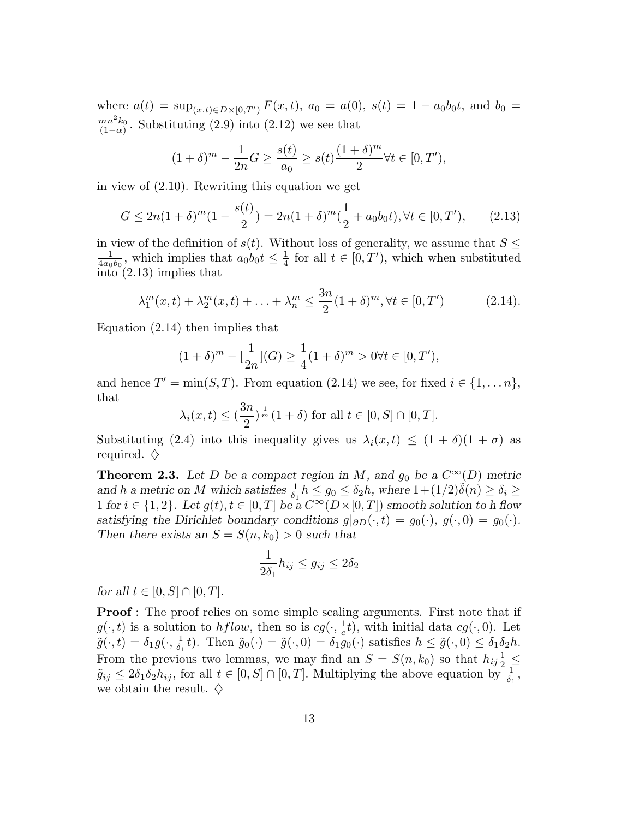where  $a(t) = \sup_{(x,t) \in D \times [0,T']} F(x,t), a_0 = a(0), s(t) = 1 - a_0b_0t,$  and  $b_0 =$  $mn^2k_0$  $\frac{mn\kappa_0}{(1-\alpha)}$ . Substituting (2.9) into (2.12) we see that

$$
(1 + \delta)^m - \frac{1}{2n}G \ge \frac{s(t)}{a_0} \ge s(t) \frac{(1 + \delta)^m}{2} \forall t \in [0, T'),
$$

in view of (2.10). Rewriting this equation we get

$$
G \le 2n(1+\delta)^m(1-\frac{s(t)}{2}) = 2n(1+\delta)^m(\frac{1}{2}+a_0b_0t), \forall t \in [0, T'), \qquad (2.13)
$$

in view of the definition of  $s(t)$ . Without loss of generality, we assume that  $S \leq$ 1  $\frac{1}{4a_0b_0}$ , which implies that  $a_0b_0t \leq \frac{1}{4}$  $\frac{1}{4}$  for all  $t \in [0, T')$ , which when substituted into (2.13) implies that

$$
\lambda_1^m(x,t) + \lambda_2^m(x,t) + \ldots + \lambda_n^m \le \frac{3n}{2} (1+\delta)^m, \forall t \in [0,T')
$$
 (2.14).

Equation (2.14) then implies that

$$
(1+\delta)^m - \left[\frac{1}{2n}\right](G) \ge \frac{1}{4}(1+\delta)^m > 0 \forall t \in [0, T'),
$$

and hence  $T' = \min(S, T)$ . From equation (2.14) we see, for fixed  $i \in \{1, \ldots n\}$ , that

$$
\lambda_i(x,t) \leq \left(\frac{3n}{2}\right)^{\frac{1}{m}}(1+\delta)
$$
 for all  $t \in [0, S] \cap [0, T]$ .

Substituting (2.4) into this inequality gives us  $\lambda_i(x,t) \leq (1+\delta)(1+\sigma)$  as required.  $\diamondsuit$ 

**Theorem 2.3.** Let D be a compact region in M, and  $g_0$  be a  $C^{\infty}(D)$  metric and h a metric on M which satisfies  $\frac{1}{\delta_1} h \leq g_0 \leq \delta_2 h$ , where  $1 + (1/2)\tilde{\delta}(n) \geq \delta_i \geq$ 1 for  $i \in \{1,2\}$ . Let  $g(t), t \in [0,T]$  be a  $C^{\infty}(D\times[0,T])$  smooth solution to h flow satisfying the Dirichlet boundary conditions  $g|_{\partial D}(\cdot,t) = g_0(\cdot), g(\cdot,0) = g_0(\cdot)$ . Then there exists an  $S = S(n, k_0) > 0$  such that

$$
\frac{1}{2\delta_1}h_{ij} \le g_{ij} \le 2\delta_2
$$

for all  $t \in [0, S] \cap [0, T]$ .

**Proof**: The proof relies on some simple scaling arguments. First note that if  $g(\cdot,t)$  is a solution to *hflow*, then so is  $cg(\cdot,\frac{1}{c})$  $(\frac{1}{c}t)$ , with initial data  $cg(\cdot, 0)$ . Let  $\tilde{g}(\cdot,t)=\delta_1 g(\cdot,\frac{1}{\delta_1}$  $\frac{1}{\delta_1}t$ ). Then  $\tilde{g}_0(\cdot) = \tilde{g}(\cdot, 0) = \delta_1 g_0(\cdot)$  satisfies  $h \leq \tilde{g}(\cdot, 0) \leq \delta_1 \delta_2 h$ . From the previous two lemmas, we may find an  $S = S(n, k_0)$  so that  $h_{ij} \frac{1}{2} \leq$  $\tilde{g}_{ij} \leq 2\delta_1 \delta_2 h_{ij}$ , for all  $t \in [0, S] \cap [0, T]$ . Multiplying the above equation by  $\frac{1}{\delta_1}$ , we obtain the result.  $\diamondsuit$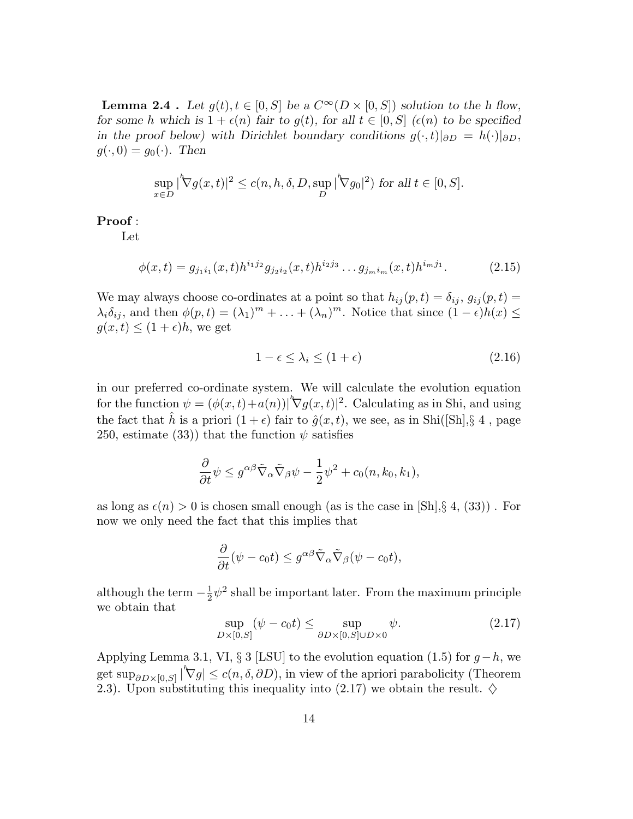**Lemma 2.4** . Let  $q(t), t \in [0, S]$  be a  $C^{\infty}(D \times [0, S])$  solution to the h flow, for some h which is  $1 + \epsilon(n)$  fair to  $q(t)$ , for all  $t \in [0, S]$  ( $\epsilon(n)$ ) to be specified in the proof below) with Dirichlet boundary conditions  $g(\cdot,t)|_{\partial D} = h(\cdot)|_{\partial D}$ ,  $g(\cdot, 0) = g_0(\cdot)$ . Then

$$
\sup_{x \in D} |\nabla g(x, t)|^2 \le c(n, h, \delta, D, \sup_D |\nabla g_0|^2) \text{ for all } t \in [0, S].
$$

Proof :

Let

$$
\phi(x,t) = g_{j_1 i_1}(x,t) h^{i_1 j_2} g_{j_2 i_2}(x,t) h^{i_2 j_3} \dots g_{j_m i_m}(x,t) h^{i_m j_1}.
$$
\n(2.15)

We may always choose co-ordinates at a point so that  $h_{ij}(p,t) = \delta_{ij}$ ,  $g_{ij}(p,t) =$  $\lambda_i \delta_{ij}$ , and then  $\phi(p,t) = (\lambda_1)^m + \ldots + (\lambda_n)^m$ . Notice that since  $(1 - \epsilon)h(x) \le$  $g(x,t) \leq (1+\epsilon)h$ , we get

$$
1 - \epsilon \le \lambda_i \le (1 + \epsilon) \tag{2.16}
$$

in our preferred co-ordinate system. We will calculate the evolution equation for the function  $\psi = (\phi(x, t) + a(n))|\nabla g(x, t)|^2$ . Calculating as in Shi, and using the fact that  $\hat{h}$  is a priori  $(1+\epsilon)$  fair to  $\hat{g}(x,t)$ , we see, as in Shi([Sh], § 4, page 250, estimate (33)) that the function  $\psi$  satisfies

$$
\frac{\partial}{\partial t}\psi \leq g^{\alpha\beta}\tilde{\nabla}_{\alpha}\tilde{\nabla}_{\beta}\psi - \frac{1}{2}\psi^2 + c_0(n,k_0,k_1),
$$

as long as  $\epsilon(n) > 0$  is chosen small enough (as is the case in [Sh], § 4, (33)). For now we only need the fact that this implies that

$$
\frac{\partial}{\partial t}(\psi - c_0 t) \leq g^{\alpha \beta} \tilde{\nabla}_{\alpha} \tilde{\nabla}_{\beta} (\psi - c_0 t),
$$

although the term  $-\frac{1}{2}$  $\frac{1}{2}\psi^2$  shall be important later. From the maximum principle we obtain that

$$
\sup_{D\times[0,S]}(\psi - c_0t) \le \sup_{\partial D\times[0,S]\cup D\times0}\psi.
$$
\n(2.17)

Applying Lemma 3.1, VI, § 3 [LSU] to the evolution equation (1.5) for  $g-h$ , we get  $\sup_{\partial D \times [0,S]} |\nabla g| \le c(n, \delta, \partial D)$ , in view of the apriori parabolicity (Theorem 2.3). Upon substituting this inequality into (2.17) we obtain the result.  $\diamond$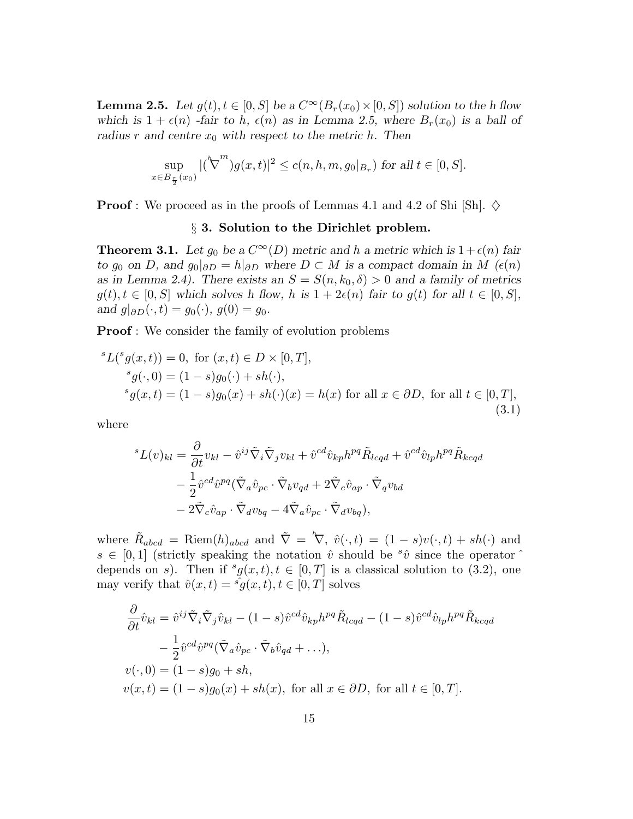**Lemma 2.5.** Let  $g(t), t \in [0, S]$  be a  $C^{\infty}(B_r(x_0) \times [0, S])$  solution to the h flow which is  $1 + \epsilon(n)$  -fair to h,  $\epsilon(n)$  as in Lemma 2.5, where  $B_r(x_0)$  is a ball of radius r and centre  $x_0$  with respect to the metric h. Then

$$
\sup_{x \in B_{\frac{r}{2}}(x_0)} |(\nabla^m) g(x, t)|^2 \le c(n, h, m, g_0|_{B_r}) \text{ for all } t \in [0, S].
$$

**Proof** : We proceed as in the proofs of Lemmas 4.1 and 4.2 of Shi [Sh].  $\diamondsuit$ 

## § 3. Solution to the Dirichlet problem.

**Theorem 3.1.** Let  $g_0$  be a  $C^{\infty}(D)$  metric and h a metric which is  $1+\epsilon(n)$  fair to g<sub>0</sub> on D, and  $g_0|_{\partial D} = h|_{\partial D}$  where  $D \subset M$  is a compact domain in M ( $\epsilon(n)$ ) as in Lemma 2.4). There exists an  $S = S(n, k_0, \delta) > 0$  and a family of metrics  $g(t), t \in [0, S]$  which solves h flow, h is  $1 + 2\epsilon(n)$  fair to  $g(t)$  for all  $t \in [0, S]$ , and  $g|_{\partial D}(\cdot,t) = g_0(\cdot), g(0) = g_0.$ 

**Proof**: We consider the family of evolution problems

$$
{}^{s}L({}^{s}g(x,t)) = 0, \text{ for } (x,t) \in D \times [0,T],
$$
  
\n
$$
{}^{s}g(\cdot,0) = (1-s)g_0(\cdot) + sh(\cdot),
$$
  
\n
$$
{}^{s}g(x,t) = (1-s)g_0(x) + sh(\cdot)(x) = h(x) \text{ for all } x \in \partial D, \text{ for all } t \in [0,T],
$$
  
\n(3.1)

where

$$
{}^{s}L(v)_{kl} = \frac{\partial}{\partial t} v_{kl} - \hat{v}^{ij} \tilde{\nabla}_i \tilde{\nabla}_j v_{kl} + \hat{v}^{cd} \hat{v}_{kp} h^{pq} \tilde{R}_{lcqd} + \hat{v}^{cd} \hat{v}_{lp} h^{pq} \tilde{R}_{kcqd}
$$
  

$$
- \frac{1}{2} \hat{v}^{cd} \hat{v}^{pq} (\tilde{\nabla}_a \hat{v}_{pc} \cdot \tilde{\nabla}_b v_{qd} + 2 \tilde{\nabla}_c \hat{v}_{ap} \cdot \tilde{\nabla}_q v_{bd}
$$
  

$$
- 2 \tilde{\nabla}_c \hat{v}_{ap} \cdot \tilde{\nabla}_d v_{bq} - 4 \tilde{\nabla}_a \hat{v}_{pc} \cdot \tilde{\nabla}_d v_{bq}),
$$

where  $\tilde{R}_{abcd} = \text{Riem}(h)_{abcd}$  and  $\tilde{\nabla} = \nabla, \hat{v}(\cdot, t) = (1 - s)v(\cdot, t) + sh(\cdot)$  and  $s \in [0,1]$  (strictly speaking the notation  $\hat{v}$  should be  ${}^{s}\hat{v}$  since the operator  $\hat{v}$ depends on s). Then if  ${}^s g(x,t), t \in [0,T]$  is a classical solution to (3.2), one may verify that  $\hat{v}(x,t) = \hat{g}(x,t), t \in [0,T]$  solves

$$
\frac{\partial}{\partial t}\hat{v}_{kl} = \hat{v}^{ij}\tilde{\nabla}_i\tilde{\nabla}_j\hat{v}_{kl} - (1-s)\hat{v}^{cd}\hat{v}_{kp}h^{pq}\tilde{R}_{lcqd} - (1-s)\hat{v}^{cd}\hat{v}_{lp}h^{pq}\tilde{R}_{kcqd}
$$

$$
-\frac{1}{2}\hat{v}^{cd}\hat{v}^{pq}(\tilde{\nabla}_a\hat{v}_{pc}\cdot\tilde{\nabla}_b\hat{v}_{qd} + \ldots),
$$

$$
v(\cdot,0) = (1-s)g_0 + sh,
$$

$$
v(x,t) = (1-s)g_0(x) + sh(x), \text{ for all } x \in \partial D, \text{ for all } t \in [0,T].
$$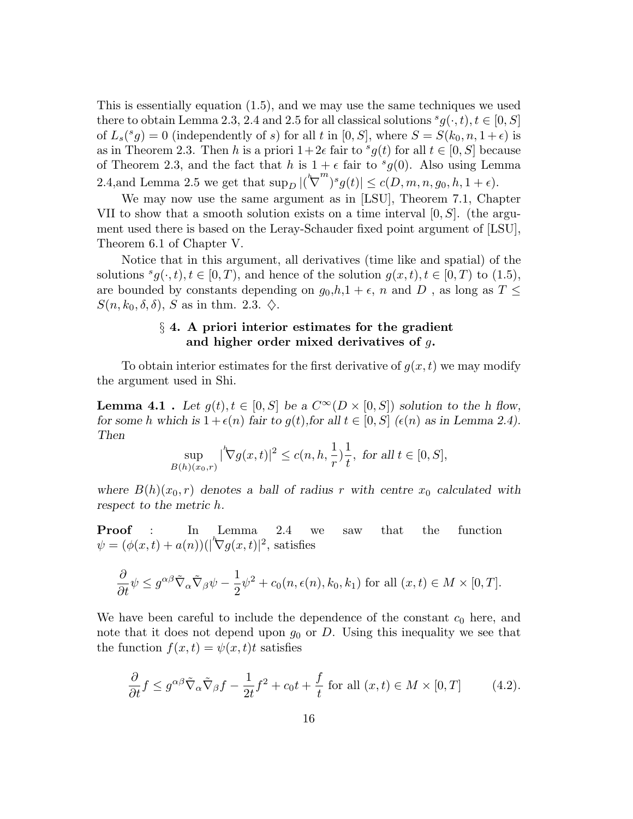This is essentially equation (1.5), and we may use the same techniques we used there to obtain Lemma 2.3, 2.4 and 2.5 for all classical solutions  ${}^s g(\cdot,t), t \in [0, S]$ of  $L_s({}^s g) = 0$  (independently of s) for all t in  $[0, S]$ , where  $S = S(k_0, n, 1 + \epsilon)$  is as in Theorem 2.3. Then h is a priori  $1+2\epsilon$  fair to  ${}^s g(t)$  for all  $t \in [0, S]$  because of Theorem 2.3, and the fact that h is  $1 + \epsilon$  fair to  $^s g(0)$ . Also using Lemma 2.4,<br>and Lemma 2.5 we get that  $\sup_{D} |(\nabla$  $\sum_{j=1}^{m} |s g(t)| \leq c(D, m, n, g_0, h, 1 + \epsilon).$ 

We may now use the same argument as in [LSU], Theorem 7.1, Chapter VII to show that a smooth solution exists on a time interval  $[0, S]$ . (the argument used there is based on the Leray-Schauder fixed point argument of [LSU], Theorem 6.1 of Chapter V.

Notice that in this argument, all derivatives (time like and spatial) of the solutions  ${}^{s}g(\cdot,t), t \in [0,T)$ , and hence of the solution  $g(x,t), t \in [0,T)$  to  $(1.5)$ , are bounded by constants depending on  $g_0, h, 1 + \epsilon$ , n and D, as long as  $T \leq$  $S(n, k_0, \delta, \delta)$ , S as in thm. 2.3.  $\diamondsuit$ .

## $\S$  4. A priori interior estimates for the gradient and higher order mixed derivatives of g.

To obtain interior estimates for the first derivative of  $g(x,t)$  we may modify the argument used in Shi.

**Lemma 4.1**. Let  $q(t), t \in [0, S]$  be a  $C^{\infty}(D \times [0, S])$  solution to the h flow, for some h which is  $1 + \epsilon(n)$  fair to  $g(t)$ , for all  $t \in [0, S]$  ( $\epsilon(n)$ ) as in Lemma 2.4). Then

$$
\sup_{B(h)(x_0,r)} |\nabla g(x,t)|^2 \le c(n,h,\frac{1}{r})\frac{1}{t}, \text{ for all } t \in [0,S],
$$

where  $B(h)(x_0, r)$  denotes a ball of radius r with centre  $x_0$  calculated with respect to the metric h.

**Proof** : In Lemma 2.4 we saw that the function  $\psi = (\phi(x, t) + a(n))(|^{\prime} \nabla g(x, t)|^2$ , satisfies

$$
\frac{\partial}{\partial t}\psi \le g^{\alpha\beta}\tilde{\nabla}_{\alpha}\tilde{\nabla}_{\beta}\psi - \frac{1}{2}\psi^2 + c_0(n,\epsilon(n),k_0,k_1) \text{ for all } (x,t) \in M \times [0,T].
$$

We have been careful to include the dependence of the constant  $c_0$  here, and note that it does not depend upon  $g_0$  or D. Using this inequality we see that the function  $f(x,t) = \psi(x,t)t$  satisfies

$$
\frac{\partial}{\partial t} f \le g^{\alpha \beta} \tilde{\nabla}_{\alpha} \tilde{\nabla}_{\beta} f - \frac{1}{2t} f^2 + c_0 t + \frac{f}{t} \text{ for all } (x, t) \in M \times [0, T] \tag{4.2}.
$$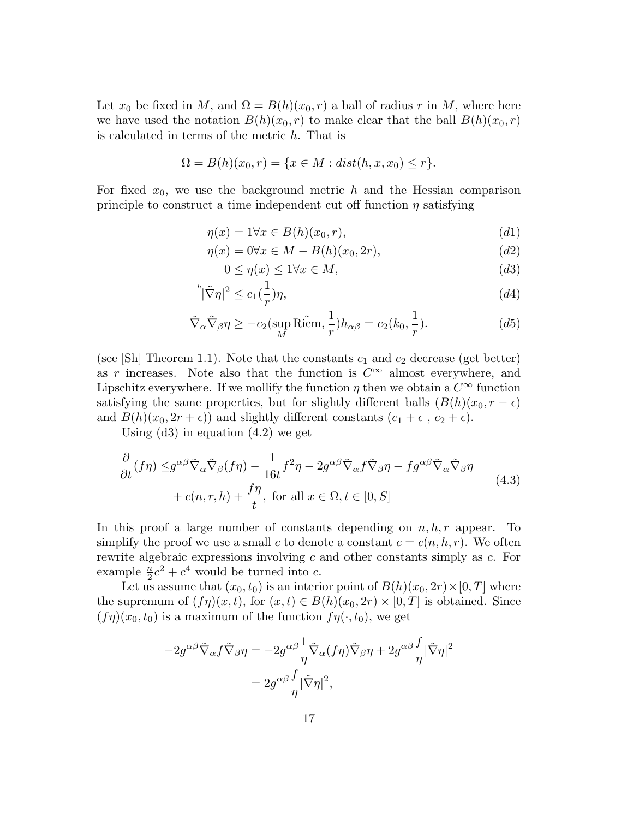Let  $x_0$  be fixed in M, and  $\Omega = B(h)(x_0, r)$  a ball of radius r in M, where here we have used the notation  $B(h)(x_0, r)$  to make clear that the ball  $B(h)(x_0, r)$ is calculated in terms of the metric h. That is

$$
\Omega = B(h)(x_0, r) = \{x \in M : dist(h, x, x_0) \le r\}.
$$

For fixed  $x_0$ , we use the background metric h and the Hessian comparison principle to construct a time independent cut off function  $\eta$  satisfying

$$
\eta(x) = 1 \forall x \in B(h)(x_0, r), \tag{d1}
$$

$$
\eta(x) = 0 \forall x \in M - B(h)(x_0, 2r),\tag{d2}
$$

$$
0 \le \eta(x) \le 1 \forall x \in M,\tag{d3}
$$

$$
{}^h|\tilde{\nabla}\eta|^2 \le c_1(\frac{1}{r})\eta,\tag{d4}
$$

$$
\tilde{\nabla}_{\alpha}\tilde{\nabla}_{\beta}\eta \ge -c_2(\sup_M \widetilde{\text{Riem}}, \frac{1}{r})h_{\alpha\beta} = c_2(k_0, \frac{1}{r}).\tag{d5}
$$

(see [Sh] Theorem 1.1). Note that the constants  $c_1$  and  $c_2$  decrease (get better) as r increases. Note also that the function is  $C^{\infty}$  almost everywhere, and Lipschitz everywhere. If we mollify the function  $\eta$  then we obtain a  $C^{\infty}$  function satisfying the same properties, but for slightly different balls  $(B(h)(x_0, r - \epsilon)$ and  $B(h)(x_0, 2r + \epsilon)$  and slightly different constants  $(c_1 + \epsilon, c_2 + \epsilon)$ .

Using  $(d3)$  in equation  $(4.2)$  we get

$$
\frac{\partial}{\partial t}(f\eta) \leq g^{\alpha\beta}\tilde{\nabla}_{\alpha}\tilde{\nabla}_{\beta}(f\eta) - \frac{1}{16t}f^2\eta - 2g^{\alpha\beta}\tilde{\nabla}_{\alpha}f\tilde{\nabla}_{\beta}\eta - fg^{\alpha\beta}\tilde{\nabla}_{\alpha}\tilde{\nabla}_{\beta}\eta
$$
\n
$$
+ c(n, r, h) + \frac{f\eta}{t}, \text{ for all } x \in \Omega, t \in [0, S]
$$
\n(4.3)

In this proof a large number of constants depending on  $n, h, r$  appear. To simplify the proof we use a small c to denote a constant  $c = c(n, h, r)$ . We often rewrite algebraic expressions involving c and other constants simply as c. For example  $\frac{n}{2}c^2 + c^4$  would be turned into c.

Let us assume that  $(x_0, t_0)$  is an interior point of  $B(h)(x_0, 2r) \times [0, T]$  where the supremum of  $(f\eta)(x,t)$ , for  $(x,t) \in B(h)(x_0, 2r) \times [0,T]$  is obtained. Since  $(f\eta)(x_0,t_0)$  is a maximum of the function  $f\eta(\cdot,t_0)$ , we get

$$
-2g^{\alpha\beta}\tilde{\nabla}_{\alpha}f\tilde{\nabla}_{\beta}\eta = -2g^{\alpha\beta}\frac{1}{\eta}\tilde{\nabla}_{\alpha}(f\eta)\tilde{\nabla}_{\beta}\eta + 2g^{\alpha\beta}\frac{f}{\eta}|\tilde{\nabla}\eta|^{2}
$$

$$
= 2g^{\alpha\beta}\frac{f}{\eta}|\tilde{\nabla}\eta|^{2},
$$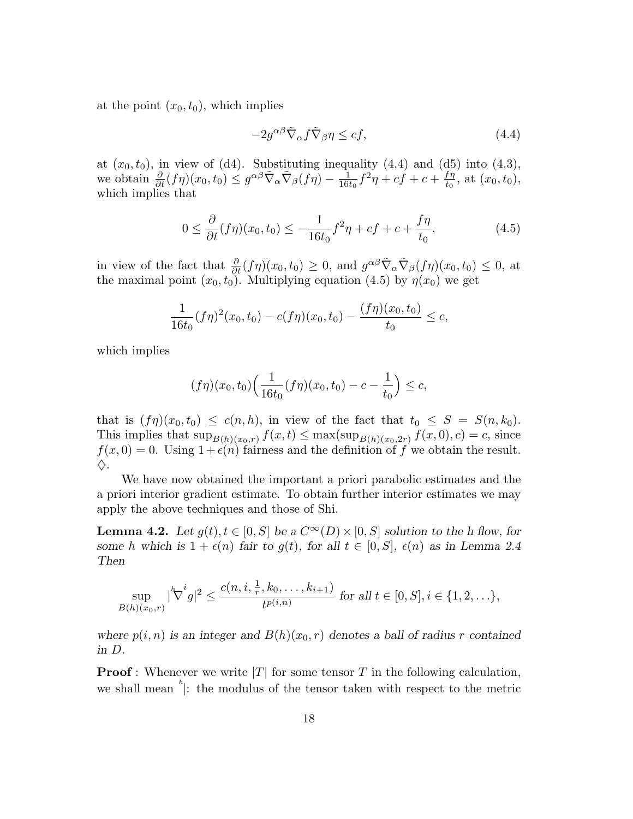at the point  $(x_0, t_0)$ , which implies

$$
-2g^{\alpha\beta}\tilde{\nabla}_{\alpha}f\tilde{\nabla}_{\beta}\eta \le cf,\tag{4.4}
$$

at  $(x_0, t_0)$ , in view of (d4). Substituting inequality (4.4) and (d5) into (4.3), we obtain  $\frac{\partial}{\partial t}(f\eta)(x_0,t_0) \leq g^{\alpha\beta}\tilde{\nabla}_{\alpha}\tilde{\nabla}_{\beta}(f\eta) - \frac{1}{16i}$  $\frac{1}{16t_0}f^2\eta + cf + c + \frac{f\eta}{t_0}$  $\frac{t\eta}{t_0}$ , at  $(x_0, t_0)$ , which implies that

$$
0 \le \frac{\partial}{\partial t}(f\eta)(x_0, t_0) \le -\frac{1}{16t_0}f^2\eta + cf + c + \frac{f\eta}{t_0},
$$
\n(4.5)

in view of the fact that  $\frac{\partial}{\partial t}(f\eta)(x_0,t_0) \geq 0$ , and  $g^{\alpha\beta} \tilde{\nabla}_{\alpha} \tilde{\nabla}_{\beta}(f\eta)(x_0,t_0) \leq 0$ , at the maximal point  $(x_0, t_0)$ . Multiplying equation (4.5) by  $\eta(x_0)$  we get

$$
\frac{1}{16t_0}(f\eta)^2(x_0,t_0) - c(f\eta)(x_0,t_0) - \frac{(f\eta)(x_0,t_0)}{t_0} \le c,
$$

which implies

$$
(f\eta)(x_0, t_0)\Big(\frac{1}{16t_0}(f\eta)(x_0, t_0) - c - \frac{1}{t_0}\Big) \leq c,
$$

that is  $(f\eta)(x_0,t_0) \leq c(n,h)$ , in view of the fact that  $t_0 \leq S = S(n,k_0)$ . This implies that  $\sup_{B(h)(x_0,r)} f(x,t) \leq \max(\sup_{B(h)(x_0,2r)} f(x,0),c) = c$ , since  $f(x, 0) = 0$ . Using  $1 + \epsilon(n)$  fairness and the definition of f we obtain the result.  $\diamondsuit$ .

We have now obtained the important a priori parabolic estimates and the a priori interior gradient estimate. To obtain further interior estimates we may apply the above techniques and those of Shi.

**Lemma 4.2.** Let  $g(t), t \in [0, S]$  be a  $C^{\infty}(D) \times [0, S]$  solution to the h flow, for some h which is  $1 + \epsilon(n)$  fair to  $q(t)$ , for all  $t \in [0, S]$ ,  $\epsilon(n)$  as in Lemma 2.4 Then

$$
\sup_{B(h)(x_0,r)}|\nabla^i g|^2 \le \frac{c(n,i,\frac{1}{r},k_0,\ldots,k_{i+1})}{t^{p(i,n)}} \text{ for all } t \in [0,S], i \in \{1,2,\ldots\},\
$$

where  $p(i, n)$  is an integer and  $B(h)(x_0, r)$  denotes a ball of radius r contained in D.

**Proof**: Whenever we write  $|T|$  for some tensor T in the following calculation, we shall mean  $\sum_{i=1}^{n}$ : the modulus of the tensor taken with respect to the metric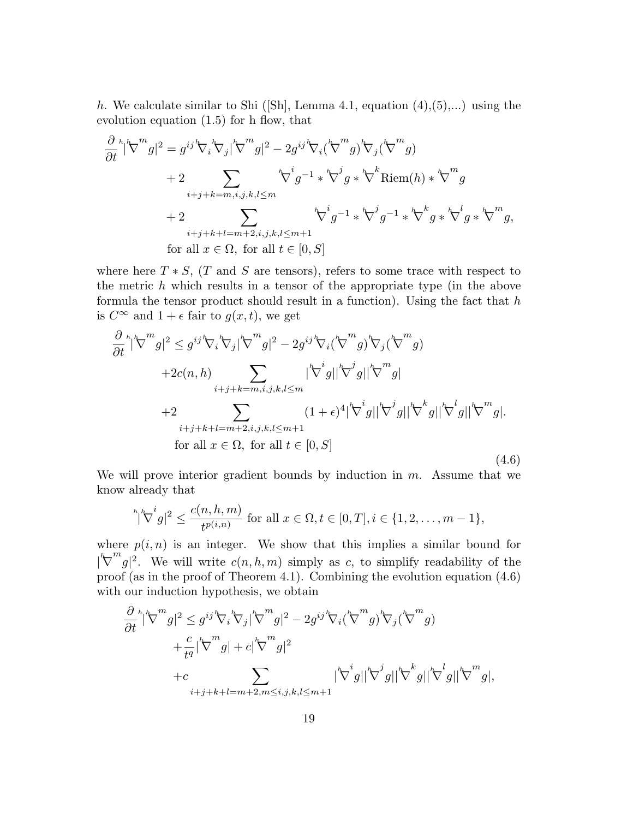h. We calculate similar to Shi ([Sh], Lemma 4.1, equation  $(4)$ , $(5)$ ,...) using the evolution equation (1.5) for h flow, that

$$
\frac{\partial}{\partial t}^{h} |\nabla^{m} g|^{2} = g^{ij} \nabla_{i} \nabla_{j} |\nabla^{m} g|^{2} - 2g^{ij} \nabla_{i} (\nabla^{m} g) \nabla_{j} (\nabla^{m} g)
$$
\n
$$
+ 2 \sum_{i+j+k=m,i,j,k,l \leq m} \nabla^{h} g^{-1} * \nabla^{j} g * \nabla^{k} \text{Riem}(h) * \nabla^{m} g
$$
\n
$$
+ 2 \sum_{i+j+k+l=m+2,i,j,k,l \leq m+1} \nabla^{h} g^{-1} * \nabla^{j} g^{-1} * \nabla^{k} g * \nabla^{l} g * \nabla^{m} g,
$$
\nfor all  $x \in \Omega$ , for all  $t \in [0, S]$ 

where here  $T * S$ ,  $(T \text{ and } S \text{ are tensors})$ , refers to some trace with respect to the metric  $h$  which results in a tensor of the appropriate type (in the above formula the tensor product should result in a function). Using the fact that  $h$ is  $C^{\infty}$  and  $1 + \epsilon$  fair to  $g(x, t)$ , we get

$$
\frac{\partial}{\partial t}^{h} |\nabla^{m} g|^{2} \leq g^{ij} \nabla_{i} \nabla_{j} |\nabla^{m} g|^{2} - 2g^{ij} \nabla_{i} (\nabla^{m} g) \nabla_{j} (\nabla^{m} g)
$$
\n
$$
+ 2c(n,h) \sum_{i+j+k=m,i,j,k,l \leq m} |\nabla^{i} g| |\nabla^{j} g| |\nabla^{j} g|
$$
\n
$$
+ 2 \sum_{i+j+k+l=m+2,i,j,k,l \leq m+1} (1+\epsilon)^{4} |\nabla^{i} g| |\nabla^{j} g| |\nabla^{j} g| |\nabla^{k} g| |\nabla^{m} g|.
$$
\nfor all  $x \in \Omega$ , for all  $t \in [0, S]$  (4.6)

We will prove interior gradient bounds by induction in  $m$ . Assume that we know already that

$$
\sqrt[h_i]{\nabla}^i g|^2 \le \frac{c(n,h,m)}{t^{p(i,n)}} \text{ for all } x \in \Omega, t \in [0,T], i \in \{1,2,\ldots,m-1\},\
$$

where  $p(i, n)$  is an integer. We show that this implies a similar bound for  $\sqrt{2}$  $\int_{a}^{m} g |^{2}$ . We will write  $c(n, h, m)$  simply as c, to simplify readability of the proof (as in the proof of Theorem 4.1). Combining the evolution equation (4.6) with our induction hypothesis, we obtain

$$
\frac{\partial}{\partial t}^{h} |\nabla^{m} g|^{2} \leq g^{ij} \nabla_{i} \nabla_{j} |\nabla^{m} g|^{2} - 2g^{ij} \nabla_{i} (\nabla^{m} g) \nabla_{j} (\nabla^{m} g)
$$
\n
$$
+ \frac{c}{t^{q}} |\nabla^{m} g| + c |\nabla^{m} g|^{2}
$$
\n
$$
+ c \sum_{i+j+k+l=m+2, m \leq i, j, k, l \leq m+1} |\nabla^{i} g| |\nabla^{j} g| |\nabla^{k} g| |\nabla^{l} g| |\nabla^{m} g|,
$$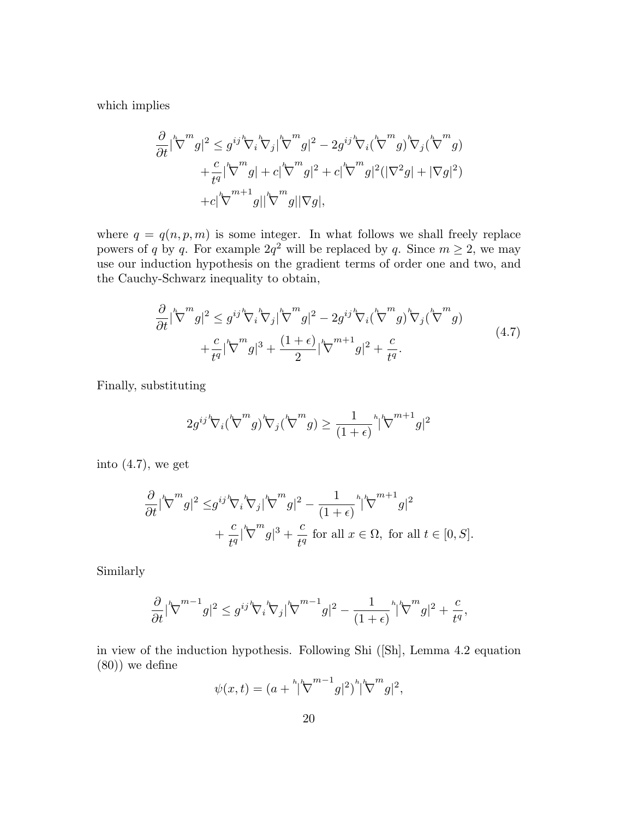which implies

$$
\frac{\partial}{\partial t} |\nabla^m g|^2 \le g^{ij} \nabla_i \nabla_j |\nabla^m g|^2 - 2g^{ij} \nabla_i (\nabla^m g) \nabla_j (\nabla^m g) \n+ \frac{c}{t^q} |\nabla^m g| + c |\nabla^m g|^2 + c |\nabla^m g|^2 (|\nabla^2 g| + |\nabla g|^2) \n+ c |\nabla^{m+1} g| |\nabla^m g| |\nabla g|,
$$

where  $q = q(n, p, m)$  is some integer. In what follows we shall freely replace powers of q by q. For example  $2q^2$  will be replaced by q. Since  $m \ge 2$ , we may use our induction hypothesis on the gradient terms of order one and two, and the Cauchy-Schwarz inequality to obtain,

$$
\frac{\partial}{\partial t} |\nabla^m g|^2 \le g^{ij} \nabla_i \nabla_j |\nabla^m g|^2 - 2g^{ij} \nabla_i (\nabla^m g) \nabla_j (\nabla^m g) \n+ \frac{c}{t^q} |\nabla^m g|^3 + \frac{(1+\epsilon)}{2} |\nabla^{m+1} g|^2 + \frac{c}{t^q}.
$$
\n(4.7)

Finally, substituting

$$
2g^{ij}{}^h\! \nabla_i (\overset{h}{\nabla}^m g) {}^h\! \nabla_j ( \overset{h}{\nabla}^m g) \geq \frac{1}{(1+\epsilon)} {}^h\! [\overset{h}{\nabla}^{m+1} g]^2
$$

into  $(4.7)$ , we get

$$
\frac{\partial}{\partial t} |\nabla^m g|^2 \leq g^{ij} \nabla_i \nabla_j |\nabla^m g|^2 - \frac{1}{(1+\epsilon)} |\nabla^{m+1} g|^2
$$
  
+  $\frac{c}{t^q} |\nabla^m g|^3 + \frac{c}{t^q}$  for all  $x \in \Omega$ , for all  $t \in [0, S]$ .

Similarly

$$
\frac{\partial}{\partial t}|\nabla^{m-1}g|^2 \leq g^{ij}\nabla_i \nabla_j|\nabla^{m-1}g|^2 - \frac{1}{(1+\epsilon)}\nabla^m g|^2 + \frac{c}{t^q},
$$

in view of the induction hypothesis. Following Shi ([Sh], Lemma 4.2 equation (80)) we define

$$
\psi(x,t) = (a + \sqrt[h]{b}^{m-1}g|^{2})^{h}|\nabla^{m}g|^{2},
$$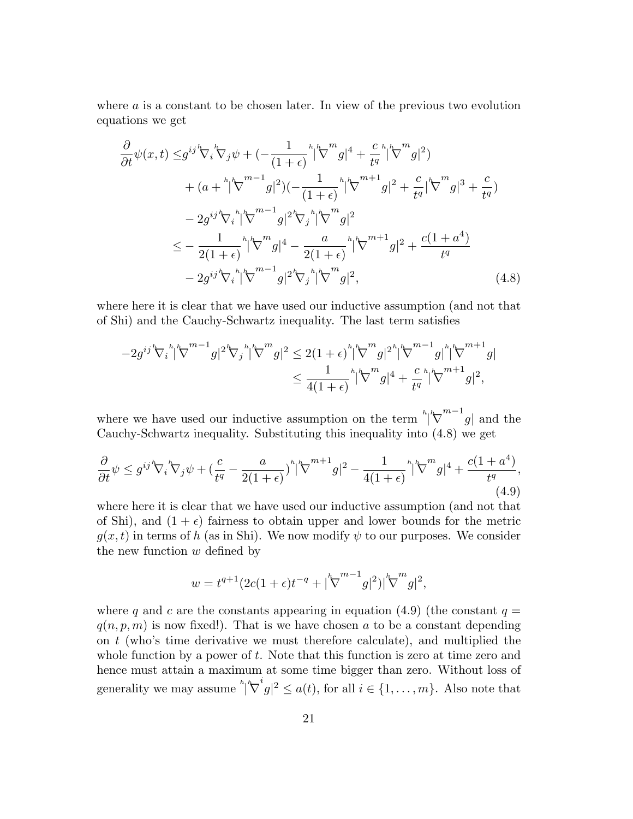where a is a constant to be chosen later. In view of the previous two evolution equations we get

$$
\frac{\partial}{\partial t}\psi(x,t) \leq g^{ij} \nabla_{i} \nabla_{j} \psi + \left(-\frac{1}{(1+\epsilon)}^{h} \left|\nabla^{m} g\right|^{4} + \frac{c}{t^{q}}^{h} \left|\nabla^{m} g\right|^{2}\right) \n+ (a + {}^{h} \left|\nabla^{m-1} g\right|^{2})(-\frac{1}{(1+\epsilon)}^{h} \left|\nabla^{m+1} g\right|^{2} + \frac{c}{t^{q}} \left|\nabla^{m} g\right|^{3} + \frac{c}{t^{q}}) \n- 2g^{ij} \nabla_{i} {}^{h} \left|\nabla^{m-1} g\right|^{2} \nabla_{j} {}^{h} \left|\nabla^{m} g\right|^{2} \n\leq -\frac{1}{2(1+\epsilon)}^{h} \left|\nabla^{m} g\right|^{4} - \frac{a}{2(1+\epsilon)}^{h} \left|\nabla^{m+1} g\right|^{2} + \frac{c(1+a^{4})}{t^{q}} \n- 2g^{ij} \nabla_{i} {}^{h} \left|\nabla^{m-1} g\right|^{2} \nabla_{j} {}^{h} \left|\nabla^{m} g\right|^{2},
$$
\n(4.8)

where here it is clear that we have used our inductive assumption (and not that of Shi) and the Cauchy-Schwartz inequality. The last term satisfies

$$
-2g^{ij}{}^h\!\nabla_i{}^h|\!\nabla^{m-1}g|^2{}^h\!\nabla_j{}^h|\!\nabla^m g|^2 \leq 2(1+\epsilon)^h|\!\nabla^m g|^2{}^h|\!\nabla^{m-1}g|^h|\!\nabla^{m-1}g|^h\!\nabla^{m+1}g| \\ \leq \frac{1}{4(1+\epsilon)}{}^h|\!\nabla^m g|^4 + \frac{c}{t^q}{}^h|\!\nabla^{m+1}g|^2,
$$

where we have used our inductive assumption on the term  $\binom{h}{k}$  $\left\lfloor \frac{m-1}{g} \right\rfloor$  and the Cauchy-Schwartz inequality. Substituting this inequality into (4.8) we get

$$
\frac{\partial}{\partial t}\psi \le g^{ij} \nabla_i \nabla_j \psi + \left(\frac{c}{t^q} - \frac{a}{2(1+\epsilon)}\right)^h |\nabla^{m+1} g|^2 - \frac{1}{4(1+\epsilon)} \left| \nabla^m g \right|^4 + \frac{c(1+a^4)}{t^q},\tag{4.9}
$$

where here it is clear that we have used our inductive assumption (and not that of Shi), and  $(1 + \epsilon)$  fairness to obtain upper and lower bounds for the metric  $g(x,t)$  in terms of h (as in Shi). We now modify  $\psi$  to our purposes. We consider the new function  $w$  defined by

$$
w = t^{q+1} (2c(1+\epsilon)t^{-q} + |\nabla^{m-1} g|^2)|\nabla^m g|^2,
$$

where q and c are the constants appearing in equation (4.9) (the constant  $q =$  $q(n,p,m)$  is now fixed!). That is we have chosen a to be a constant depending on  $t$  (who's time derivative we must therefore calculate), and multiplied the whole function by a power of  $t$ . Note that this function is zero at time zero and hence must attain a maximum at some time bigger than zero. Without loss of generality we may assume  $\int_{0}^{h} \sqrt{\nabla}$  $ig|^2 \leq a(t)$ , for all  $i \in \{1, \ldots, m\}$ . Also note that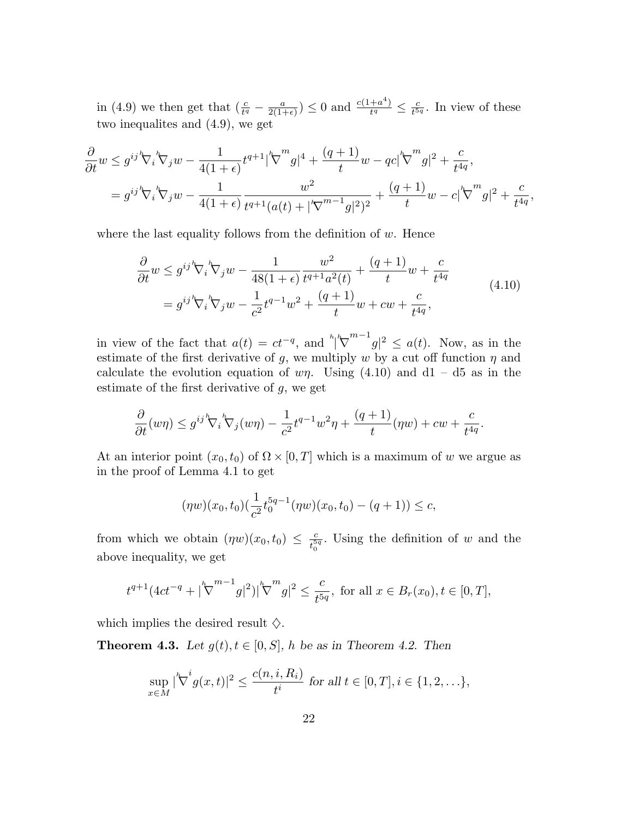in (4.9) we then get that  $(\frac{c}{t^q} - \frac{a}{2(1-q)}$  $\frac{a}{2(1+\epsilon)}$ )  $\leq 0$  and  $\frac{c(1+a^4)}{t^q}$  $\frac{a^{4}}{t^{q}} \leq \frac{c}{t^{5}}$  $\frac{c}{t^{5q}}$ . In view of these two inequalites and (4.9), we get

$$
\frac{\partial}{\partial t} w \le g^{ij} \nabla_i \nabla_j w - \frac{1}{4(1+\epsilon)} t^{q+1} |\nabla^m g|^4 + \frac{(q+1)}{t} w - q c |\nabla^m g|^2 + \frac{c}{t^{4q}},
$$
\n
$$
= g^{ij} \nabla_i \nabla_j w - \frac{1}{4(1+\epsilon)} \frac{w^2}{t^{q+1} (a(t) + |\nabla^{m-1} g|^2)^2} + \frac{(q+1)}{t} w - c |\nabla^m g|^2 + \frac{c}{t^{4q}},
$$

where the last equality follows from the definition of  $w$ . Hence

$$
\frac{\partial}{\partial t} w \le g^{ij} \nabla_i \nabla_j w - \frac{1}{48(1+\epsilon)} \frac{w^2}{t^{q+1}a^2(t)} + \frac{(q+1)}{t} w + \frac{c}{t^{4q}}
$$
\n
$$
= g^{ij} \nabla_i \nabla_j w - \frac{1}{c^2} t^{q-1} w^2 + \frac{(q+1)}{t} w + c w + \frac{c}{t^{4q}},
$$
\n(4.10)

in view of the fact that  $a(t) = ct^{-q}$ , and  $\sqrt{\frac{h}{\sqrt{\lambda}}}$  $\int_{0}^{m-1}g|^{2} \leq a(t)$ . Now, as in the estimate of the first derivative of g, we multiply w by a cut off function  $\eta$  and calculate the evolution equation of  $w\eta$ . Using (4.10) and d1 – d5 as in the estimate of the first derivative of  $g$ , we get

$$
\frac{\partial}{\partial t}(w\eta) \le g^{ij} \mathcal{F}_i \mathcal{F}_j(w\eta) - \frac{1}{c^2} t^{q-1} w^2 \eta + \frac{(q+1)}{t} (\eta w) + c w + \frac{c}{t^{4q}}.
$$

At an interior point  $(x_0, t_0)$  of  $\Omega \times [0, T]$  which is a maximum of w we argue as in the proof of Lemma 4.1 to get

$$
(\eta w)(x_0, t_0) \left(\frac{1}{c^2} t_0^{5q-1} (\eta w)(x_0, t_0) - (q+1)\right) \le c,
$$

from which we obtain  $(\eta w)(x_0, t_0) \leq \frac{c}{t_0^5}$  $\frac{c}{t_0^{5q}}$ . Using the definition of w and the above inequality, we get

$$
t^{q+1}(4ct^{-q}+|\nabla^{m-1}g|^2)|\nabla^m g|^2 \le \frac{c}{t^{5q}}, \text{ for all } x \in B_r(x_0), t \in [0, T],
$$

which implies the desired result  $\diamondsuit$ .

**Theorem 4.3.** Let  $g(t), t \in [0, S]$ , h be as in Theorem 4.2. Then

$$
\sup_{x \in M} |\nabla^i g(x, t)|^2 \le \frac{c(n, i, R_i)}{t^i} \text{ for all } t \in [0, T], i \in \{1, 2, \ldots\},\
$$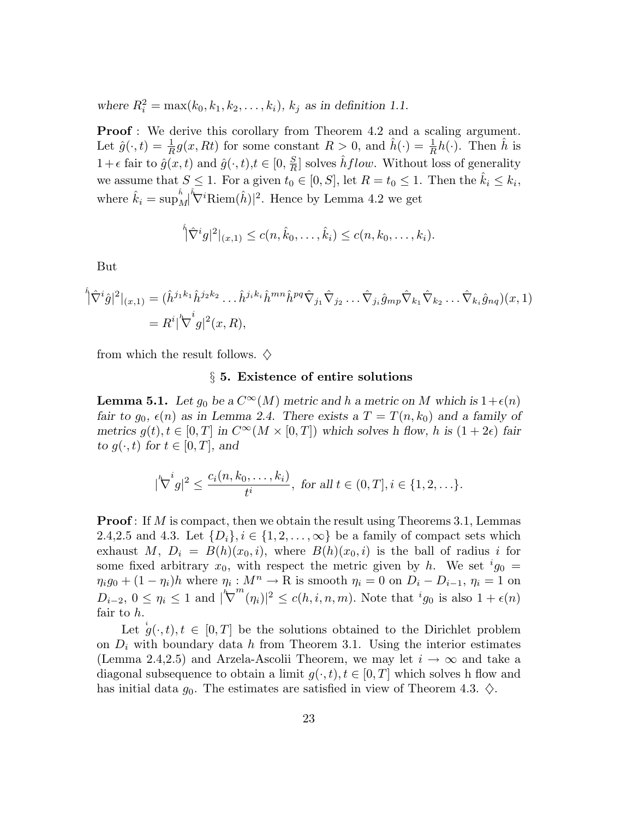where  $R_i^2 = \max(k_0, k_1, k_2, ..., k_i)$ ,  $k_j$  as in definition 1.1.

**Proof**: We derive this corollary from Theorem 4.2 and a scaling argument. Let  $\hat{g}(\cdot,t) = \frac{1}{R}g(x, Rt)$  for some constant  $R > 0$ , and  $\hat{h}(\cdot) = \frac{1}{R}h(\cdot)$ . Then  $\hat{h}$  is  $1+\epsilon$  fair to  $\hat{g}(x,t)$  and  $\hat{g}(\cdot,t), t \in [0, \frac{S}{R}]$  $\frac{S}{R}$  solves  $\hat{h}$  flow. Without loss of generality we assume that  $S \leq 1$ . For a given  $t_0 \in [0, S]$ , let  $R = t_0 \leq 1$ . Then the  $\hat{k}_i \leq k_i$ , where  $\hat{k}_i = \sup_{\Lambda}^{\hat{h}}$  $|M|$  $\sqrt[\hbar]{\mathbf{V}}^i$ Riem $(\hat{h})^2$ . Hence by Lemma 4.2 we get

$$
\hat{N}^i g|^{2}|_{(x,1)} \leq c(n,\hat{k}_0,\ldots,\hat{k}_i) \leq c(n,k_0,\ldots,k_i).
$$

But

$$
\hat{\hat{\nabla}}^i \hat{g}|^2|_{(x,1)} = (\hat{h}^{j_1 k_1} \hat{h}^{j_2 k_2} \dots \hat{h}^{j_i k_i} \hat{h}^{mn} \hat{h}^{pq} \hat{\nabla}_{j_1} \hat{\nabla}_{j_2} \dots \hat{\nabla}_{j_i} \hat{g}_{mp} \hat{\nabla}_{k_1} \hat{\nabla}_{k_2} \dots \hat{\nabla}_{k_i} \hat{g}_{nq})(x,1) \n= R^i |\nabla^i g|^2(x,R),
$$

from which the result follows.  $\diamondsuit$ 

#### § 5. Existence of entire solutions

**Lemma 5.1.** Let  $g_0$  be a  $C^{\infty}(M)$  metric and h a metric on M which is  $1+\epsilon(n)$ fair to  $g_0, \epsilon(n)$  as in Lemma 2.4. There exists a  $T = T(n, k_0)$  and a family of metrics  $g(t), t \in [0,T]$  in  $C^{\infty}(M \times [0,T])$  which solves h flow, h is  $(1+2\epsilon)$  fair to  $g(\cdot,t)$  for  $t \in [0,T]$ , and

$$
|\nabla^i g|^2 \le \frac{c_i(n, k_0, \dots, k_i)}{t^i}, \text{ for all } t \in (0, T], i \in \{1, 2, \dots\}.
$$

**Proof**: If M is compact, then we obtain the result using Theorems 3.1, Lemmas 2.4,2.5 and 4.3. Let  $\{D_i\}, i \in \{1, 2, \ldots, \infty\}$  be a family of compact sets which exhaust M,  $D_i = B(h)(x_0,i)$ , where  $B(h)(x_0,i)$  is the ball of radius i for some fixed arbitrary  $x_0$ , with respect the metric given by h. We set  $ig_0 =$  $\eta_i g_0 + (1 - \eta_i)h$  where  $\eta_i : M^n \to \mathbb{R}$  is smooth  $\eta_i = 0$  on  $D_i - D_{i-1}, \eta_i = 1$  on  $D_{i-2}, 0 \leq \eta_i \leq 1$  and  $|\nabla$  $\sum_{i=1}^{m} (n_i)^2 \leq c(h, i, n, m)$ . Note that  $ig_0$  is also  $1 + \epsilon(n)$ fair to h.

Let  $g(\cdot,t), t \in [0,T]$  be the solutions obtained to the Dirichlet problem on  $D_i$  with boundary data h from Theorem 3.1. Using the interior estimates (Lemma 2.4,2.5) and Arzela-Ascolii Theorem, we may let  $i \to \infty$  and take a diagonal subsequence to obtain a limit  $g(\cdot,t), t \in [0,T]$  which solves h flow and has initial data  $g_0$ . The estimates are satisfied in view of Theorem 4.3.  $\diamond$ .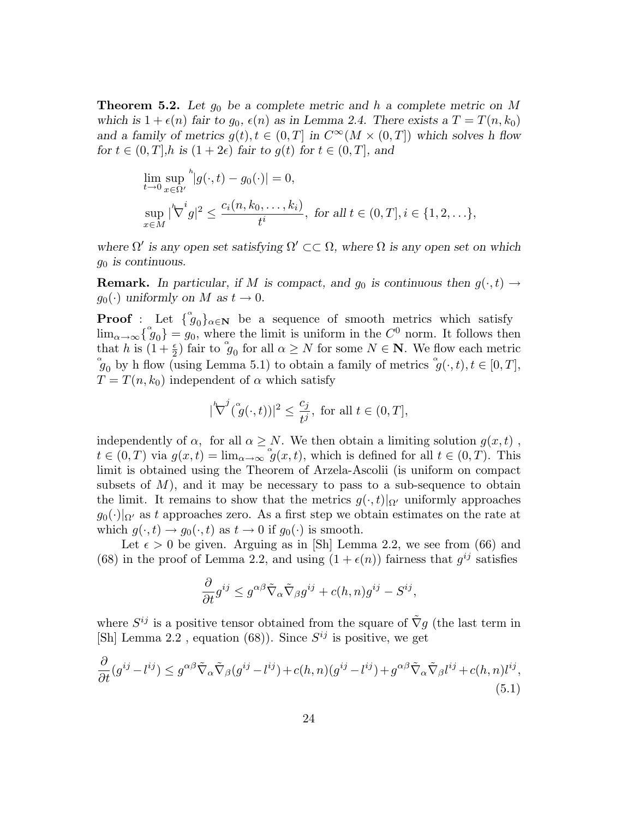**Theorem 5.2.** Let  $g_0$  be a complete metric and h a complete metric on M which is  $1 + \epsilon(n)$  fair to  $g_0, \epsilon(n)$  as in Lemma 2.4. There exists a  $T = T(n, k_0)$ and a family of metrics  $g(t), t \in (0,T]$  in  $C^{\infty}(M \times (0,T])$  which solves h flow for  $t \in (0,T], h$  is  $(1+2\epsilon)$  fair to  $g(t)$  for  $t \in (0,T],$  and

$$
\lim_{t \to 0} \sup_{x \in \Omega'} \frac{h}{|g(\cdot, t) - g_0(\cdot)|} = 0,
$$
\n
$$
\sup_{x \in M} |\sqrt[k]{t} g|^{2} \le \frac{c_{i}(n, k_0, \dots, k_i)}{t^{i}}, \text{ for all } t \in (0, T], i \in \{1, 2, \dots\},\
$$

where  $\Omega'$  is any open set satisfying  $\Omega' \subset\subset \Omega$ , where  $\Omega$  is any open set on which  $g_0$  is continuous.

**Remark.** In particular, if M is compact, and  $g_0$  is continuous then  $g(\cdot,t) \rightarrow$  $g_0(\cdot)$  uniformly on M as  $t \to 0$ .

**Proof**: Let  $\{\phi_0\}_{\alpha \in \mathbb{N}}$  be a sequence of smooth metrics which satisfy  $\lim_{\alpha \to \infty} \left\{ \begin{matrix} \alpha & 0 \\ 0 & 0 \end{matrix} \right\} = g_0$ , where the limit is uniform in the  $C^0$  norm. It follows then that h is  $(1+\frac{\epsilon}{2})$  fair to  $\mathfrak{g}_0$  for all  $\alpha \geq N$  for some  $N \in \mathbb{N}$ . We flow each metric  $\mathscr{L}_{g_0}$  by h flow (using Lemma 5.1) to obtain a family of metrics  $\mathscr{L}'(t, t)$ ,  $t \in [0, T]$ ,  $T = T(n, k_0)$  independent of  $\alpha$  which satisfy

$$
|\nabla^j(\overset{\circ}{g}(\cdot,t))|^2 \le \frac{c_j}{t^j}, \text{ for all } t \in (0,T],
$$

independently of  $\alpha$ , for all  $\alpha \geq N$ . We then obtain a limiting solution  $g(x,t)$ ,  $t \in (0,T)$  via  $g(x,t) = \lim_{\alpha \to \infty} g(x,t)$ , which is defined for all  $t \in (0,T)$ . This limit is obtained using the Theorem of Arzela-Ascolii (is uniform on compact subsets of  $M$ ), and it may be necessary to pass to a sub-sequence to obtain the limit. It remains to show that the metrics  $g(\cdot,t)|_{\Omega'}$  uniformly approaches  $g_0(\cdot)|_{\Omega'}$  as t approaches zero. As a first step we obtain estimates on the rate at which  $g(\cdot,t) \to g_0(\cdot,t)$  as  $t \to 0$  if  $g_0(\cdot)$  is smooth.

Let  $\epsilon > 0$  be given. Arguing as in [Sh] Lemma 2.2, we see from (66) and (68) in the proof of Lemma 2.2, and using  $(1 + \epsilon(n))$  fairness that  $g^{ij}$  satisfies

$$
\frac{\partial}{\partial t}g^{ij} \leq g^{\alpha\beta}\tilde{\nabla}_{\alpha}\tilde{\nabla}_{\beta}g^{ij} + c(h,n)g^{ij} - S^{ij},
$$

where  $S^{ij}$  is a positive tensor obtained from the square of  $\tilde{\nabla}g$  (the last term in [Sh] Lemma 2.2, equation (68)). Since  $S^{ij}$  is positive, we get

$$
\frac{\partial}{\partial t}(g^{ij} - l^{ij}) \le g^{\alpha\beta}\tilde{\nabla}_{\alpha}\tilde{\nabla}_{\beta}(g^{ij} - l^{ij}) + c(h, n)(g^{ij} - l^{ij}) + g^{\alpha\beta}\tilde{\nabla}_{\alpha}\tilde{\nabla}_{\beta}l^{ij} + c(h, n)l^{ij},
$$
\n(5.1)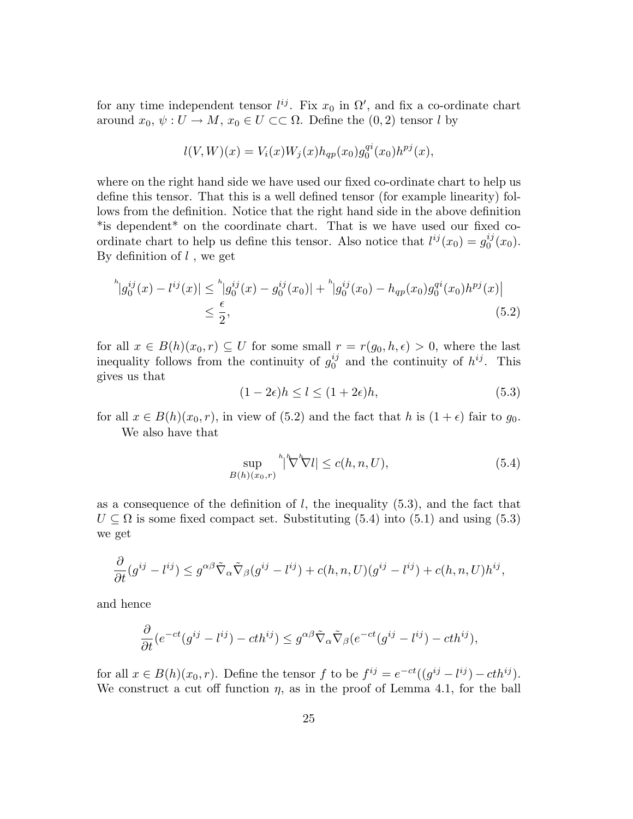for any time independent tensor  $l^{ij}$ . Fix  $x_0$  in  $\Omega'$ , and fix a co-ordinate chart around  $x_0, \psi : U \to M$ ,  $x_0 \in U \subset\subset \Omega$ . Define the  $(0, 2)$  tensor l by

$$
l(V, W)(x) = V_i(x)W_j(x)h_{qp}(x_0)g_0^{qi}(x_0)h^{pj}(x),
$$

where on the right hand side we have used our fixed co-ordinate chart to help us define this tensor. That this is a well defined tensor (for example linearity) follows from the definition. Notice that the right hand side in the above definition \*is dependent\* on the coordinate chart. That is we have used our fixed coordinate chart to help us define this tensor. Also notice that  $l^{ij}(x_0) = g_0^{ij}$  $_{0}^{ij}(x_{0}).$ By definition of  $l$ , we get

$$
{}^{h}|g_{0}^{ij}(x) - l^{ij}(x)| \leq {}^{h}|g_{0}^{ij}(x) - g_{0}^{ij}(x_{0})| + {}^{h}|g_{0}^{ij}(x_{0}) - h_{qp}(x_{0})g_{0}^{qi}(x_{0})h^{pj}(x)|
$$
  

$$
\leq \frac{\epsilon}{2},
$$
 (5.2)

for all  $x \in B(h)(x_0, r) \subseteq U$  for some small  $r = r(g_0, h, \epsilon) > 0$ , where the last inequality follows from the continuity of  $g_0^{ij}$  $i_j$  and the continuity of  $h^{ij}$ . This gives us that

$$
(1 - 2\epsilon)h \le l \le (1 + 2\epsilon)h,\tag{5.3}
$$

for all  $x \in B(h)(x_0, r)$ , in view of (5.2) and the fact that h is  $(1 + \epsilon)$  fair to  $g_0$ . We also have that

$$
\sup_{B(h)(x_0,r)} \sqrt[h]{\nabla^h} \nabla l \le c(h,n,U),\tag{5.4}
$$

as a consequence of the definition of  $l$ , the inequality  $(5.3)$ , and the fact that  $U \subseteq \Omega$  is some fixed compact set. Substituting (5.4) into (5.1) and using (5.3) we get

$$
\frac{\partial}{\partial t}(g^{ij} - l^{ij}) \leq g^{\alpha\beta}\tilde{\nabla}_{\alpha}\tilde{\nabla}_{\beta}(g^{ij} - l^{ij}) + c(h, n, U)(g^{ij} - l^{ij}) + c(h, n, U)h^{ij},
$$

and hence

$$
\frac{\partial}{\partial t}(e^{-ct}(g^{ij}-l^{ij})-cth^{ij}) \leq g^{\alpha\beta}\tilde{\nabla}_{\alpha}\tilde{\nabla}_{\beta}(e^{-ct}(g^{ij}-l^{ij})-cth^{ij}),
$$

for all  $x \in B(h)(x_0, r)$ . Define the tensor f to be  $f^{ij} = e^{-ct}((g^{ij} - l^{ij}) - cth^{ij})$ . We construct a cut off function  $\eta$ , as in the proof of Lemma 4.1, for the ball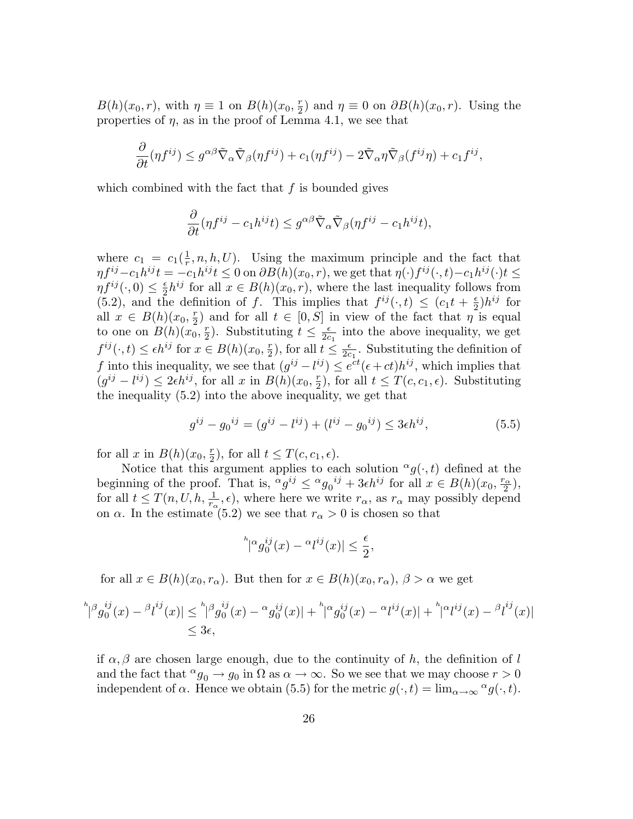$B(h)(x_0, r)$ , with  $\eta \equiv 1$  on  $B(h)(x_0, \frac{r}{2})$  $(\frac{r}{2})$  and  $\eta \equiv 0$  on  $\partial B(h)(x_0, r)$ . Using the properties of  $\eta$ , as in the proof of Lemma 4.1, we see that

$$
\frac{\partial}{\partial t}(\eta f^{ij}) \leq g^{\alpha\beta} \tilde{\nabla}_{\alpha} \tilde{\nabla}_{\beta} (\eta f^{ij}) + c_1(\eta f^{ij}) - 2 \tilde{\nabla}_{\alpha} \eta \tilde{\nabla}_{\beta} (f^{ij} \eta) + c_1 f^{ij},
$$

which combined with the fact that  $f$  is bounded gives

$$
\frac{\partial}{\partial t}(\eta f^{ij} - c_1 h^{ij} t) \le g^{\alpha \beta} \tilde{\nabla}_{\alpha} \tilde{\nabla}_{\beta} (\eta f^{ij} - c_1 h^{ij} t),
$$

where  $c_1 = c_1(\frac{1}{r})$  $\frac{1}{r}$ , n, h, U). Using the maximum principle and the fact that  $\eta f^{ij} - c_1 h^{ij} t = -c_1 h^{ij} t \leq 0$  on  $\partial B(h)(x_0, r)$ , we get that  $\eta(\cdot) f^{ij}(\cdot, t) - c_1 h^{ij}(\cdot) t \leq 0$  $\eta f^{ij}(\cdot,0)\leq\frac{\epsilon}{2}$  $\frac{\epsilon}{2}h^{ij}$  for all  $x \in B(h)(x_0, r)$ , where the last inequality follows from (5.2), and the definition of f. This implies that  $f^{ij}(\cdot,t) \leq (c_1 t + \frac{\epsilon}{2})$  $(\frac{\epsilon}{2})h^{ij}$  for all  $x \in B(h)(x_0, \frac{r}{2})$  $(\frac{r}{2})$  and for all  $t \in [0, S]$  in view of the fact that  $\eta$  is equal to one on  $B(h)(x_0, \frac{r}{2})$  $(\frac{r}{2})$ . Substituting  $t \leq \frac{\epsilon}{2c}$  $\frac{\epsilon}{2c_1}$  into the above inequality, we get  $f^{ij}(\cdot,t) \leq \epsilon h^{ij}$  for  $x \in B(h)(x_0, \frac{r}{2})$  $(\frac{r}{2})$ , for all  $t \leq \frac{\epsilon}{2c}$  $\frac{\epsilon}{2c_1}$ . Substituting the definition of f into this inequality, we see that  $(g^{ij} - l^{ij}) \leq e^{ct} (\epsilon + ct) h^{ij}$ , which implies that  $(g^{ij} - l^{ij}) \leq 2\epsilon h^{ij}$ , for all x in  $B(h)(x_0, \frac{\pi}{2})$  $(\frac{r}{2})$ , for all  $t \leq T(c, c_1, \epsilon)$ . Substituting the inequality (5.2) into the above inequality, we get that

$$
g^{ij} - g_0^{ij} = (g^{ij} - l^{ij}) + (l^{ij} - g_0^{ij}) \le 3\epsilon h^{ij},\tag{5.5}
$$

for all x in  $B(h)(x_0, \frac{r}{2})$  $(\frac{r}{2})$ , for all  $t \leq T(c, c_1, \epsilon)$ .

Notice that this argument applies to each solution  $\alpha g(\cdot,t)$  defined at the beginning of the proof. That is,  ${}^{\alpha}g^{ij} \leq {}^{\alpha}g_0{}^{ij} + 3\epsilon h^{ij}$  for all  $x \in B(h)(x_0, \frac{r_{\alpha}}{2})$  $\frac{\alpha}{2}$ ), for all  $t \leq T(n, U, h, \frac{1}{r_{\alpha}}, \epsilon)$ , where here we write  $r_{\alpha}$ , as  $r_{\alpha}$  may possibly depend on  $\alpha$ . In the estimate (5.2) we see that  $r_{\alpha} > 0$  is chosen so that

$$
{}^h|^\alpha g_0^{ij}(x) - \alpha l^{ij}(x)| \leq \frac{\epsilon}{2},
$$

for all  $x \in B(h)(x_0, r_\alpha)$ . But then for  $x \in B(h)(x_0, r_\alpha)$ ,  $\beta > \alpha$  we get

$$
\|{}^h\beta g_0^{ij}(x) - \frac{\beta i^{ij}}{2}(x)\| \leq \frac{\|{}^h\beta g_0^{ij}(x) - \alpha g_0^{ij}(x)\| + \frac{\|{}^h\beta g_0^{ij}(x) - \alpha i^{ij}(x)\|}{\leq 3\epsilon},
$$

if  $\alpha, \beta$  are chosen large enough, due to the continuity of h, the definition of l and the fact that  $^{\alpha}g_0 \rightarrow g_0$  in  $\Omega$  as  $\alpha \rightarrow \infty$ . So we see that we may choose  $r > 0$ independent of  $\alpha$ . Hence we obtain (5.5) for the metric  $g(\cdot,t) = \lim_{\alpha \to \infty} \alpha g(\cdot,t)$ .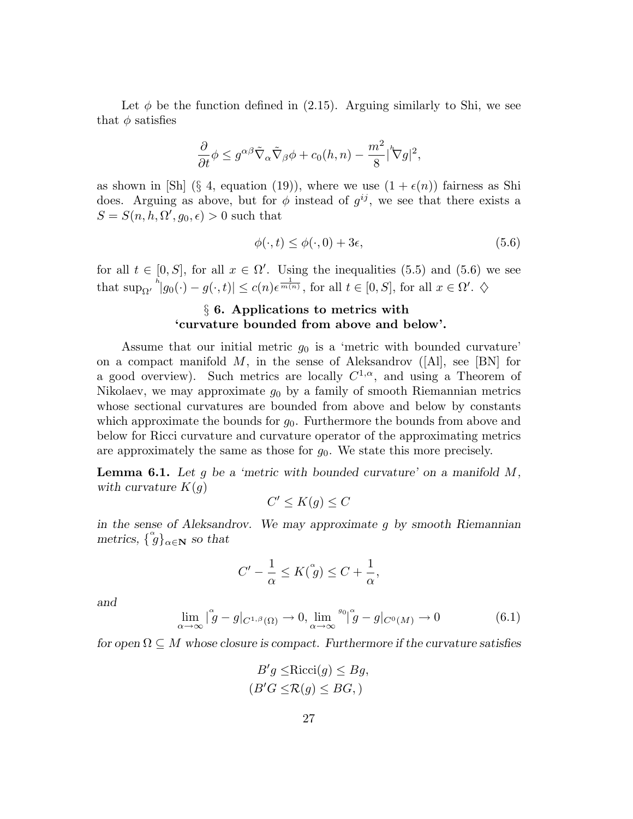Let  $\phi$  be the function defined in (2.15). Arguing similarly to Shi, we see that  $\phi$  satisfies

$$
\frac{\partial}{\partial t}\phi \leq g^{\alpha\beta}\tilde{\nabla}_{\alpha}\tilde{\nabla}_{\beta}\phi + c_0(h,n) - \frac{m^2}{8}|\nabla g|^2,
$$

as shown in [Sh] (§ 4, equation (19)), where we use  $(1 + \epsilon(n))$  fairness as Shi does. Arguing as above, but for  $\phi$  instead of  $g^{ij}$ , we see that there exists a  $S = S(n, h, \Omega', g_0, \epsilon) > 0$  such that

$$
\phi(\cdot, t) \le \phi(\cdot, 0) + 3\epsilon,\tag{5.6}
$$

for all  $t \in [0, S]$ , for all  $x \in \Omega'$ . Using the inequalities (5.5) and (5.6) we see that  $\sup_{\Omega'}^{h} |g_0(\cdot) - g(\cdot, t)| \leq c(n) \epsilon^{\frac{1}{m(n)}}$ , for all  $t \in [0, S]$ , for all  $x \in \Omega'. \diamondsuit$ 

# § 6. Applications to metrics with 'curvature bounded from above and below'.

Assume that our initial metric  $g_0$  is a 'metric with bounded curvature' on a compact manifold  $M$ , in the sense of Aleksandrov ([Al], see [BN] for a good overview). Such metrics are locally  $C^{1,\alpha}$ , and using a Theorem of Nikolaev, we may approximate  $g_0$  by a family of smooth Riemannian metrics whose sectional curvatures are bounded from above and below by constants which approximate the bounds for  $g_0$ . Furthermore the bounds from above and below for Ricci curvature and curvature operator of the approximating metrics are approximately the same as those for  $g_0$ . We state this more precisely.

**Lemma 6.1.** Let g be a 'metric with bounded curvature' on a manifold  $M$ , with curvature  $K(q)$ 

$$
C' \le K(g) \le C
$$

in the sense of Aleksandrov. We may approximate g by smooth Riemannian metrics,  $\{\degree g\}_{\alpha \in \mathbb{N}}$  so that

$$
C' - \frac{1}{\alpha} \le K(\overset{\alpha}{g}) \le C + \frac{1}{\alpha},
$$

and

$$
\lim_{\alpha \to \infty} |\overset{\alpha}{g} - g|_{C^{1,\beta}(\Omega)} \to 0, \lim_{\alpha \to \infty} \overset{g_0}{\to} |\overset{\alpha}{g} - g|_{C^0(M)} \to 0 \tag{6.1}
$$

for open  $\Omega \subseteq M$  whose closure is compact. Furthermore if the curvature satisfies

$$
B'g \leq \text{Ricci}(g) \leq Bg,
$$
  

$$
(B'G \leq \mathcal{R}(g) \leq BG, )
$$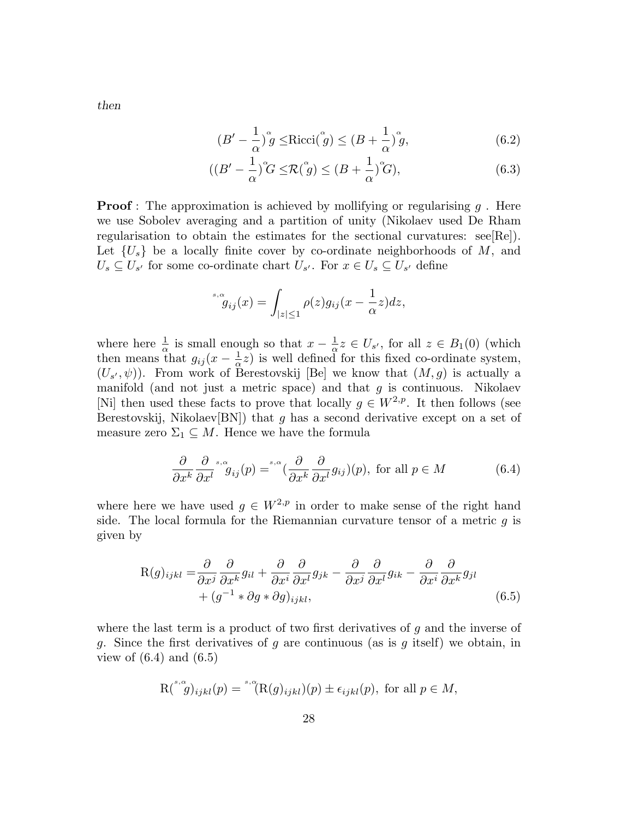$$
(B' - \frac{1}{\alpha})^{\alpha} g \le \text{Ricci}(\overset{\alpha}{g}) \le (B + \frac{1}{\alpha})^{\alpha} g,\tag{6.2}
$$

$$
((B' - \frac{1}{\alpha})^{\alpha} G \leq \mathcal{R}(\overset{\alpha}{g}) \leq (B + \frac{1}{\alpha})^{\alpha} G),\tag{6.3}
$$

**Proof**: The approximation is achieved by mollifying or regularising  $q$ . Here we use Sobolev averaging and a partition of unity (Nikolaev used De Rham regularisation to obtain the estimates for the sectional curvatures:  $\text{see}[\text{Re}]).$ Let  $\{U_s\}$  be a locally finite cover by co-ordinate neighborhoods of M, and  $U_s \subseteq U_{s'}$  for some co-ordinate chart  $U_{s'}$ . For  $x \in U_s \subseteq U_{s'}$  define

$$
{}^{\,s,\alpha}_{\,g_{ij}}(x) = \int_{|z|\leq 1} \rho(z)g_{ij}(x - \frac{1}{\alpha}z)dz,
$$

where here  $\frac{1}{\alpha}$  is small enough so that  $x - \frac{1}{\alpha}$  $\frac{1}{\alpha}z \in U_{s'}$ , for all  $z \in B_1(0)$  (which then means that  $g_{ij}(x-\frac{1}{\alpha})$  $\frac{1}{\alpha}z$ ) is well defined for this fixed co-ordinate system,  $(U_{s'},\psi)$ ). From work of Berestovskij [Be] we know that  $(M,g)$  is actually a manifold (and not just a metric space) and that  $g$  is continuous. Nikolaev [Ni] then used these facts to prove that locally  $g \in W^{2,p}$ . It then follows (see Berestovskij, Nikolaev $[BN]$ ) that g has a second derivative except on a set of measure zero  $\Sigma_1 \subseteq M$ . Hence we have the formula

$$
\frac{\partial}{\partial x^k} \frac{\partial}{\partial x^l} s_{ij}(p) = s_{\alpha} \left( \frac{\partial}{\partial x^k} \frac{\partial}{\partial x^l} g_{ij}(p) \right), \text{ for all } p \in M \tag{6.4}
$$

where here we have used  $g \in W^{2,p}$  in order to make sense of the right hand side. The local formula for the Riemannian curvature tensor of a metric  $g$  is given by

$$
R(g)_{ijkl} = \frac{\partial}{\partial x^j} \frac{\partial}{\partial x^k} g_{il} + \frac{\partial}{\partial x^i} \frac{\partial}{\partial x^l} g_{jk} - \frac{\partial}{\partial x^j} \frac{\partial}{\partial x^l} g_{ik} - \frac{\partial}{\partial x^i} \frac{\partial}{\partial x^k} g_{jl} + (g^{-1} * \partial g * \partial g)_{ijkl},
$$
\n(6.5)

where the last term is a product of two first derivatives of  $g$  and the inverse of g. Since the first derivatives of g are continuous (as is g itself) we obtain, in view of  $(6.4)$  and  $(6.5)$ 

$$
\mathrm{R}^{\binom{s}{r},\alpha}(y) = \prod_{j=1}^{s,\alpha} (\mathrm{R}(g)_{ijkl})(p) \pm \epsilon_{ijkl}(p), \text{ for all } p \in M,
$$

then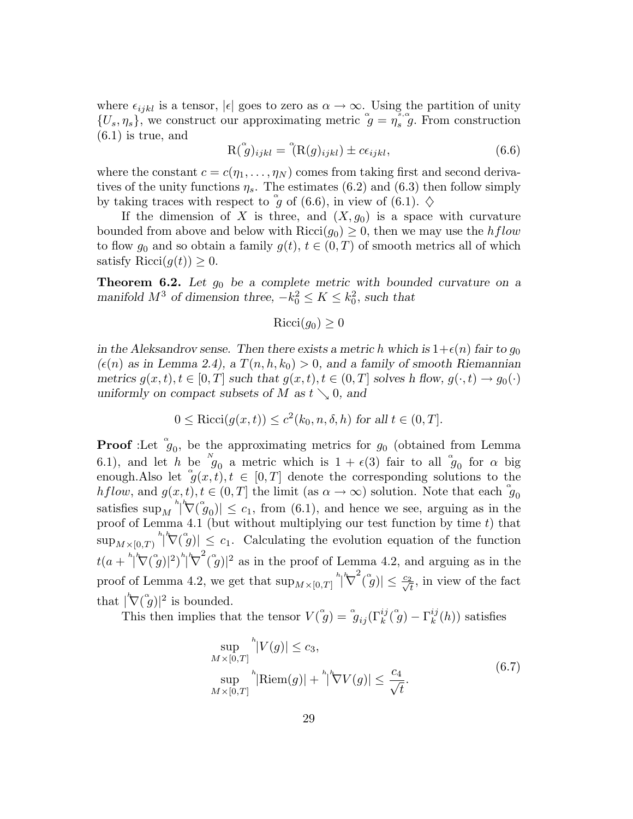where  $\epsilon_{ijkl}$  is a tensor,  $|\epsilon|$  goes to zero as  $\alpha \to \infty$ . Using the partition of unity  $\{U_s, \eta_s\}$ , we construct our approximating metric  $\mathring{g} = \eta_s^{\xi, \alpha}$  $s, \mathscr{G}$ . From construction (6.1) is true, and

$$
\mathcal{R}(\overset{\alpha}{g})_{ijkl} = \overset{\alpha}{(\mathcal{R}(g)_{ijkl})} \pm c\epsilon_{ijkl},\tag{6.6}
$$

where the constant  $c = c(\eta_1, \dots, \eta_N)$  comes from taking first and second derivatives of the unity functions  $\eta_s$ . The estimates (6.2) and (6.3) then follow simply by taking traces with respect to  $\overset{\circ}{g}$  of (6.6), in view of (6.1).  $\diamond$ 

If the dimension of X is three, and  $(X, g_0)$  is a space with curvature bounded from above and below with  $Ricci(g_0) \geq 0$ , then we may use the hflow to flow  $g_0$  and so obtain a family  $g(t)$ ,  $t \in (0,T)$  of smooth metrics all of which satisfy Ricci $(g(t)) \geq 0$ .

**Theorem 6.2.** Let  $g_0$  be a complete metric with bounded curvature on a manifold  $M^3$  of dimension three,  $-k_0^2 \le K \le k_0^2$ , such that

 $Ricci(q_0) > 0$ 

in the Aleksandrov sense. Then there exists a metric h which is  $1+\epsilon(n)$  fair to  $g_0$  $(\epsilon(n)$  as in Lemma 2.4), a  $T(n,h,k_0) > 0$ , and a family of smooth Riemannian metrics  $g(x,t), t \in [0,T]$  such that  $g(x,t), t \in (0,T]$  solves h flow,  $g(\cdot,t) \to g_0(\cdot)$ uniformly on compact subsets of M as  $t \searrow 0$ , and

$$
0 \le \text{Ricci}(g(x,t)) \le c^2(k_0, n, \delta, h) \text{ for all } t \in (0, T].
$$

**Proof** :Let  $g_0$ , be the approximating metrics for  $g_0$  (obtained from Lemma 6.1), and let h be  $g_0$  a metric which is  $1 + \epsilon(3)$  fair to all  $g_0$  for  $\alpha$  big enough.Also let  $g(x,t), t \in [0,T]$  denote the corresponding solutions to the hflow, and  $g(x,t), t \in (0,T]$  the limit (as  $\alpha \to \infty$ ) solution. Note that each  $\mathfrak{g}_0$ satisfies  $\sup_M \sqrt[h]{\nabla(\mathfrak{g}_0)} \leq c_1$ , from (6.1), and hence we see, arguing as in the proof of Lemma 4.1 (but without multiplying our test function by time t) that  $\sup_{M\times[0,T)}\big|\n\big|\nabla(\overset{\alpha}{g})\big| \big|\leq c_1.$  Calculating the evolution equation of the function  $t(a + \sqrt[h]{\nabla(\overset{\alpha}{g})}|^2)^h |\nabla$  $\int_{a}^{2}(\tilde{g})|^{2}$  as in the proof of Lemma 4.2, and arguing as in the proof of Lemma 4.2, we get that  $\sup_{M\times[0,T]}$ <sup>h</sup>| $\bigtriangledown$  $\left| \int_{a}^{2} (\mathring{g}) \right| \leq \frac{c_2}{\sqrt{t}}$ , in view of the fact that  $\int_{-\infty}^{\infty} |\nabla(\mathring{g})|^2$  is bounded.

This then implies that the tensor  $V(\hat{g}) = \hat{g}_{ij}(\Gamma_k^{ij}(\hat{g}) - \Gamma_k^{ij})$  $k^{ij}(h)$  satisfies

$$
\sup_{M \times [0,T]}^{h} |V(g)| \le c_3,
$$
  
\n
$$
\sup_{M \times [0,T]}^{h} |\text{Riem}(g)| + \sup_{M \times [0,T]}^{h} |\nabla V(g)| \le \frac{c_4}{\sqrt{t}}.
$$
\n(6.7)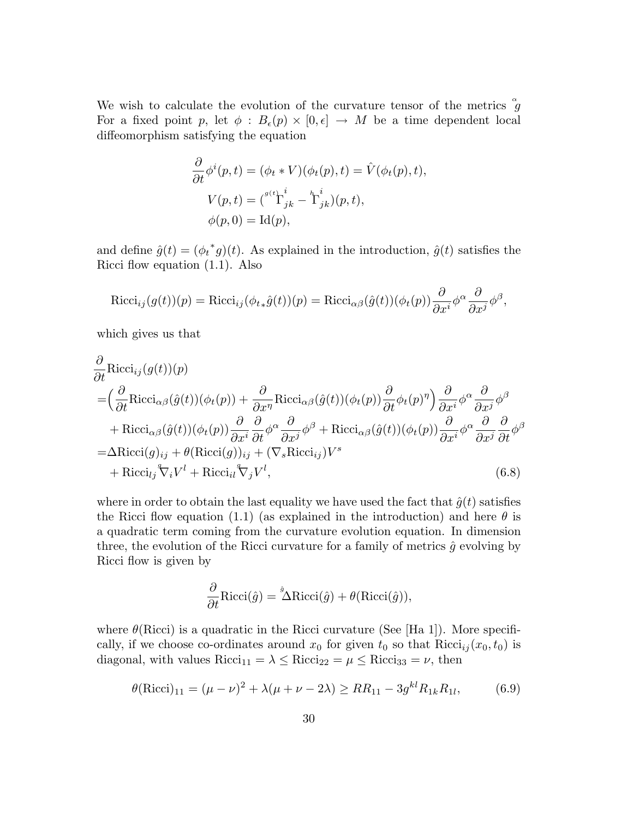We wish to calculate the evolution of the curvature tensor of the metrics  $\mathring{g}$ For a fixed point p, let  $\phi : B_{\epsilon}(p) \times [0, \epsilon] \rightarrow M$  be a time dependent local diffeomorphism satisfying the equation

$$
\frac{\partial}{\partial t}\phi^{i}(p,t) = (\phi_t * V)(\phi_t(p), t) = \hat{V}(\phi_t(p), t),
$$

$$
V(p,t) = {^{\sigma(t)}\Gamma^{i}_{jk} - \Gamma^{i}_{jk}(p,t),
$$

$$
\phi(p, 0) = \text{Id}(p),
$$

and define  $\hat{g}(t) = (\phi_t^* g)(t)$ . As explained in the introduction,  $\hat{g}(t)$  satisfies the Ricci flow equation (1.1). Also

$$
\text{Ricci}_{ij}(g(t))(p) = \text{Ricci}_{ij}(\phi_{t*}\hat{g}(t))(p) = \text{Ricci}_{\alpha\beta}(\hat{g}(t))(\phi_t(p))\frac{\partial}{\partial x^i}\phi^{\alpha}\frac{\partial}{\partial x^j}\phi^{\beta},
$$

which gives us that

$$
\frac{\partial}{\partial t} \text{Ricci}_{ij}(g(t))(p) \n= \left(\frac{\partial}{\partial t} \text{Ricci}_{\alpha\beta}(\hat{g}(t))(\phi_t(p)) + \frac{\partial}{\partial x^{\eta}} \text{Ricci}_{\alpha\beta}(\hat{g}(t))(\phi_t(p))\frac{\partial}{\partial t}\phi_t(p)^{\eta}\right) \frac{\partial}{\partial x^i}\phi^{\alpha} \frac{\partial}{\partial x^j}\phi^{\beta} \n+ \text{Ricci}_{\alpha\beta}(\hat{g}(t))(\phi_t(p))\frac{\partial}{\partial x^i}\frac{\partial}{\partial t}\phi^{\alpha} \frac{\partial}{\partial x^j}\phi^{\beta} + \text{Ricci}_{\alpha\beta}(\hat{g}(t))(\phi_t(p))\frac{\partial}{\partial x^i}\phi^{\alpha} \frac{\partial}{\partial x^j}\frac{\partial}{\partial t}\phi^{\beta} \n= \Delta \text{Ricci}(g)_{ij} + \theta(\text{Ricci}(g))_{ij} + (\nabla_s \text{Ricci}_{ij})V^s \n+ \text{Ricci}_{lj}\nabla_i V^l + \text{Ricci}_{il}\nabla_j V^l,
$$
\n(6.8)

where in order to obtain the last equality we have used the fact that  $\hat{g}(t)$  satisfies the Ricci flow equation (1.1) (as explained in the introduction) and here  $\theta$  is a quadratic term coming from the curvature evolution equation. In dimension three, the evolution of the Ricci curvature for a family of metrics  $\hat{q}$  evolving by Ricci flow is given by

$$
\frac{\partial}{\partial t} \text{Ricci}(\hat{g}) = \mathring{\Delta} \text{Ricci}(\hat{g}) + \theta(\text{Ricci}(\hat{g})),
$$

where  $\theta$ (Ricci) is a quadratic in the Ricci curvature (See [Ha 1]). More specifically, if we choose co-ordinates around  $x_0$  for given  $t_0$  so that  $Ricci_{ij}(x_0,t_0)$  is diagonal, with values  $Ricci_{11} = \lambda \leq Ricci_{22} = \mu \leq Ricci_{33} = \nu$ , then

$$
\theta(\text{Ricci})_{11} = (\mu - \nu)^2 + \lambda(\mu + \nu - 2\lambda) \ge RR_{11} - 3g^{kl}R_{1k}R_{1l},\tag{6.9}
$$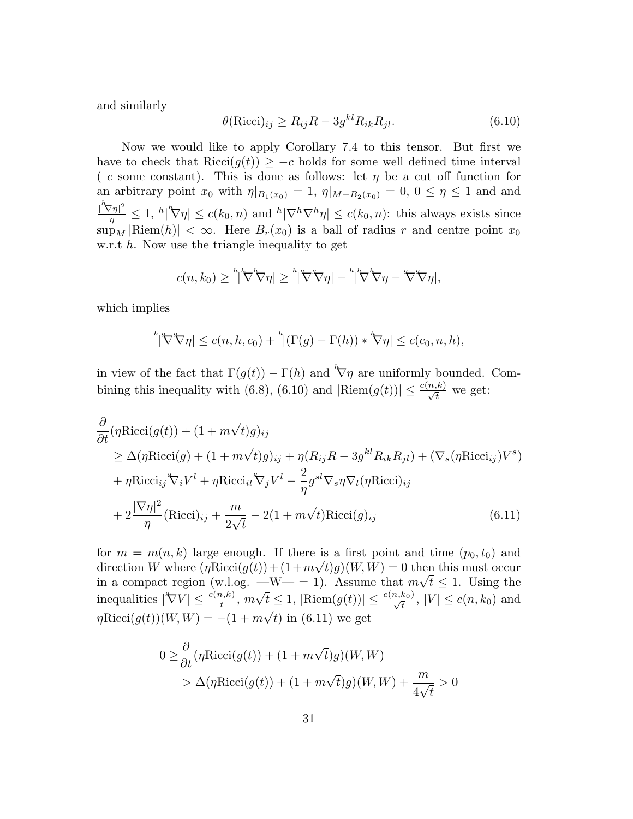and similarly

$$
\theta(\text{Ricci})_{ij} \ge R_{ij}R - 3g^{kl}R_{ik}R_{jl}.\tag{6.10}
$$

Now we would like to apply Corollary 7.4 to this tensor. But first we have to check that Ricci $(g(t)) \geq -c$  holds for some well defined time interval ( c some constant). This is done as follows: let  $\eta$  be a cut off function for an arbitrary point  $x_0$  with  $\eta|_{B_1(x_0)} = 1$ ,  $\eta|_{M-B_2(x_0)} = 0$ ,  $0 \le \eta \le 1$  and and  $\frac{1}{n} \left( \sum_{j=1}^n \frac{1}{n} \right)^n \left( \sum_{j=1}^n \frac{1}{n} \right) \leq c(k_0, n)$  and  $\frac{1}{n} \left| \nabla^h \nabla^h \eta \right| \leq c(k_0, n)$ : this always exists since  $\sup_M |\text{Riem}(h)| < \infty$ . Here  $B_r(x_0)$  is a ball of radius r and centre point  $x_0$ w.r.t  $h$ . Now use the triangle inequality to get

$$
c(n,k_0) \geq \sqrt[h]{\nabla \nabla \eta} \leq \sqrt[h]{\nabla \eta} - \sqrt[h]{\nabla \eta} - \sqrt[h]{\nabla \eta},
$$

which implies

$$
\sqrt[h]{\nabla \nabla \eta} \le c(n, h, c_0) + \sqrt[h]{\Gamma(g) - \Gamma(h)} \cdot \sqrt[k]{\eta} \le c(c_0, n, h),
$$

in view of the fact that  $\Gamma(g(t)) - \Gamma(h)$  and  $\nabla \eta$  are uniformly bounded. Combining this inequality with (6.8), (6.10) and  $|\text{Riem}(g(t))| \leq \frac{c(n,k)}{\sqrt{t}}$  we get:

$$
\frac{\partial}{\partial t} (\eta \text{Ricci}(g(t)) + (1 + m\sqrt{t})g)_{ij} \n\geq \Delta(\eta \text{Ricci}(g) + (1 + m\sqrt{t})g)_{ij} + \eta (R_{ij}R - 3g^{kl}R_{ik}R_{jl}) + (\nabla_s(\eta \text{Ricci}_{ij})V^s) \n+ \eta \text{Ricci}_{ij} \nabla_i V^l + \eta \text{Ricci}_{il} \nabla_j V^l - \frac{2}{\eta} g^{sl} \nabla_s \eta \nabla_l (\eta \text{Ricci})_{ij} \n+ 2 \frac{|\nabla \eta|^2}{\eta} (\text{Ricci})_{ij} + \frac{m}{2\sqrt{t}} - 2(1 + m\sqrt{t}) \text{Ricci}(g)_{ij}
$$
\n(6.11)

for  $m = m(n, k)$  large enough. If there is a first point and time  $(p_0, t_0)$  and direction W where  $(\eta \text{Ricci}(g(t)) + (1 + m\sqrt{t})g)(W, W) = 0$  then this must occur in a compact region (w.l.og.  $-W = 1$ ). Assume that  $m\sqrt{t} \leq 1$ . Using the inequalities  $|\nabla V| \leq \frac{c(n,k)}{t}$ ,  $m\sqrt{t} \leq 1$ ,  $|\text{Riem}(g(t))| \leq \frac{c(n,k_0)}{\sqrt{t}}$ ,  $|V| \leq c(n,k_0)$  and  $\eta \text{Ricci}(g(t))(W, W) = -(1 + m\sqrt{t}) \text{ in (6.11) we get}$ 

$$
0 \geq \frac{\partial}{\partial t} (\eta \text{Ricci}(g(t)) + (1 + m\sqrt{t})g)(W, W)
$$
  
>  $\Delta(\eta \text{Ricci}(g(t)) + (1 + m\sqrt{t})g)(W, W) + \frac{m}{4\sqrt{t}} > 0$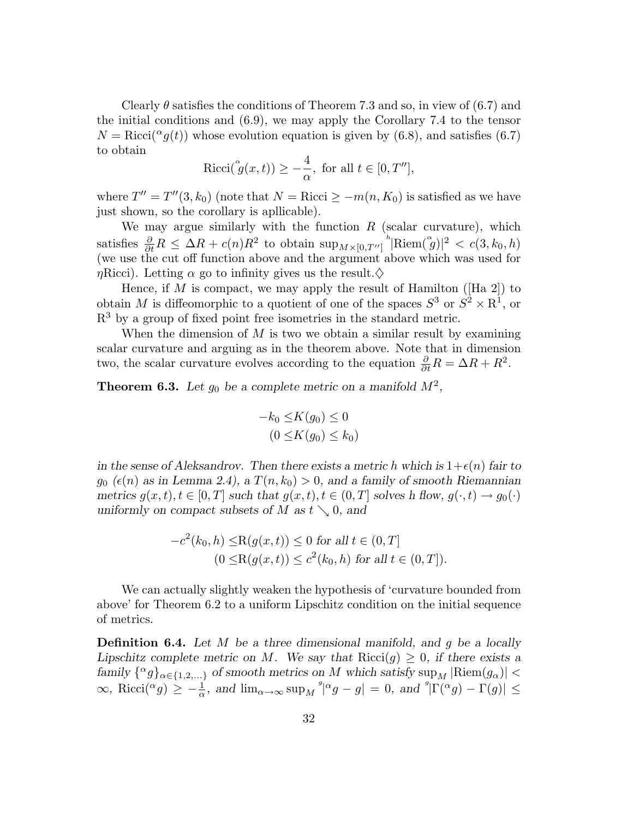Clearly  $\theta$  satisfies the conditions of Theorem 7.3 and so, in view of (6.7) and the initial conditions and (6.9), we may apply the Corollary 7.4 to the tensor  $N = \text{Ricci}({}^{\alpha}g(t))$  whose evolution equation is given by (6.8), and satisfies (6.7) to obtain

$$
Ricci(\overset{\alpha}{g}(x,t)) \ge -\frac{4}{\alpha}, \text{ for all } t \in [0, T''],
$$

where  $T'' = T''(3, k_0)$  (note that  $N = \text{Ricci} \ge -m(n, K_0)$  is satisfied as we have just shown, so the corollary is apllicable).

We may argue similarly with the function  $R$  (scalar curvature), which satisfies  $\frac{\partial}{\partial t}R \leq \Delta R + c(n)R^2$  to obtain  $\sup_{M \times [0,T']}$  Riem $(\overset{\circ}{g})|^2 < c(3,k_0,h)$ (we use the cut off function above and the argument above which was used for  $\eta$ Ricci). Letting  $\alpha$  go to infinity gives us the result. $\diamondsuit$ 

Hence, if M is compact, we may apply the result of Hamilton ([Ha 2]) to obtain M is diffeomorphic to a quotient of one of the spaces  $S^3$  or  $S^2 \times \mathbb{R}^1$ , or  $R<sup>3</sup>$  by a group of fixed point free isometries in the standard metric.

When the dimension of  $M$  is two we obtain a similar result by examining scalar curvature and arguing as in the theorem above. Note that in dimension two, the scalar curvature evolves according to the equation  $\frac{\partial}{\partial t}R = \Delta R + R^2$ .

**Theorem 6.3.** Let  $g_0$  be a complete metric on a manifold  $M^2$ ,

$$
-k_0 \le K(g_0) \le 0
$$
  

$$
(0 \le K(g_0) \le k_0)
$$

in the sense of Aleksandrov. Then there exists a metric h which is  $1+\epsilon(n)$  fair to  $g_0$  ( $\epsilon(n)$  as in Lemma 2.4), a  $T(n,k_0) > 0$ , and a family of smooth Riemannian metrics  $g(x,t), t \in [0,T]$  such that  $g(x,t), t \in (0,T]$  solves h flow,  $g(\cdot,t) \to g_0(\cdot)$ uniformly on compact subsets of M as  $t \searrow 0$ , and

$$
-c^{2}(k_{0}, h) \leq R(g(x, t)) \leq 0 \text{ for all } t \in (0, T]
$$
  

$$
(0 \leq R(g(x, t)) \leq c^{2}(k_{0}, h) \text{ for all } t \in (0, T]).
$$

We can actually slightly weaken the hypothesis of 'curvature bounded from above' for Theorem 6.2 to a uniform Lipschitz condition on the initial sequence of metrics.

**Definition 6.4.** Let  $M$  be a three dimensional manifold, and  $g$  be a locally Lipschitz complete metric on M. We say that  $Ricci(g) \geq 0$ , if there exists a family  $\{^{\alpha}g\}_{\alpha\in\{1,2,\ldots\}}$  of smooth metrics on M which satisfy  $\sup_{\alpha}$  |Riem $(g_{\alpha})$ | <  $\infty$ , Ricci(<sup> $\alpha$ </sup>g)  $\geq -\frac{1}{\alpha}$ , and  $\lim_{\alpha \to \infty} \sup_M \frac{q}{\alpha} g - g$  = 0, and  $\frac{q}{\alpha} |\Gamma(\alpha g) - \Gamma(g)| \leq$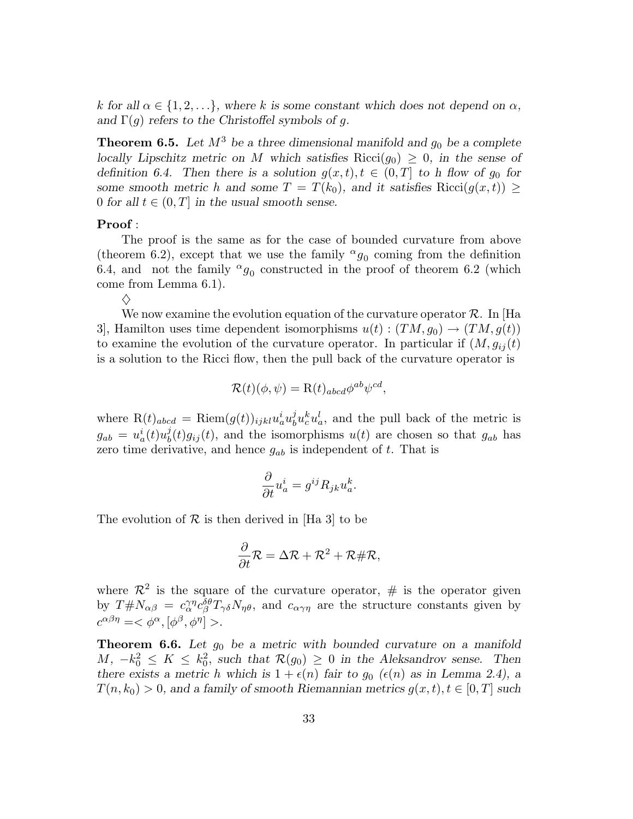k for all  $\alpha \in \{1, 2, ...\}$ , where k is some constant which does not depend on  $\alpha$ , and  $\Gamma(g)$  refers to the Christoffel symbols of g.

**Theorem 6.5.** Let  $M^3$  be a three dimensional manifold and  $g_0$  be a complete locally Lipschitz metric on M which satisfies Ricci( $g_0$ )  $\geq 0$ , in the sense of definition 6.4. Then there is a solution  $g(x,t), t \in (0,T]$  to h flow of  $g_0$  for some smooth metric h and some  $T = T(k_0)$ , and it satisfies Ricci $(g(x,t)) \geq$ 0 for all  $t \in (0, T]$  in the usual smooth sense.

#### Proof :

 $\Diamond$ 

The proof is the same as for the case of bounded curvature from above (theorem 6.2), except that we use the family  $^{\alpha}g_0$  coming from the definition 6.4, and not the family  $^{\alpha}g_0$  constructed in the proof of theorem 6.2 (which come from Lemma 6.1).

We now examine the evolution equation of the curvature operator  $\mathcal{R}$ . In [Ha 3, Hamilton uses time dependent isomorphisms  $u(t) : (TM, g_0) \to (TM, g(t))$ to examine the evolution of the curvature operator. In particular if  $(M, g_{ij}(t))$ is a solution to the Ricci flow, then the pull back of the curvature operator is

$$
\mathcal{R}(t)(\phi,\psi) = \mathcal{R}(t)_{abcd} \phi^{ab} \psi^{cd},
$$

where  $R(t)_{abcd} = Riem(g(t))_{ijkl} u_a^i u_b^j$  $\partial_b^j u_c^k u_a^l$ , and the pull back of the metric is  $g_{ab} = u_a^i(t)u_b^j$  $b<sub>b</sub>(t)g<sub>ij</sub>(t)$ , and the isomorphisms  $u(t)$  are chosen so that  $g<sub>ab</sub>$  has zero time derivative, and hence  $g_{ab}$  is independent of t. That is

$$
\frac{\partial}{\partial t}u_a^i = g^{ij}R_{jk}u_a^k.
$$

The evolution of  $\mathcal R$  is then derived in [Ha 3] to be

$$
\frac{\partial}{\partial t}\mathcal{R} = \Delta \mathcal{R} + \mathcal{R}^2 + \mathcal{R} \# \mathcal{R},
$$

where  $\mathcal{R}^2$  is the square of the curvature operator, # is the operator given by  $T \# N_{\alpha\beta} = c_{\alpha}^{\gamma\eta} c_{\beta}^{\delta\theta} T_{\gamma\delta} N_{\eta\theta}$ , and  $c_{\alpha\gamma\eta}$  are the structure constants given by  $c^{\alpha\beta\eta} = <\phi^{\alpha}, [\phi^{\beta}, \phi^{\eta}]>.$ 

**Theorem 6.6.** Let  $g_0$  be a metric with bounded curvature on a manifold  $M, -k_0^2 \leq K \leq k_0^2$ , such that  $\mathcal{R}(g_0) \geq 0$  in the Aleksandrov sense. Then there exists a metric h which is  $1 + \epsilon(n)$  fair to  $g_0$  ( $\epsilon(n)$ ) as in Lemma 2.4), a  $T(n,k_0) > 0$ , and a family of smooth Riemannian metrics  $g(x,t), t \in [0,T]$  such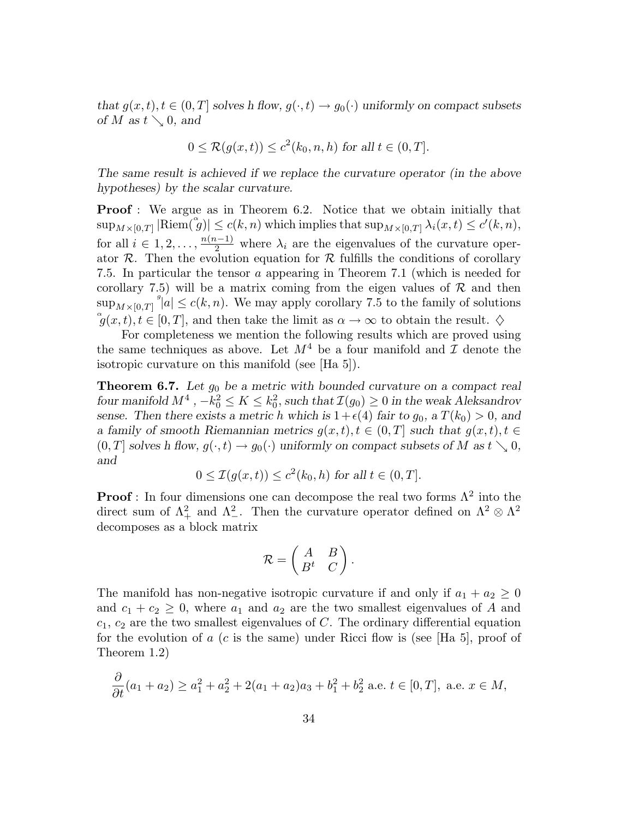that  $g(x,t), t \in (0,T]$  solves h flow,  $g(\cdot,t) \to g_0(\cdot)$  uniformly on compact subsets of M as  $t \searrow 0$ , and

$$
0 \leq \mathcal{R}(g(x,t)) \leq c^2(k_0, n, h) \text{ for all } t \in (0, T].
$$

The same result is achieved if we replace the curvature operator (in the above hypotheses) by the scalar curvature.

**Proof**: We argue as in Theorem 6.2. Notice that we obtain initially that  $\sup_{M\times[0,T]}|\text{Riem}(\overset{\circ}{g})|\leq c(k,n) \text{ which implies that } \sup_{M\times[0,T]}\lambda_i(x,t)\leq c'(k,n),$ for all  $i \in [1, 2, \ldots, \frac{n(n-1)}{2}]$  where  $\lambda_i$  are the eigenvalues of the curvature operator  $\mathcal R$ . Then the evolution equation for  $\mathcal R$  fulfills the conditions of corollary 7.5. In particular the tensor a appearing in Theorem 7.1 (which is needed for corollary 7.5) will be a matrix coming from the eigen values of  $\mathcal R$  and then  $\sup_{M\times[0,T]} s|a| \le c(k,n)$ . We may apply corollary 7.5 to the family of solutions  $(g(x,t),t\in[0,T],$  and then take the limit as  $\alpha\to\infty$  to obtain the result.  $\diamondsuit$ 

For completeness we mention the following results which are proved using the same techniques as above. Let  $M^4$  be a four manifold and  $\mathcal I$  denote the isotropic curvature on this manifold (see [Ha 5]).

**Theorem 6.7.** Let  $g_0$  be a metric with bounded curvature on a compact real four manifold  $M^4$ ,  $-k_0^2 \le K \le k_0^2$ , such that  $\mathcal{I}(g_0) \ge 0$  in the weak Aleksandrov sense. Then there exists a metric h which is  $1+\epsilon(4)$  fair to  $g_0$ , a  $T(k_0) > 0$ , and a family of smooth Riemannian metrics  $g(x,t), t \in (0,T]$  such that  $g(x,t), t \in$  $(0,T]$  solves h flow,  $g(\cdot,t) \to g_0(\cdot)$  uniformly on compact subsets of M as  $t \searrow 0$ , and

$$
0 \leq \mathcal{I}(g(x,t)) \leq c^2(k_0, h) \text{ for all } t \in (0, T].
$$

**Proof**: In four dimensions one can decompose the real two forms  $\Lambda^2$  into the direct sum of  $\Lambda^2_+$  and  $\Lambda^2_-$ . Then the curvature operator defined on  $\Lambda^2 \otimes \Lambda^2$ decomposes as a block matrix

$$
\mathcal{R} = \begin{pmatrix} A & B \\ B^t & C \end{pmatrix}.
$$

The manifold has non-negative isotropic curvature if and only if  $a_1 + a_2 \geq 0$ and  $c_1 + c_2 \geq 0$ , where  $a_1$  and  $a_2$  are the two smallest eigenvalues of A and  $c_1, c_2$  are the two smallest eigenvalues of C. The ordinary differential equation for the evolution of  $a$  (c is the same) under Ricci flow is (see [Ha 5], proof of Theorem 1.2)

$$
\frac{\partial}{\partial t}(a_1 + a_2) \ge a_1^2 + a_2^2 + 2(a_1 + a_2)a_3 + b_1^2 + b_2^2 \text{ a.e. } t \in [0, T], \text{ a.e. } x \in M,
$$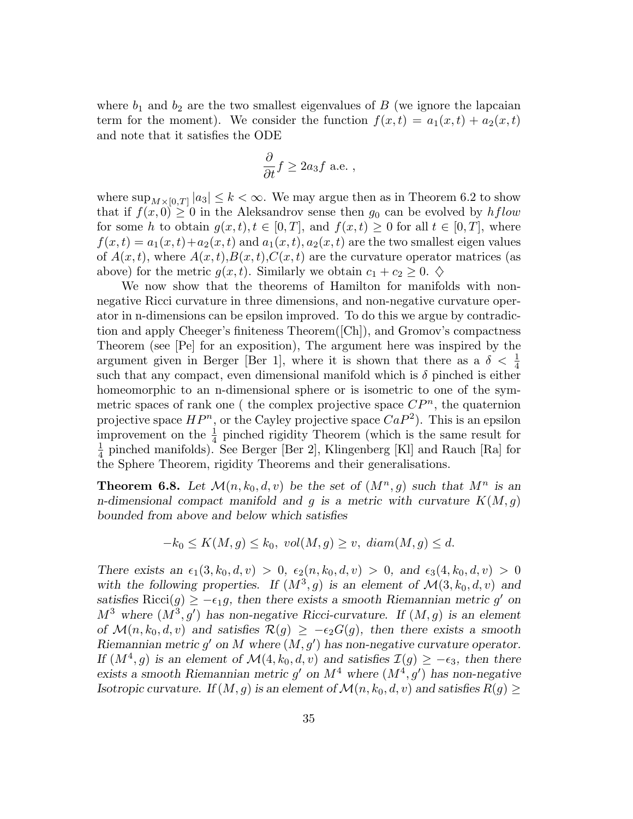where  $b_1$  and  $b_2$  are the two smallest eigenvalues of B (we ignore the lapcaian term for the moment). We consider the function  $f(x,t) = a_1(x,t) + a_2(x,t)$ and note that it satisfies the ODE

$$
\frac{\partial}{\partial t} f \ge 2a_3 f \text{ a.e. },
$$

where  $\sup_{M\times[0,T]}|a_3|\leq k<\infty$ . We may argue then as in Theorem 6.2 to show that if  $f(x, 0) \geq 0$  in the Aleksandrov sense then  $g_0$  can be evolved by hflow for some h to obtain  $g(x,t), t \in [0,T]$ , and  $f(x,t) \geq 0$  for all  $t \in [0,T]$ , where  $f(x,t) = a_1(x,t) + a_2(x,t)$  and  $a_1(x,t), a_2(x,t)$  are the two smallest eigen values of  $A(x,t)$ , where  $A(x,t)$ ,  $B(x,t)$ ,  $C(x,t)$  are the curvature operator matrices (as above) for the metric  $g(x,t)$ . Similarly we obtain  $c_1 + c_2 \geq 0$ .  $\diamondsuit$ 

We now show that the theorems of Hamilton for manifolds with nonnegative Ricci curvature in three dimensions, and non-negative curvature operator in n-dimensions can be epsilon improved. To do this we argue by contradiction and apply Cheeger's finiteness Theorem([Ch]), and Gromov's compactness Theorem (see [Pe] for an exposition), The argument here was inspired by the argument given in Berger [Ber 1], where it is shown that there as a  $\delta < \frac{1}{4}$ such that any compact, even dimensional manifold which is  $\delta$  pinched is either homeomorphic to an n-dimensional sphere or is isometric to one of the symmetric spaces of rank one ( the complex projective space  $\mathbb{CP}^n$ , the quaternion projective space  $HP^n$ , or the Cayley projective space  $CaP^2$ ). This is an epsilon improvement on the  $\frac{1}{4}$  pinched rigidity Theorem (which is the same result for  $\overline{1}$  $\frac{1}{4}$  pinched manifolds). See Berger [Ber 2], Klingenberg [Kl] and Rauch [Ra] for the Sphere Theorem, rigidity Theorems and their generalisations.

**Theorem 6.8.** Let  $\mathcal{M}(n,k_0,d,v)$  be the set of  $(M^n,g)$  such that  $M^n$  is an n-dimensional compact manifold and g is a metric with curvature  $K(M,g)$ bounded from above and below which satisfies

$$
-k_0 \le K(M,g) \le k_0, \ vol(M,g) \ge v, \ diam(M,g) \le d.
$$

There exists an  $\epsilon_1(3,k_0,d,v) > 0$ ,  $\epsilon_2(n,k_0,d,v) > 0$ , and  $\epsilon_3(4,k_0,d,v) > 0$ with the following properties. If  $(M^3, g)$  is an element of  $\mathcal{M}(3, k_0, d, v)$  and satisfies Ricci(g)  $\geq -\epsilon_1 g$ , then there exists a smooth Riemannian metric g' on  $M^3$  where  $(M^3, g')$  has non-negative Ricci-curvature. If  $(M, g)$  is an element of  $\mathcal{M}(n,k_0,d,v)$  and satisfies  $\mathcal{R}(g) \geq -\epsilon_2 G(g)$ , then there exists a smooth Riemannian metric  $g'$  on M where  $(M, g')$  has non-negative curvature operator. If  $(M^4, g)$  is an element of  $\mathcal{M}(4, k_0, d, v)$  and satisfies  $\mathcal{I}(g) \geq -\epsilon_3$ , then there exists a smooth Riemannian metric  $g'$  on  $M^4$  where  $(M^4, g')$  has non-negative Isotropic curvature. If  $(M,g)$  is an element of  $\mathcal{M}(n,k_0,d,v)$  and satisfies  $R(g) \geq$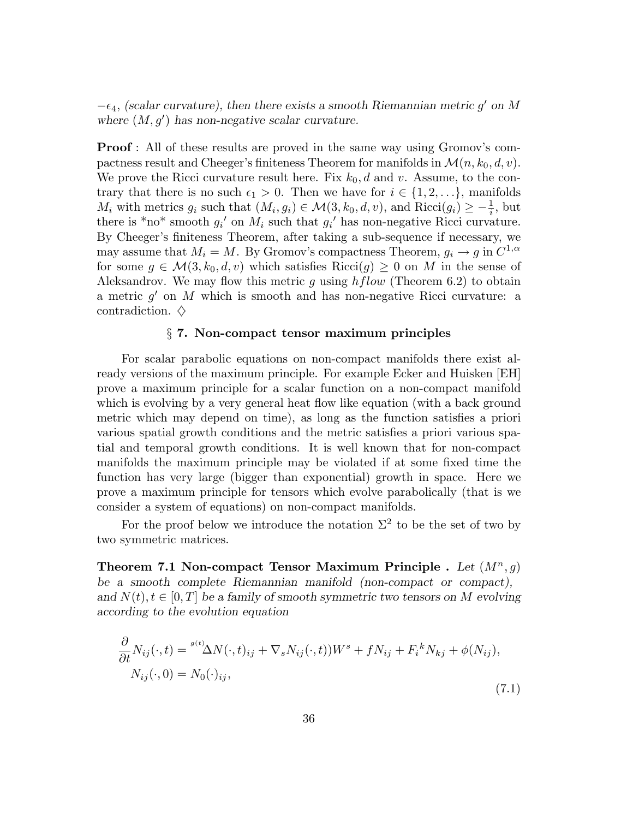$-\epsilon_4$ , (scalar curvature), then there exists a smooth Riemannian metric g' on M where  $(M, g')$  has non-negative scalar curvature.

**Proof**: All of these results are proved in the same way using Gromov's compactness result and Cheeger's finiteness Theorem for manifolds in  $\mathcal{M}(n,k_0,d,v)$ . We prove the Ricci curvature result here. Fix  $k_0, d$  and v. Assume, to the contrary that there is no such  $\epsilon_1 > 0$ . Then we have for  $i \in \{1, 2, ...\}$ , manifolds  $M_i$  with metrics  $g_i$  such that  $(M_i, g_i) \in \mathcal{M}(3, k_0, d, v)$ , and  $Ricci(g_i) \geq -\frac{1}{i}$ , but there is \*no\* smooth  $g_i'$  on  $M_i$  such that  $g_i'$  has non-negative Ricci curvature. By Cheeger's finiteness Theorem, after taking a sub-sequence if necessary, we may assume that  $M_i = M$ . By Gromov's compactness Theorem,  $g_i \to g$  in  $C^{1,\alpha}$ for some  $g \in \mathcal{M}(3, k_0, d, v)$  which satisfies  $Ricci(g) \geq 0$  on M in the sense of Aleksandrov. We may flow this metric g using  $hflow$  (Theorem 6.2) to obtain a metric g ′ on M which is smooth and has non-negative Ricci curvature: a contradiction.  $\diamond$ 

#### § 7. Non-compact tensor maximum principles

For scalar parabolic equations on non-compact manifolds there exist already versions of the maximum principle. For example Ecker and Huisken [EH] prove a maximum principle for a scalar function on a non-compact manifold which is evolving by a very general heat flow like equation (with a back ground metric which may depend on time), as long as the function satisfies a priori various spatial growth conditions and the metric satisfies a priori various spatial and temporal growth conditions. It is well known that for non-compact manifolds the maximum principle may be violated if at some fixed time the function has very large (bigger than exponential) growth in space. Here we prove a maximum principle for tensors which evolve parabolically (that is we consider a system of equations) on non-compact manifolds.

For the proof below we introduce the notation  $\Sigma^2$  to be the set of two by two symmetric matrices.

Theorem 7.1 Non-compact Tensor Maximum Principle . Let  $(M^n, q)$ be a smooth complete Riemannian manifold (non-compact or compact), and  $N(t)$ ,  $t \in [0, T]$  be a family of smooth symmetric two tensors on M evolving according to the evolution equation

$$
\frac{\partial}{\partial t} N_{ij}(\cdot, t) = \frac{g(t)}{\Delta N(\cdot, t)_{ij}} + \nabla_s N_{ij}(\cdot, t) W^s + f N_{ij} + F_i^k N_{kj} + \phi(N_{ij}),
$$
  
\n
$$
N_{ij}(\cdot, 0) = N_0(\cdot)_{ij},
$$
\n(7.1)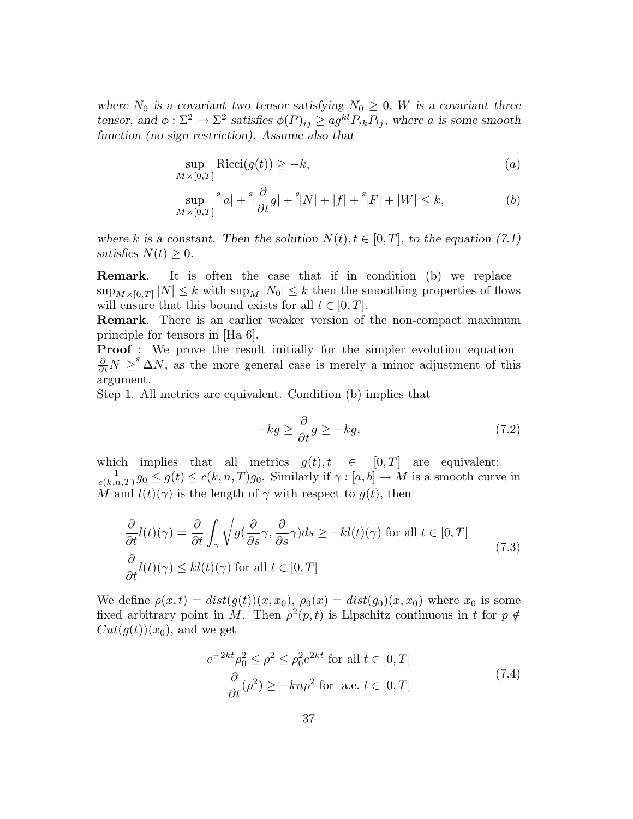where  $N_0$  is a covariant two tensor satisfying  $N_0 \geq 0$ , W is a covariant three tensor, and  $\phi : \Sigma^2 \to \Sigma^2$  satisfies  $\phi(P)_{ij} \geq ag^{kl} P_{ik} P_{lj}$ , where a is some smooth function (no sign restriction). Assume also that

$$
\sup_{M \times [0,T]} \text{Ricci}(g(t)) \ge -k,\tag{a}
$$

$$
\sup_{M \times [0,T]} {}^{g}|a| + {}^{g}|\frac{\partial}{\partial t}g| + {}^{g}|N| + |f| + {}^{g}|F| + |W| \leq k,
$$
\n(b)

where k is a constant. Then the solution  $N(t)$ ,  $t \in [0, T]$ , to the equation (7.1) satisfies  $N(t) \geq 0$ .

Remark. It is often the case that if in condition (b) we replace  $\sup_{M\times[0,T]}|N|\leq k$  with  $\sup_M|N_0|\leq k$  then the smoothing properties of flows will ensure that this bound exists for all  $t \in [0, T]$ .

Remark. There is an earlier weaker version of the non-compact maximum principle for tensors in [Ha 6].

**Proof** : We prove the result initially for the simpler evolution equation  $\frac{\partial}{\partial t}N \geq^s \Delta N$ , as the more general case is merely a minor adjustment of this argument.

Step 1. All metrics are equivalent. Condition (b) implies that

$$
-kg \ge \frac{\partial}{\partial t}g \ge -kg,\tag{7.2}
$$

which implies that all metrics  $g(t), t \in [0,T]$  are equivalent: 1  $\frac{1}{c(k,n,T)}g_0 \leq g(t) \leq c(k,n,T)g_0.$  Similarly if  $\gamma : [a,b] \to M$  is a smooth curve in M and  $l(t)(\gamma)$  is the length of  $\gamma$  with respect to  $q(t)$ , then

$$
\frac{\partial}{\partial t}l(t)(\gamma) = \frac{\partial}{\partial t} \int_{\gamma} \sqrt{g(\frac{\partial}{\partial s}\gamma, \frac{\partial}{\partial s}\gamma)} ds \ge -kl(t)(\gamma) \text{ for all } t \in [0, T]
$$
\n
$$
\frac{\partial}{\partial t}l(t)(\gamma) \le kl(t)(\gamma) \text{ for all } t \in [0, T]
$$
\n(7.3)

We define  $\rho(x,t) = dist(g(t))(x,x_0), \rho_0(x) = dist(g_0)(x,x_0)$  where  $x_0$  is some fixed arbitrary point in M. Then  $\rho^2(p,t)$  is Lipschitz continuous in t for  $p \notin \mathbb{R}$  $Cut(g(t))(x_0)$ , and we get

$$
e^{-2kt} \rho_0^2 \le \rho^2 \le \rho_0^2 e^{2kt} \text{ for all } t \in [0, T]
$$
  

$$
\frac{\partial}{\partial t} (\rho^2) \ge -kn\rho^2 \text{ for a.e. } t \in [0, T]
$$
 (7.4)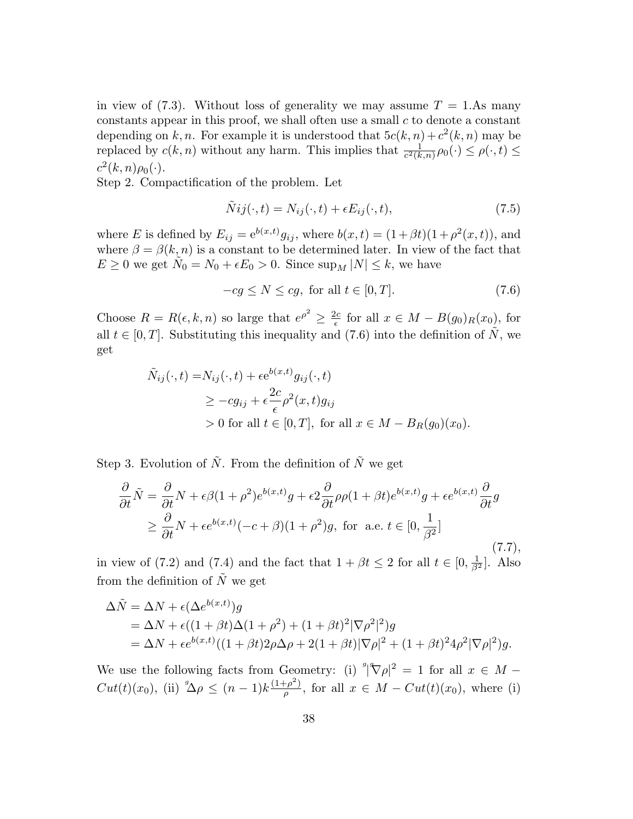in view of (7.3). Without loss of generality we may assume  $T = 1.$ As many constants appear in this proof, we shall often use a small  $c$  to denote a constant depending on k, n. For example it is understood that  $5c(k,n) + c^2(k,n)$  may be replaced by  $c(k, n)$  without any harm. This implies that  $\frac{1}{c^2(k,n)}\rho_0(\cdot) \leq \rho(\cdot, t) \leq$  $c^2(k,n)\rho_0(\cdot).$ 

Step 2. Compactification of the problem. Let

$$
\tilde{N}ij(\cdot,t) = N_{ij}(\cdot,t) + \epsilon E_{ij}(\cdot,t),\tag{7.5}
$$

where E is defined by  $E_{ij} = e^{b(x,t)} g_{ij}$ , where  $b(x,t) = (1 + \beta t)(1 + \rho^2(x,t))$ , and where  $\beta = \beta(k,n)$  is a constant to be determined later. In view of the fact that  $E \ge 0$  we get  $\tilde{N}_0 = N_0 + \epsilon E_0 > 0$ . Since  $\sup_M |N| \le k$ , we have

$$
-cg \le N \le cg, \text{ for all } t \in [0, T]. \tag{7.6}
$$

Choose  $R = R(\epsilon, k, n)$  so large that  $e^{\rho^2} \geq \frac{2c}{\epsilon}$  $\frac{dc}{\epsilon}$  for all  $x \in M - B(g_0)_R(x_0)$ , for all  $t \in [0, T]$ . Substituting this inequality and (7.6) into the definition of  $\tilde{N}$ , we get

$$
\tilde{N}_{ij}(\cdot, t) = N_{ij}(\cdot, t) + \epsilon e^{b(x,t)} g_{ij}(\cdot, t)
$$
\n
$$
\geq -c g_{ij} + \epsilon \frac{2c}{\epsilon} \rho^2(x, t) g_{ij}
$$
\n
$$
> 0 \text{ for all } t \in [0, T], \text{ for all } x \in M - B_R(g_0)(x_0).
$$

Step 3. Evolution of  $\tilde{N}$ . From the definition of  $\tilde{N}$  we get

$$
\frac{\partial}{\partial t}\tilde{N} = \frac{\partial}{\partial t}N + \epsilon \beta (1 + \rho^2)e^{b(x,t)}g + \epsilon 2 \frac{\partial}{\partial t} \rho \rho (1 + \beta t)e^{b(x,t)}g + \epsilon e^{b(x,t)}\frac{\partial}{\partial t}g
$$
\n
$$
\geq \frac{\partial}{\partial t}N + \epsilon e^{b(x,t)}(-c+\beta)(1+\rho^2)g, \text{ for a.e. } t \in [0, \frac{1}{\beta^2}]
$$
\n(7.7),

in view of (7.2) and (7.4) and the fact that  $1 + \beta t \le 2$  for all  $t \in [0, \frac{1}{\beta^2}]$ . Also from the definition of  $\tilde{N}$  we get

$$
\begin{split} \Delta \tilde{N} &= \Delta N + \epsilon (\Delta e^{b(x,t)})g \\ &= \Delta N + \epsilon ((1+\beta t)\Delta(1+\rho^2) + (1+\beta t)^2 |\nabla \rho^2|^2)g \\ &= \Delta N + \epsilon e^{b(x,t)}((1+\beta t)2\rho\Delta\rho + 2(1+\beta t)|\nabla \rho|^2 + (1+\beta t)^2 4\rho^2 |\nabla \rho|^2)g. \end{split}
$$

We use the following facts from Geometry: (i)  $^{g}|\nabla \rho|^2 = 1$  for all  $x \in M Cut(t)(x_0)$ , (ii)  ${}^g \Delta \rho \leq (n-1)k \frac{(1+\rho^2)}{\rho}$  $\frac{f^2(p)}{p}$ , for all  $x \in M - Cut(t)(x_0)$ , where (i)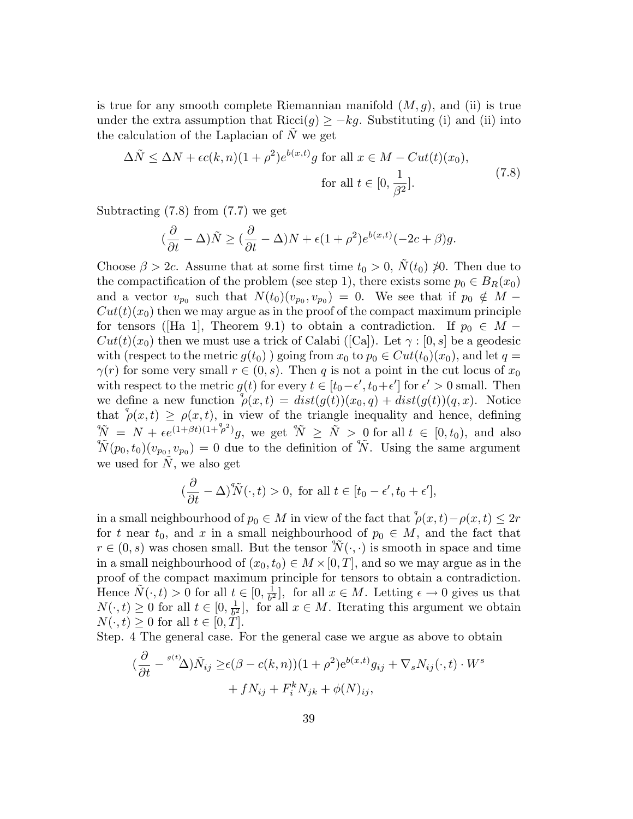is true for any smooth complete Riemannian manifold  $(M, q)$ , and (ii) is true under the extra assumption that Ricci(q)  $\geq -kq$ . Substituting (i) and (ii) into the calculation of the Laplacian of  $\tilde{N}$  we get

$$
\Delta \tilde{N} \le \Delta N + \epsilon c(k, n)(1 + \rho^2) e^{b(x, t)} g \text{ for all } x \in M - Cut(t)(x_0),
$$
  
for all  $t \in [0, \frac{1}{\beta^2}].$  (7.8)

Subtracting (7.8) from (7.7) we get

$$
(\frac{\partial}{\partial t}-\Delta)\tilde{N}\geq (\frac{\partial}{\partial t}-\Delta)N+\epsilon(1+\rho^2)e^{b(x,t)}(-2c+\beta)g.
$$

Choose  $\beta > 2c$ . Assume that at some first time  $t_0 > 0$ ,  $N(t_0) \not\gg 0$ . Then due to the compactification of the problem (see step 1), there exists some  $p_0 \in B_R(x_0)$ and a vector  $v_{p_0}$  such that  $N(t_0)(v_{p_0}, v_{p_0}) = 0$ . We see that if  $p_0 \notin M Cut(t)(x_0)$  then we may argue as in the proof of the compact maximum principle for tensors ([Ha 1], Theorem 9.1) to obtain a contradiction. If  $p_0 \in M Cut(t)(x_0)$  then we must use a trick of Calabi ([Ca]). Let  $\gamma : [0, s]$  be a geodesic with (respect to the metric  $g(t_0)$ ) going from  $x_0$  to  $p_0 \in Cut(t_0)(x_0)$ , and let  $q =$  $\gamma(r)$  for some very small  $r \in (0, s)$ . Then q is not a point in the cut locus of  $x_0$ with respect to the metric  $g(t)$  for every  $t \in [t_0 - \epsilon', t_0 + \epsilon']$  for  $\epsilon' > 0$  small. Then we define a new function  $\phi(x,t) = dist(g(t))(x_0,q) + dist(g(t))(q,x)$ . Notice that  $\phi(x,t) \geq \rho(x,t)$ , in view of the triangle inequality and hence, defining  $\tilde{\tilde{N}} = N + \epsilon e^{(1+\beta t)(1+\beta^2)}g$ , we get  $\tilde{\tilde{N}} \ge \tilde{N} > 0$  for all  $t \in [0, t_0)$ , and also  ${}^4 \tilde{N}(p_0, t_0)(v_{p_0}, v_{p_0}) = 0$  due to the definition of  ${}^4 \tilde{N}$ . Using the same argument we used for  $\tilde{N}$ , we also get

$$
\left(\frac{\partial}{\partial t} - \Delta\right)^q \tilde{N}(\cdot, t) > 0, \text{ for all } t \in [t_0 - \epsilon', t_0 + \epsilon'],
$$

in a small neighbourhood of  $p_0 \in M$  in view of the fact that  $\int^q \rho(x,t) - \rho(x,t) \leq 2r$ for t near  $t_0$ , and x in a small neighbourhood of  $p_0 \in M$ , and the fact that  $r \in (0, s)$  was chosen small. But the tensor  $\widetilde{N}(\cdot, \cdot)$  is smooth in space and time in a small neighbourhood of  $(x_0, t_0) \in M \times [0, T]$ , and so we may argue as in the proof of the compact maximum principle for tensors to obtain a contradiction. Hence  $\tilde{N}(\cdot,t) > 0$  for all  $t \in [0, \frac{1}{b^2}]$  $\frac{1}{b^2}$ , for all  $x \in M$ . Letting  $\epsilon \to 0$  gives us that  $N(\cdot,t) \geq 0$  for all  $t \in [0, \frac{1}{b^2}]$  $\frac{1}{b^2}$ , for all  $x \in M$ . Iterating this argument we obtain  $N(\cdot,t) \geq 0$  for all  $t \in [0,T]$ .

Step. 4 The general case. For the general case we argue as above to obtain

$$
\left(\frac{\partial}{\partial t} - \frac{g(t)}{\Delta}\right)\tilde{N}_{ij} \ge \epsilon(\beta - c(k, n))(1 + \rho^2)e^{b(x, t)}g_{ij} + \nabla_s N_{ij}(\cdot, t) \cdot W^s + f N_{ij} + F^k_i N_{jk} + \phi(N)_{ij},
$$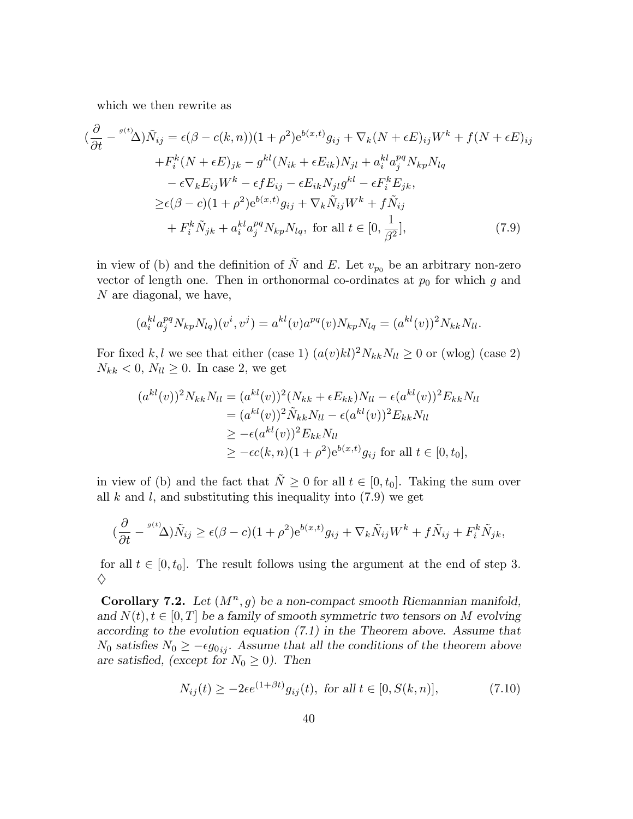which we then rewrite as

∂

$$
\left(\frac{\partial}{\partial t} - \frac{g(t)}{\Delta}\right)\tilde{N}_{ij} = \epsilon(\beta - c(k, n))(1 + \rho^2)e^{b(x, t)}g_{ij} + \nabla_k(N + \epsilon E)_{ij}W^k + f(N + \epsilon E)_{ij}
$$

$$
+ F_i^k(N + \epsilon E)_{jk} - g^{kl}(N_{ik} + \epsilon E_{ik})N_{jl} + a_i^{kl}a_j^{pq}N_{kp}N_{lq}
$$

$$
- \epsilon \nabla_k E_{ij}W^k - \epsilon f E_{ij} - \epsilon E_{ik}N_{jl}g^{kl} - \epsilon F_i^k E_{jk},
$$

$$
\geq \epsilon(\beta - c)(1 + \rho^2)e^{b(x, t)}g_{ij} + \nabla_k \tilde{N}_{ij}W^k + f \tilde{N}_{ij}
$$

$$
+ F_i^k \tilde{N}_{jk} + a_i^{kl}a_j^{pq}N_{kp}N_{lq}, \text{ for all } t \in [0, \frac{1}{\beta^2}], \tag{7.9}
$$

in view of (b) and the definition of  $\tilde{N}$  and E. Let  $v_{p_0}$  be an arbitrary non-zero vector of length one. Then in orthonormal co-ordinates at  $p_0$  for which g and N are diagonal, we have,

$$
(a_i^{kl} a_j^{pq} N_{kp} N_{lq})(v^i, v^j) = a^{kl}(v) a^{pq}(v) N_{kp} N_{lq} = (a^{kl}(v))^2 N_{kk} N_{ll}.
$$

For fixed k,l we see that either (case 1)  $(a(v)kl)^2 N_{kk}N_{ll} \ge 0$  or (wlog) (case 2)  $N_{kk}$  < 0,  $N_{ll} \ge 0$ . In case 2, we get

$$
(a^{kl}(v))^2 N_{kk} N_{ll} = (a^{kl}(v))^2 (N_{kk} + \epsilon E_{kk}) N_{ll} - \epsilon (a^{kl}(v))^2 E_{kk} N_{ll}
$$
  
=  $(a^{kl}(v))^2 \tilde{N}_{kk} N_{ll} - \epsilon (a^{kl}(v))^2 E_{kk} N_{ll}$   
 $\ge -\epsilon (a^{kl}(v))^2 E_{kk} N_{ll}$   
 $\ge -\epsilon c(k, n)(1 + \rho^2) e^{b(x, t)} g_{ij}$  for all  $t \in [0, t_0]$ ,

in view of (b) and the fact that  $\tilde{N} \geq 0$  for all  $t \in [0, t_0]$ . Taking the sum over all  $k$  and  $l$ , and substituting this inequality into  $(7.9)$  we get

$$
(\frac{\partial}{\partial t} - {^{g(t)}\Delta})\tilde{N}_{ij} \ge \epsilon(\beta - c)(1 + \rho^2)e^{b(x,t)}g_{ij} + \nabla_k \tilde{N}_{ij}W^k + f\tilde{N}_{ij} + F_i^k \tilde{N}_{jk},
$$

for all  $t \in [0, t_0]$ . The result follows using the argument at the end of step 3.  $\diamondsuit$ 

Corollary 7.2. Let  $(M^n, g)$  be a non-compact smooth Riemannian manifold, and  $N(t)$ ,  $t \in [0, T]$  be a family of smooth symmetric two tensors on M evolving according to the evolution equation (7.1) in the Theorem above. Assume that  $N_0$  satisfies  $N_0 \ge -\epsilon g_{0ij}$ . Assume that all the conditions of the theorem above are satisfied, (except for  $N_0 \geq 0$ ). Then

$$
N_{ij}(t) \ge -2\epsilon e^{(1+\beta t)}g_{ij}(t), \text{ for all } t \in [0, S(k, n)],\tag{7.10}
$$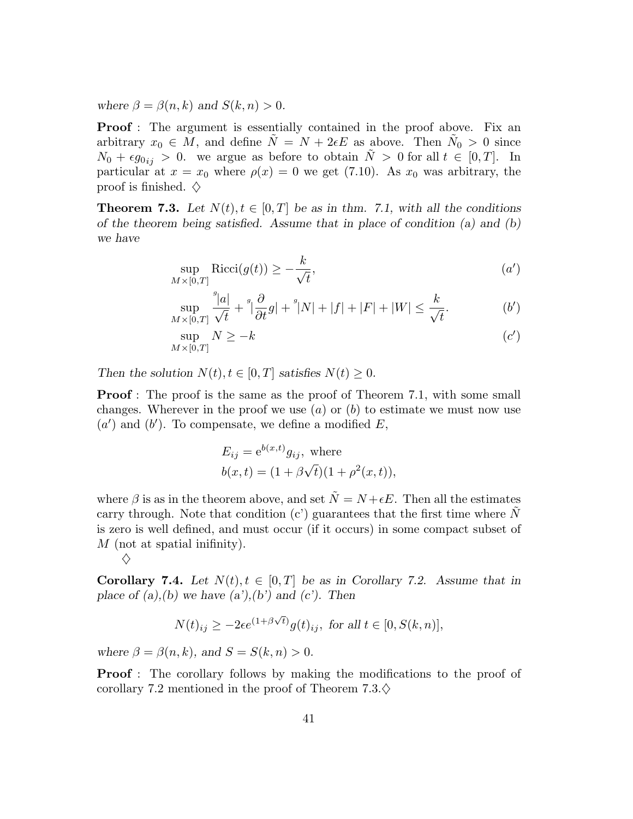where  $\beta = \beta(n,k)$  and  $S(k,n) > 0$ .

**Proof**: The argument is essentially contained in the proof above. Fix an arbitrary  $x_0 \in M$ , and define  $\tilde{N} = N + 2\epsilon E$  as above. Then  $\tilde{N}_0 > 0$  since  $N_0 + \epsilon g_{0ij} > 0$ . we argue as before to obtain  $\tilde{N} > 0$  for all  $t \in [0, T]$ . In particular at  $x = x_0$  where  $\rho(x) = 0$  we get (7.10). As  $x_0$  was arbitrary, the proof is finished.  $\diamondsuit$ 

**Theorem 7.3.** Let  $N(t), t \in [0, T]$  be as in thm. 7.1, with all the conditions of the theorem being satisfied. Assume that in place of condition (a) and  $(b)$ we have

$$
\sup_{M \times [0,T]} \text{Ricci}(g(t)) \ge -\frac{k}{\sqrt{t}},\tag{a'}
$$

$$
\sup_{M\times[0,T]}\frac{{}^g|a|}{\sqrt{t}}+{}^g|\frac{\partial}{\partial t}g|+{}^g|N|+|f|+|F|+|W|\leq\frac{k}{\sqrt{t}}.\tag{b'}
$$

$$
\sup_{M \times [0,T]} N \ge -k \tag{c'}
$$

Then the solution  $N(t)$ ,  $t \in [0, T]$  satisfies  $N(t) \geq 0$ .

**Proof**: The proof is the same as the proof of Theorem 7.1, with some small changes. Wherever in the proof we use  $(a)$  or  $(b)$  to estimate we must now use  $(a')$  and  $(b')$ . To compensate, we define a modified E,

$$
E_{ij} = e^{b(x,t)} g_{ij}
$$
, where  
 $b(x,t) = (1 + \beta \sqrt{t})(1 + \rho^2(x,t)),$ 

where  $\beta$  is as in the theorem above, and set  $\tilde{N} = N + \epsilon E$ . Then all the estimates carry through. Note that condition  $(c')$  guarantees that the first time where N is zero is well defined, and must occur (if it occurs) in some compact subset of  $M$  (not at spatial inifinity).

$$
\Diamond
$$

**Corollary 7.4.** Let  $N(t), t \in [0, T]$  be as in Corollary 7.2. Assume that in place of  $(a),(b)$  we have  $(a')(b')$  and  $(c')$ . Then

$$
N(t)_{ij} \ge -2\epsilon e^{(1+\beta\sqrt{t})}g(t)_{ij}, \text{ for all } t \in [0, S(k,n)],
$$

where  $\beta = \beta(n, k)$ , and  $S = S(k, n) > 0$ .

**Proof**: The corollary follows by making the modifications to the proof of corollary 7.2 mentioned in the proof of Theorem  $7.3.\diamondsuit$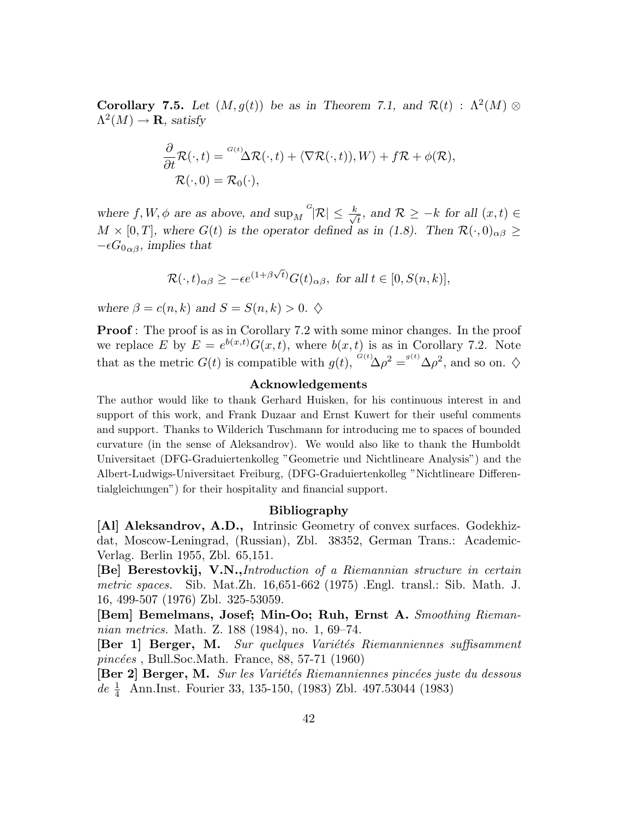**Corollary 7.5.** Let  $(M, g(t))$  be as in Theorem 7.1, and  $\mathcal{R}(t)$ :  $\Lambda^2(M) \otimes$  $\Lambda^2(M)\to{\bf R},$  satisfy

$$
\frac{\partial}{\partial t} \mathcal{R}(\cdot, t) = \frac{G(t)}{\Delta \mathcal{R}(\cdot, t)} + \langle \nabla \mathcal{R}(\cdot, t) \rangle, W \rangle + f \mathcal{R} + \phi(\mathcal{R}),
$$
  

$$
\mathcal{R}(\cdot, 0) = \mathcal{R}_0(\cdot),
$$

where  $f, W, \phi$  are as above, and  $\sup_M G | \mathcal{R} | \leq \frac{k}{\sqrt{2}}$  $\overline{t}_{\overline{t}}$ , and  $\mathcal{R} \geq -k$  for all  $(x, t) \in$  $M \times [0,T]$ , where  $G(t)$  is the operator defined as in (1.8). Then  $\mathcal{R}(\cdot,0)_{\alpha\beta} \geq$  $-\epsilon G_{0\alpha\beta}$ , implies that

$$
\mathcal{R}(\cdot,t)_{\alpha\beta} \ge -\epsilon e^{(1+\beta\sqrt{t})} G(t)_{\alpha\beta}, \text{ for all } t\in[0,S(n,k)],
$$

where  $\beta = c(n,k)$  and  $S = S(n,k) > 0$ .  $\diamondsuit$ 

**Proof**: The proof is as in Corollary 7.2 with some minor changes. In the proof we replace E by  $E = e^{b(x,t)} G(x,t)$ , where  $b(x,t)$  is as in Corollary 7.2. Note that as the metric  $G(t)$  is compatible with  $g(t)$ ,  $^{G(t)}\Delta \rho^2 = ^{g(t)}\Delta \rho^2$ , and so on.  $\diamondsuit$ 

#### Acknowledgements

The author would like to thank Gerhard Huisken, for his continuous interest in and support of this work, and Frank Duzaar and Ernst Kuwert for their useful comments and support. Thanks to Wilderich Tuschmann for introducing me to spaces of bounded curvature (in the sense of Aleksandrov). We would also like to thank the Humboldt Universitaet (DFG-Graduiertenkolleg "Geometrie und Nichtlineare Analysis") and the Albert-Ludwigs-Universitaet Freiburg, (DFG-Graduiertenkolleg "Nichtlineare Differentialgleichungen") for their hospitality and financial support.

#### Bibliography

[Al] Aleksandrov, A.D., Intrinsic Geometry of convex surfaces. Godekhizdat, Moscow-Leningrad, (Russian), Zbl. 38352, German Trans.: Academic-Verlag. Berlin 1955, Zbl. 65,151.

[Be] Berestovkij, V.N.,Introduction of a Riemannian structure in certain metric spaces. Sib. Mat.Zh. 16,651-662 (1975) .Engl. transl.: Sib. Math. J. 16, 499-507 (1976) Zbl. 325-53059.

[Bem] Bemelmans, Josef; Min-Oo; Ruh, Ernst A. Smoothing Riemannian metrics. Math. Z. 188 (1984), no. 1, 69–74.

[Ber 1] Berger, M. Sur quelques Variétés Riemanniennes suffisamment  $\textit{pincées}$ , Bull.Soc.Math. France, 88, 57-71 (1960)

[Ber 2] Berger, M. Sur les Variétés Riemanniennes pincées juste du dessous  $de \frac{1}{4}$  Ann.Inst. Fourier 33, 135-150, (1983) Zbl. 497.53044 (1983)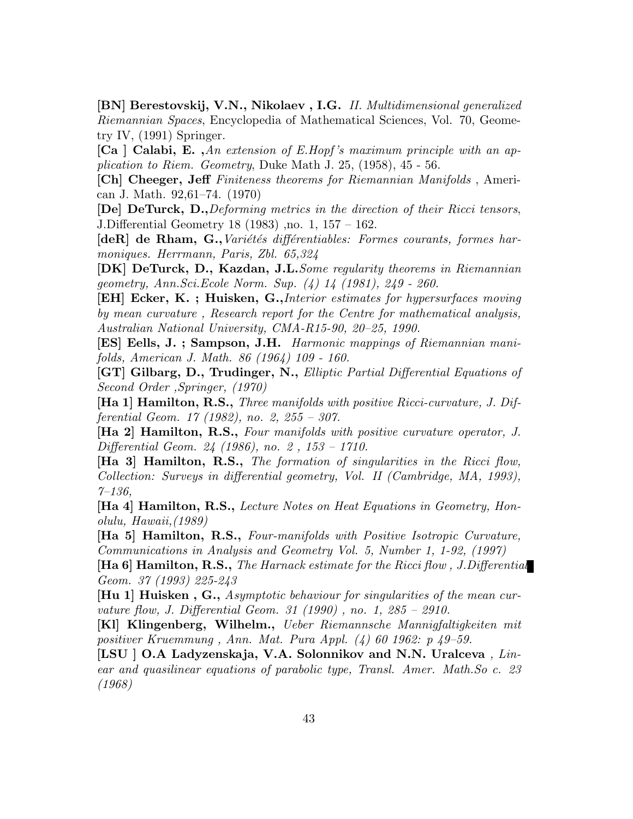[BN] Berestovskij, V.N., Nikolaev , I.G. II. Multidimensional generalized Riemannian Spaces, Encyclopedia of Mathematical Sciences, Vol. 70, Geometry IV, (1991) Springer.

[Ca ] Calabi, E., An extension of E.Hopf's maximum principle with an application to Riem. Geometry, Duke Math J. 25, (1958), 45 - 56.

[Ch] Cheeger, Jeff Finiteness theorems for Riemannian Manifolds , American J. Math. 92,61–74. (1970)

[De] DeTurck, D.,Deforming metrics in the direction of their Ricci tensors, J.Differential Geometry 18 (1983) ,no. 1, 157 – 162.

[deR] de Rham, G., Variétés différentiables: Formes courants, formes harmoniques. Herrmann, Paris, Zbl. 65,324

[DK] DeTurck, D., Kazdan, J.L.Some regularity theorems in Riemannian geometry, Ann.Sci.Ecole Norm. Sup. (4) 14 (1981), 249 - 260.

[EH] Ecker, K. ; Huisken, G.,Interior estimates for hypersurfaces moving by mean curvature , Research report for the Centre for mathematical analysis, Australian National University, CMA-R15-90, 20–25, 1990.

[ES] Eells, J. ; Sampson, J.H. Harmonic mappings of Riemannian manifolds, American J. Math. 86 (1964) 109 - 160.

[GT] Gilbarg, D., Trudinger, N., Elliptic Partial Differential Equations of Second Order ,Springer, (1970)

[Ha 1] Hamilton, R.S., Three manifolds with positive Ricci-curvature, J. Differential Geom. 17 (1982), no. 2, 255 – 307.

[Ha 2] Hamilton, R.S., Four manifolds with positive curvature operator, J. Differential Geom. 24 (1986), no. 2 , 153 – 1710.

[Ha 3] Hamilton, R.S., The formation of singularities in the Ricci flow, Collection: Surveys in differential geometry, Vol. II (Cambridge, MA, 1993),  $7 - 136$ ,

[Ha 4] Hamilton, R.S., Lecture Notes on Heat Equations in Geometry, Honolulu, Hawaii,(1989)

[Ha 5] Hamilton, R.S., Four-manifolds with Positive Isotropic Curvature, Communications in Analysis and Geometry Vol. 5, Number 1, 1-92, (1997)

**[Ha 6] Hamilton, R.S.,** The Harnack estimate for the Ricci flow, J.Differential Geom. 37 (1993) 225-243

[Hu 1] Huisken , G., Asymptotic behaviour for singularities of the mean curvature flow, J. Differential Geom. 31 (1990) , no. 1, 285 – 2910.

[Kl] Klingenberg, Wilhelm., Ueber Riemannsche Mannigfaltigkeiten mit positiver Kruemmung , Ann. Mat. Pura Appl. (4) 60 1962: p 49–59.

[LSU ] O.A Ladyzenskaja, V.A. Solonnikov and N.N. Uralceva, Linear and quasilinear equations of parabolic type, Transl. Amer. Math.So c. 23 (1968)